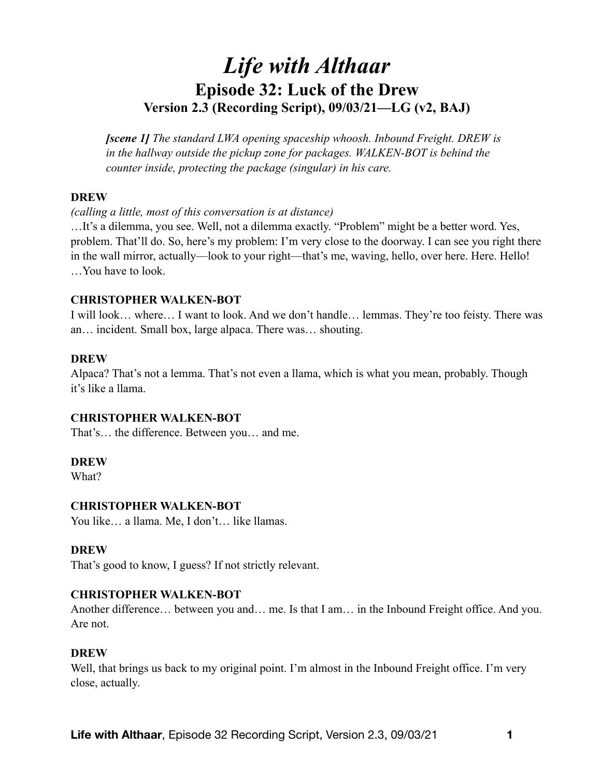# *Life with Althaar*  **Episode 32: Luck of the Drew Version 2.3 (Recording Script), 09/03/21—LG (v2, BAJ)**

*[scene 1] The standard LWA opening spaceship whoosh. Inbound Freight. DREW is in the hallway outside the pickup zone for packages. WALKEN-BOT is behind the counter inside, protecting the package (singular) in his care.* 

#### **DREW**

#### *(calling a little, most of this conversation is at distance)*

…It's a dilemma, you see. Well, not a dilemma exactly. "Problem" might be a better word. Yes, problem. That'll do. So, here's my problem: I'm very close to the doorway. I can see you right there in the wall mirror, actually—look to your right—that's me, waving, hello, over here. Here. Hello! …You have to look.

# **CHRISTOPHER WALKEN-BOT**

I will look… where… I want to look. And we don't handle… lemmas. They're too feisty. There was an… incident. Small box, large alpaca. There was… shouting.

# **DREW**

Alpaca? That's not a lemma. That's not even a llama, which is what you mean, probably. Though it's like a llama.

# **CHRISTOPHER WALKEN-BOT**

That's… the difference. Between you… and me.

#### **DREW**

What?

#### **CHRISTOPHER WALKEN-BOT**

You like… a llama. Me, I don't… like llamas.

# **DREW**

That's good to know, I guess? If not strictly relevant.

#### **CHRISTOPHER WALKEN-BOT**

Another difference… between you and… me. Is that I am… in the Inbound Freight office. And you. Are not.

# **DREW**

Well, that brings us back to my original point. I'm almost in the Inbound Freight office. I'm very close, actually.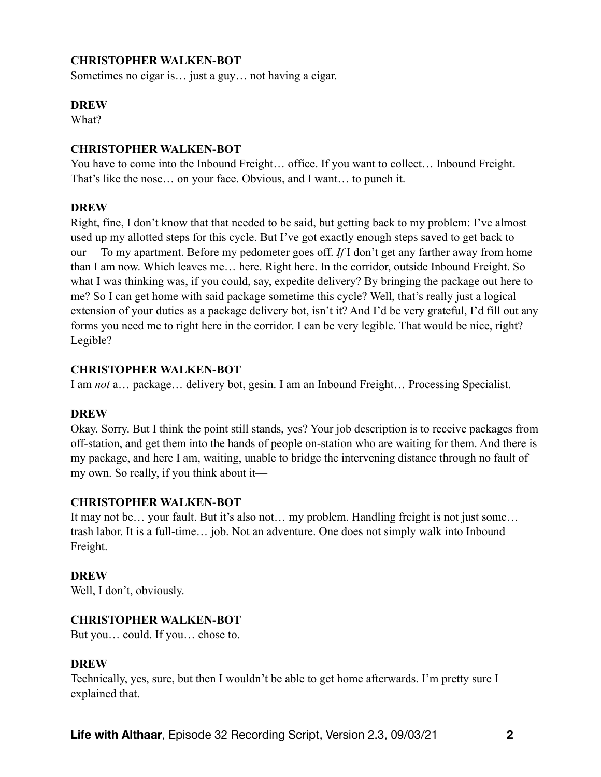# **CHRISTOPHER WALKEN-BOT**

Sometimes no cigar is… just a guy… not having a cigar.

#### **DREW**

What?

## **CHRISTOPHER WALKEN-BOT**

You have to come into the Inbound Freight… office. If you want to collect… Inbound Freight. That's like the nose… on your face. Obvious, and I want… to punch it.

# **DREW**

Right, fine, I don't know that that needed to be said, but getting back to my problem: I've almost used up my allotted steps for this cycle. But I've got exactly enough steps saved to get back to our— To my apartment. Before my pedometer goes off. *If* I don't get any farther away from home than I am now. Which leaves me… here. Right here. In the corridor, outside Inbound Freight. So what I was thinking was, if you could, say, expedite delivery? By bringing the package out here to me? So I can get home with said package sometime this cycle? Well, that's really just a logical extension of your duties as a package delivery bot, isn't it? And I'd be very grateful, I'd fill out any forms you need me to right here in the corridor. I can be very legible. That would be nice, right? Legible?

# **CHRISTOPHER WALKEN-BOT**

I am *not* a… package… delivery bot, gesin. I am an Inbound Freight… Processing Specialist.

#### **DREW**

Okay. Sorry. But I think the point still stands, yes? Your job description is to receive packages from off-station, and get them into the hands of people on-station who are waiting for them. And there is my package, and here I am, waiting, unable to bridge the intervening distance through no fault of my own. So really, if you think about it—

# **CHRISTOPHER WALKEN-BOT**

It may not be… your fault. But it's also not… my problem. Handling freight is not just some… trash labor. It is a full-time… job. Not an adventure. One does not simply walk into Inbound Freight.

#### **DREW**

Well, I don't, obviously.

#### **CHRISTOPHER WALKEN-BOT**

But you… could. If you… chose to.

#### **DREW**

Technically, yes, sure, but then I wouldn't be able to get home afterwards. I'm pretty sure I explained that.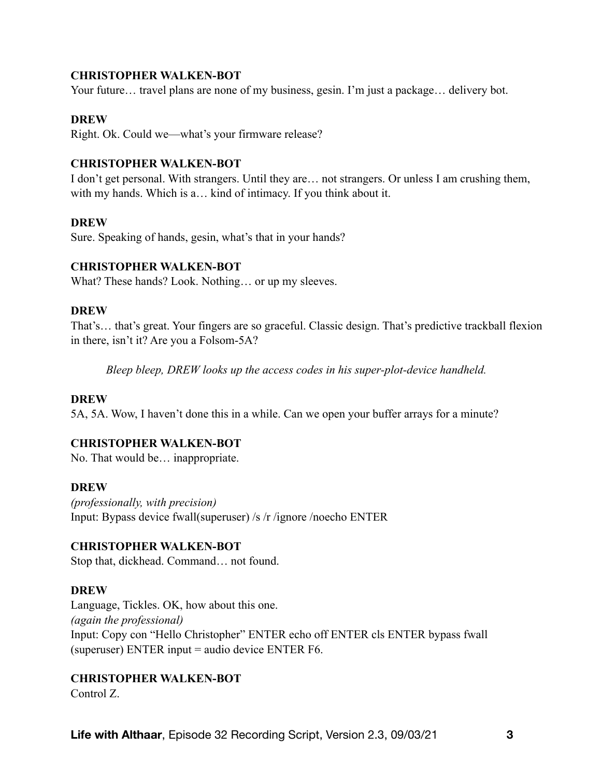#### **CHRISTOPHER WALKEN-BOT**

Your future... travel plans are none of my business, gesin. I'm just a package... delivery bot.

#### **DREW**

Right. Ok. Could we—what's your firmware release?

#### **CHRISTOPHER WALKEN-BOT**

I don't get personal. With strangers. Until they are… not strangers. Or unless I am crushing them, with my hands. Which is a… kind of intimacy. If you think about it.

#### **DREW**

Sure. Speaking of hands, gesin, what's that in your hands?

#### **CHRISTOPHER WALKEN-BOT**

What? These hands? Look. Nothing... or up my sleeves.

#### **DREW**

That's… that's great. Your fingers are so graceful. Classic design. That's predictive trackball flexion in there, isn't it? Are you a Folsom-5A?

*Bleep bleep, DREW looks up the access codes in his super-plot-device handheld.* 

#### **DREW**

5A, 5A. Wow, I haven't done this in a while. Can we open your buffer arrays for a minute?

#### **CHRISTOPHER WALKEN-BOT**

No. That would be… inappropriate.

#### **DREW**

*(professionally, with precision)*  Input: Bypass device fwall(superuser) /s /r /ignore /noecho ENTER

#### **CHRISTOPHER WALKEN-BOT**

Stop that, dickhead. Command… not found.

#### **DREW**

Language, Tickles. OK, how about this one. *(again the professional)* Input: Copy con "Hello Christopher" ENTER echo off ENTER cls ENTER bypass fwall (superuser) ENTER input = audio device ENTER F6.

#### **CHRISTOPHER WALKEN-BOT**

Control Z.

**Life with Althaar**, Episode 32 Recording Script, Version 2.3, 09/03/21 **3**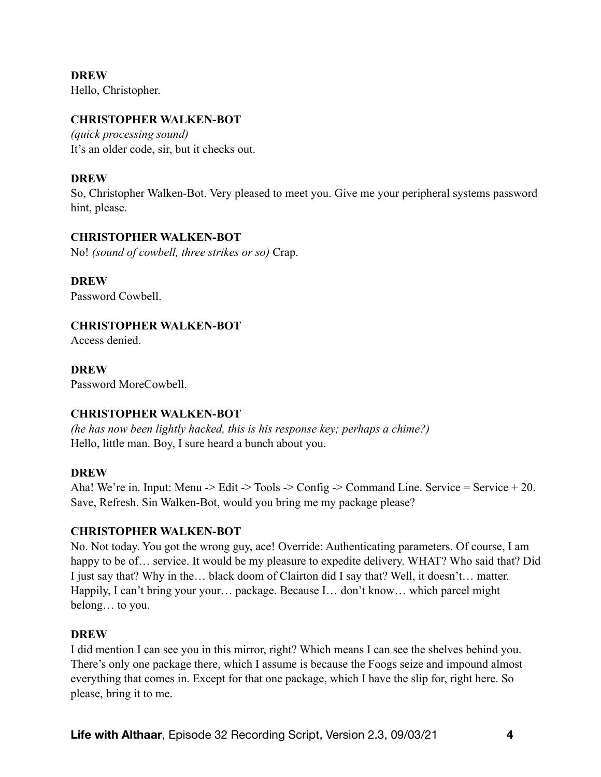**DREW**  Hello, Christopher.

#### **CHRISTOPHER WALKEN-BOT**

*(quick processing sound)*  It's an older code, sir, but it checks out.

# **DREW**

So, Christopher Walken-Bot. Very pleased to meet you. Give me your peripheral systems password hint, please.

# **CHRISTOPHER WALKEN-BOT**

No! *(sound of cowbell, three strikes or so)* Crap.

**DREW**  Password Cowbell.

# **CHRISTOPHER WALKEN-BOT**

Access denied.

**DREW**  Password MoreCowbell.

#### **CHRISTOPHER WALKEN-BOT**

*(he has now been lightly hacked, this is his response key; perhaps a chime?)*  Hello, little man. Boy, I sure heard a bunch about you.

#### **DREW**

Aha! We're in. Input: Menu -> Edit -> Tools -> Config -> Command Line. Service = Service + 20. Save, Refresh. Sin Walken-Bot, would you bring me my package please?

# **CHRISTOPHER WALKEN-BOT**

No. Not today. You got the wrong guy, ace! Override: Authenticating parameters. Of course, I am happy to be of... service. It would be my pleasure to expedite delivery. WHAT? Who said that? Did I just say that? Why in the… black doom of Clairton did I say that? Well, it doesn't… matter. Happily, I can't bring your your… package. Because I… don't know… which parcel might belong… to you.

#### **DREW**

I did mention I can see you in this mirror, right? Which means I can see the shelves behind you. There's only one package there, which I assume is because the Foogs seize and impound almost everything that comes in. Except for that one package, which I have the slip for, right here. So please, bring it to me.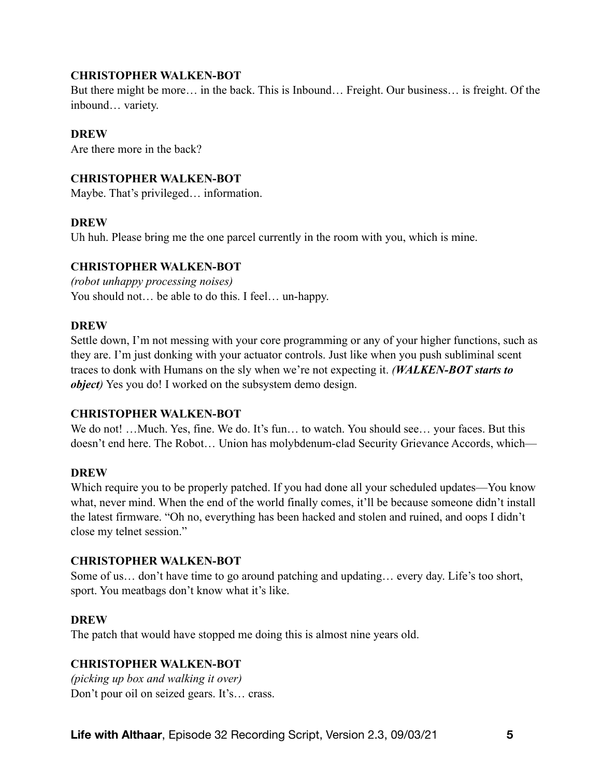## **CHRISTOPHER WALKEN-BOT**

But there might be more… in the back. This is Inbound… Freight. Our business… is freight. Of the inbound… variety.

# **DREW**

Are there more in the back?

## **CHRISTOPHER WALKEN-BOT**

Maybe. That's privileged… information.

# **DREW**

Uh huh. Please bring me the one parcel currently in the room with you, which is mine.

#### **CHRISTOPHER WALKEN-BOT**

*(robot unhappy processing noises)*  You should not... be able to do this. I feel... un-happy.

#### **DREW**

Settle down, I'm not messing with your core programming or any of your higher functions, such as they are. I'm just donking with your actuator controls. Just like when you push subliminal scent traces to donk with Humans on the sly when we're not expecting it. *(WALKEN-BOT starts to object)* Yes you do! I worked on the subsystem demo design.

#### **CHRISTOPHER WALKEN-BOT**

We do not! ... Much. Yes, fine. We do. It's fun... to watch. You should see... your faces. But this doesn't end here. The Robot… Union has molybdenum-clad Security Grievance Accords, which—

#### **DREW**

Which require you to be properly patched. If you had done all your scheduled updates—You know what, never mind. When the end of the world finally comes, it'll be because someone didn't install the latest firmware. "Oh no, everything has been hacked and stolen and ruined, and oops I didn't close my telnet session."

#### **CHRISTOPHER WALKEN-BOT**

Some of us… don't have time to go around patching and updating… every day. Life's too short, sport. You meatbags don't know what it's like.

# **DREW**

The patch that would have stopped me doing this is almost nine years old.

# **CHRISTOPHER WALKEN-BOT**

*(picking up box and walking it over)*  Don't pour oil on seized gears. It's… crass.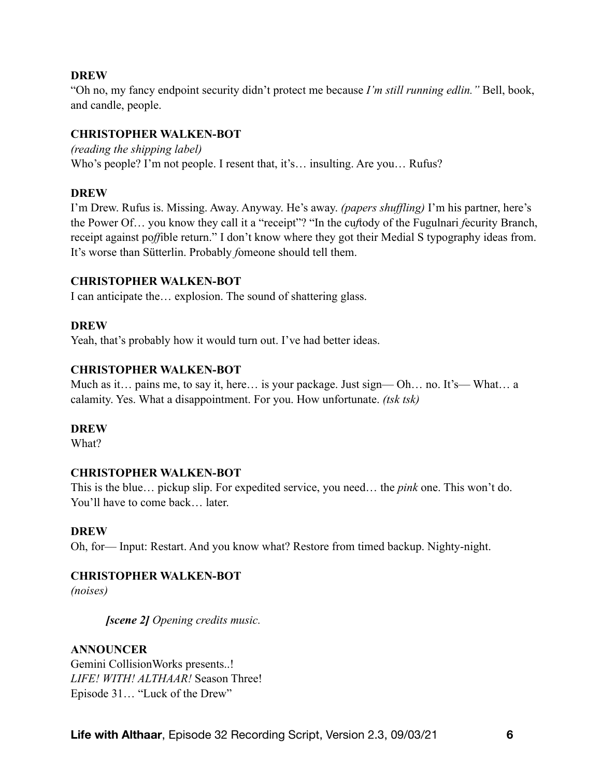#### **DREW**

"Oh no, my fancy endpoint security didn't protect me because *I'm still running edlin."* Bell, book, and candle, people.

## **CHRISTOPHER WALKEN-BOT**

*(reading the shipping label)*  Who's people? I'm not people. I resent that, it's... insulting. Are you... Rufus?

# **DREW**

I'm Drew. Rufus is. Missing. Away. Anyway. He's away. *(papers shuffling)* I'm his partner, here's the Power Of… you know they call it a "receipt"? "In the cu*f*tody of the Fugulnari *f*ecurity Branch, receipt against po*ff*ible return." I don't know where they got their Medial S typography ideas from. It's worse than Sütterlin. Probably *f*omeone should tell them.

# **CHRISTOPHER WALKEN-BOT**

I can anticipate the… explosion. The sound of shattering glass.

# **DREW**

Yeah, that's probably how it would turn out. I've had better ideas.

# **CHRISTOPHER WALKEN-BOT**

Much as it… pains me, to say it, here… is your package. Just sign— Oh… no. It's— What… a calamity. Yes. What a disappointment. For you. How unfortunate. *(tsk tsk)* 

#### **DREW**

What?

# **CHRISTOPHER WALKEN-BOT**

This is the blue… pickup slip. For expedited service, you need… the *pink* one. This won't do. You'll have to come back… later.

# **DREW**

Oh, for— Input: Restart. And you know what? Restore from timed backup. Nighty-night.

# **CHRISTOPHER WALKEN-BOT**

*(noises)* 

*[scene 2] Opening credits music.* 

# **ANNOUNCER**

Gemini CollisionWorks presents..! *LIFE! WITH! ALTHAAR!* Season Three! Episode 31… "Luck of the Drew"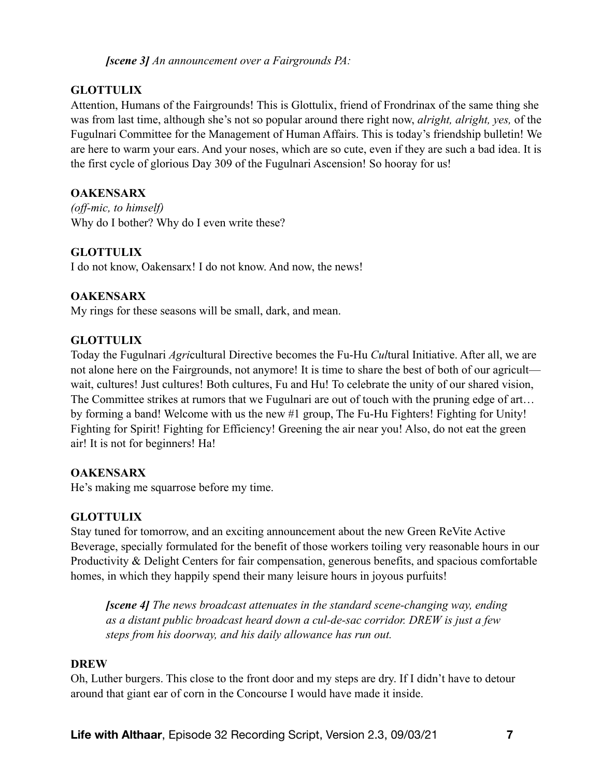*[scene 3] An announcement over a Fairgrounds PA:* 

# **GLOTTULIX**

Attention, Humans of the Fairgrounds! This is Glottulix, friend of Frondrinax of the same thing she was from last time, although she's not so popular around there right now, *alright, alright, yes,* of the Fugulnari Committee for the Management of Human Affairs. This is today's friendship bulletin! We are here to warm your ears. And your noses, which are so cute, even if they are such a bad idea. It is the first cycle of glorious Day 309 of the Fugulnari Ascension! So hooray for us!

# **OAKENSARX**

*(off-mic, to himself)*  Why do I bother? Why do I even write these?

# **GLOTTULIX**

I do not know, Oakensarx! I do not know. And now, the news!

# **OAKENSARX**

My rings for these seasons will be small, dark, and mean.

# **GLOTTULIX**

Today the Fugulnari *Agri*cultural Directive becomes the Fu-Hu *Cul*tural Initiative. After all, we are not alone here on the Fairgrounds, not anymore! It is time to share the best of both of our agricult wait, cultures! Just cultures! Both cultures, Fu and Hu! To celebrate the unity of our shared vision, The Committee strikes at rumors that we Fugulnari are out of touch with the pruning edge of art... by forming a band! Welcome with us the new #1 group, The Fu-Hu Fighters! Fighting for Unity! Fighting for Spirit! Fighting for Efficiency! Greening the air near you! Also, do not eat the green air! It is not for beginners! Ha!

# **OAKENSARX**

He's making me squarrose before my time.

# **GLOTTULIX**

Stay tuned for tomorrow, and an exciting announcement about the new Green ReVite Active Beverage, specially formulated for the benefit of those workers toiling very reasonable hours in our Productivity & Delight Centers for fair compensation, generous benefits, and spacious comfortable homes, in which they happily spend their many leisure hours in joyous purfuits!

*[scene 4] The news broadcast attenuates in the standard scene-changing way, ending as a distant public broadcast heard down a cul-de-sac corridor. DREW is just a few steps from his doorway, and his daily allowance has run out.* 

# **DREW**

Oh, Luther burgers. This close to the front door and my steps are dry. If I didn't have to detour around that giant ear of corn in the Concourse I would have made it inside.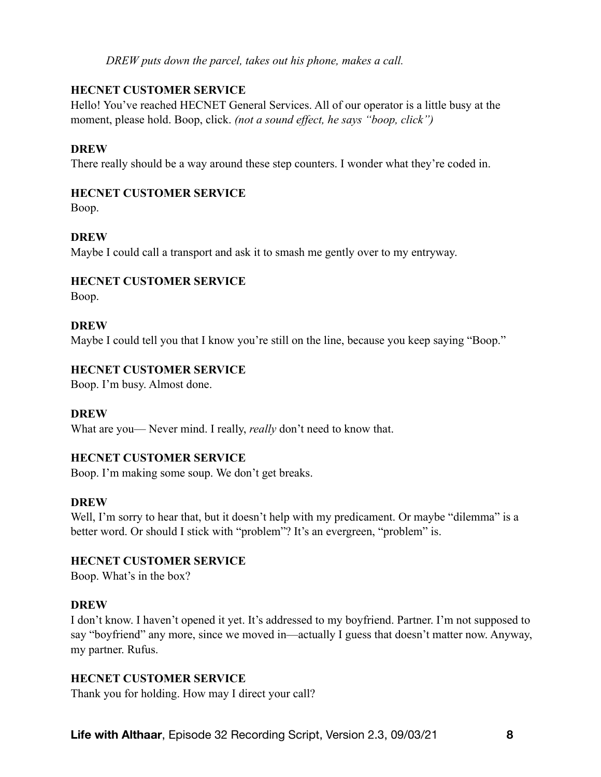*DREW puts down the parcel, takes out his phone, makes a call.* 

# **HECNET CUSTOMER SERVICE**

Hello! You've reached HECNET General Services. All of our operator is a little busy at the moment, please hold. Boop, click. *(not a sound effect, he says "boop, click")* 

# **DREW**

There really should be a way around these step counters. I wonder what they're coded in.

# **HECNET CUSTOMER SERVICE**

Boop.

# **DREW**

Maybe I could call a transport and ask it to smash me gently over to my entryway.

# **HECNET CUSTOMER SERVICE**

Boop.

# **DREW**

Maybe I could tell you that I know you're still on the line, because you keep saying "Boop."

# **HECNET CUSTOMER SERVICE**

Boop. I'm busy. Almost done.

# **DREW**

What are you— Never mind. I really, *really* don't need to know that.

# **HECNET CUSTOMER SERVICE**

Boop. I'm making some soup. We don't get breaks.

# **DREW**

Well, I'm sorry to hear that, but it doesn't help with my predicament. Or maybe "dilemma" is a better word. Or should I stick with "problem"? It's an evergreen, "problem" is.

# **HECNET CUSTOMER SERVICE**

Boop. What's in the box?

# **DREW**

I don't know. I haven't opened it yet. It's addressed to my boyfriend. Partner. I'm not supposed to say "boyfriend" any more, since we moved in—actually I guess that doesn't matter now. Anyway, my partner. Rufus.

# **HECNET CUSTOMER SERVICE**

Thank you for holding. How may I direct your call?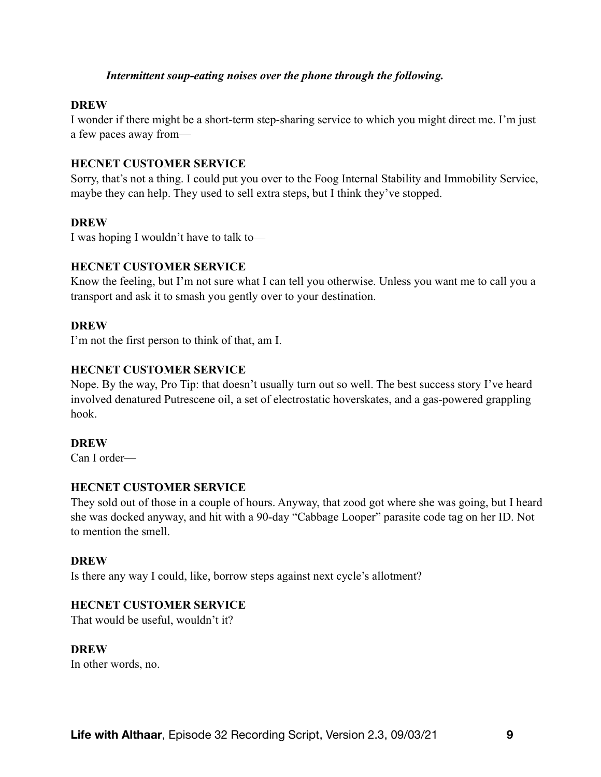#### *Intermittent soup-eating noises over the phone through the following.*

#### **DREW**

I wonder if there might be a short-term step-sharing service to which you might direct me. I'm just a few paces away from—

#### **HECNET CUSTOMER SERVICE**

Sorry, that's not a thing. I could put you over to the Foog Internal Stability and Immobility Service, maybe they can help. They used to sell extra steps, but I think they've stopped.

#### **DREW**

I was hoping I wouldn't have to talk to—

#### **HECNET CUSTOMER SERVICE**

Know the feeling, but I'm not sure what I can tell you otherwise. Unless you want me to call you a transport and ask it to smash you gently over to your destination.

#### **DREW**

I'm not the first person to think of that, am I.

#### **HECNET CUSTOMER SERVICE**

Nope. By the way, Pro Tip: that doesn't usually turn out so well. The best success story I've heard involved denatured Putrescene oil, a set of electrostatic hoverskates, and a gas-powered grappling hook.

#### **DREW**

Can I order—

#### **HECNET CUSTOMER SERVICE**

They sold out of those in a couple of hours. Anyway, that zood got where she was going, but I heard she was docked anyway, and hit with a 90-day "Cabbage Looper" parasite code tag on her ID. Not to mention the smell.

#### **DREW**

Is there any way I could, like, borrow steps against next cycle's allotment?

#### **HECNET CUSTOMER SERVICE**

That would be useful, wouldn't it?

#### **DREW**

In other words, no.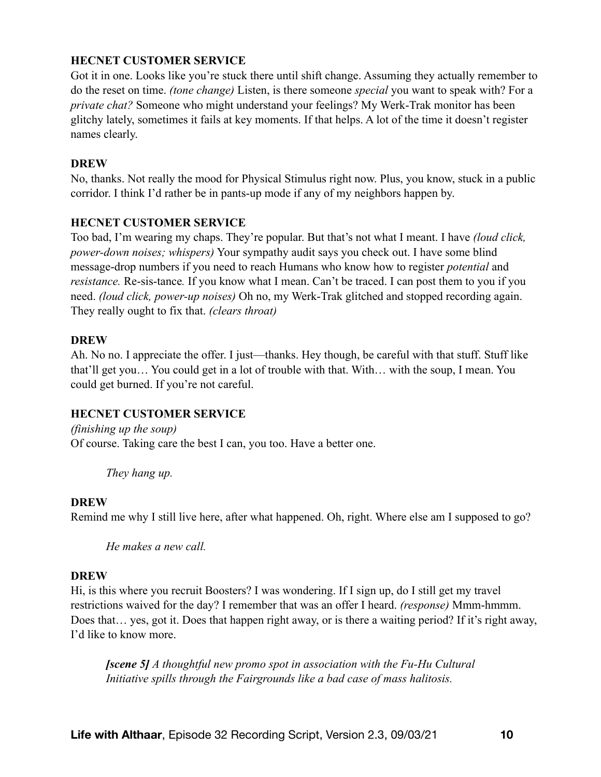# **HECNET CUSTOMER SERVICE**

Got it in one. Looks like you're stuck there until shift change. Assuming they actually remember to do the reset on time. *(tone change)* Listen, is there someone *special* you want to speak with? For a *private chat?* Someone who might understand your feelings? My Werk-Trak monitor has been glitchy lately, sometimes it fails at key moments. If that helps. A lot of the time it doesn't register names clearly.

#### **DREW**

No, thanks. Not really the mood for Physical Stimulus right now. Plus, you know, stuck in a public corridor. I think I'd rather be in pants-up mode if any of my neighbors happen by.

#### **HECNET CUSTOMER SERVICE**

Too bad, I'm wearing my chaps. They're popular. But that's not what I meant. I have *(loud click, power-down noises; whispers)* Your sympathy audit says you check out. I have some blind message-drop numbers if you need to reach Humans who know how to register *potential* and *resistance.* Re-sis-tance*.* If you know what I mean. Can't be traced. I can post them to you if you need. *(loud click, power-up noises)* Oh no, my Werk-Trak glitched and stopped recording again. They really ought to fix that. *(clears throat)*

#### **DREW**

Ah. No no. I appreciate the offer. I just—thanks. Hey though, be careful with that stuff. Stuff like that'll get you… You could get in a lot of trouble with that. With… with the soup, I mean. You could get burned. If you're not careful.

#### **HECNET CUSTOMER SERVICE**

*(finishing up the soup)*  Of course. Taking care the best I can, you too. Have a better one.

*They hang up.* 

#### **DREW**

Remind me why I still live here, after what happened. Oh, right. Where else am I supposed to go?

*He makes a new call.* 

#### **DREW**

Hi, is this where you recruit Boosters? I was wondering. If I sign up, do I still get my travel restrictions waived for the day? I remember that was an offer I heard. *(response)* Mmm-hmmm. Does that… yes, got it. Does that happen right away, or is there a waiting period? If it's right away, I'd like to know more.

*[scene 5] A thoughtful new promo spot in association with the Fu-Hu Cultural Initiative spills through the Fairgrounds like a bad case of mass halitosis.*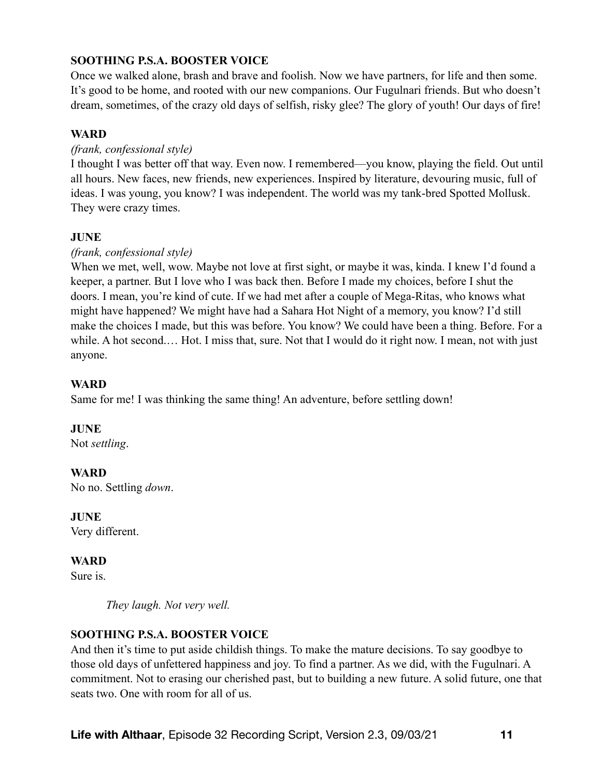# **SOOTHING P.S.A. BOOSTER VOICE**

Once we walked alone, brash and brave and foolish. Now we have partners, for life and then some. It's good to be home, and rooted with our new companions. Our Fugulnari friends. But who doesn't dream, sometimes, of the crazy old days of selfish, risky glee? The glory of youth! Our days of fire!

#### **WARD**

#### *(frank, confessional style)*

I thought I was better off that way. Even now. I remembered—you know, playing the field. Out until all hours. New faces, new friends, new experiences. Inspired by literature, devouring music, full of ideas. I was young, you know? I was independent. The world was my tank-bred Spotted Mollusk. They were crazy times.

#### **JUNE**

# *(frank, confessional style)*

When we met, well, wow. Maybe not love at first sight, or maybe it was, kinda. I knew I'd found a keeper, a partner. But I love who I was back then. Before I made my choices, before I shut the doors. I mean, you're kind of cute. If we had met after a couple of Mega-Ritas, who knows what might have happened? We might have had a Sahara Hot Night of a memory, you know? I'd still make the choices I made, but this was before. You know? We could have been a thing. Before. For a while. A hot second.... Hot. I miss that, sure. Not that I would do it right now. I mean, not with just anyone.

# **WARD**

Same for me! I was thinking the same thing! An adventure, before settling down!

**JUNE**  Not *settling*.

**WARD**  No no. Settling *down*.

**JUNE**  Very different.

**WARD** 

Sure is.

*They laugh. Not very well.* 

#### **SOOTHING P.S.A. BOOSTER VOICE**

And then it's time to put aside childish things. To make the mature decisions. To say goodbye to those old days of unfettered happiness and joy. To find a partner. As we did, with the Fugulnari. A commitment. Not to erasing our cherished past, but to building a new future. A solid future, one that seats two. One with room for all of us.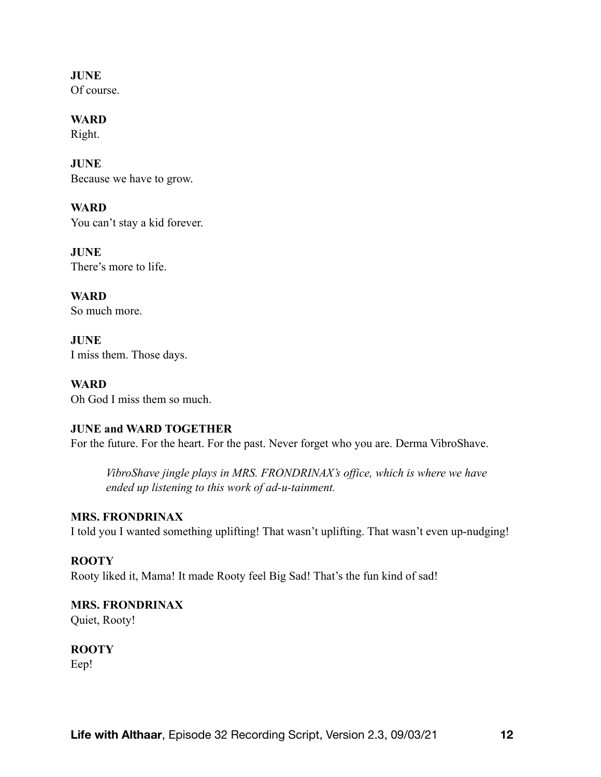**JUNE**  Of course.

**WARD**  Right.

**JUNE**  Because we have to grow.

**WARD**  You can't stay a kid forever.

**JUNE**  There's more to life.

**WARD**  So much more.

**JUNE**  I miss them. Those days.

**WARD**  Oh God I miss them so much.

# **JUNE and WARD TOGETHER**

For the future. For the heart. For the past. Never forget who you are. Derma VibroShave.

*VibroShave jingle plays in MRS. FRONDRINAX's office, which is where we have ended up listening to this work of ad-u-tainment.* 

# **MRS. FRONDRINAX**

I told you I wanted something uplifting! That wasn't uplifting. That wasn't even up-nudging!

# **ROOTY**

Rooty liked it, Mama! It made Rooty feel Big Sad! That's the fun kind of sad!

# **MRS. FRONDRINAX**

Quiet, Rooty!

**ROOTY** Eep!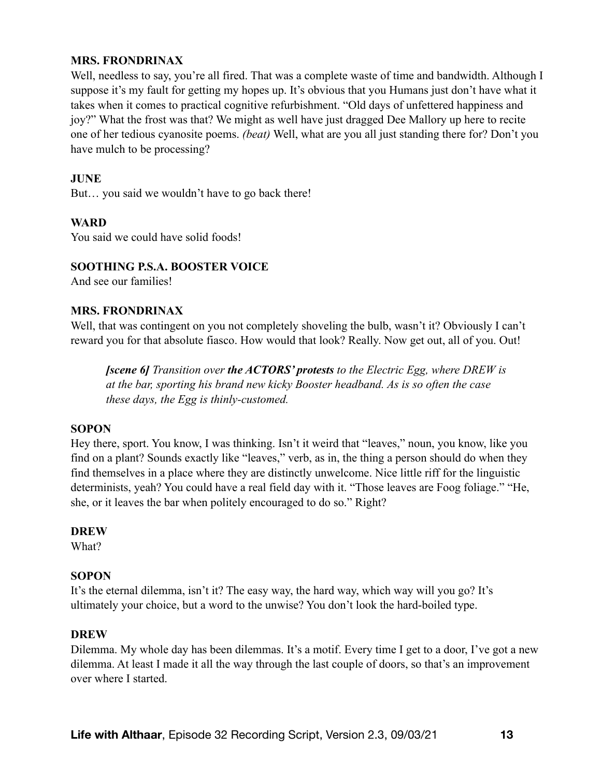#### **MRS. FRONDRINAX**

Well, needless to say, you're all fired. That was a complete waste of time and bandwidth. Although I suppose it's my fault for getting my hopes up. It's obvious that you Humans just don't have what it takes when it comes to practical cognitive refurbishment. "Old days of unfettered happiness and joy?" What the frost was that? We might as well have just dragged Dee Mallory up here to recite one of her tedious cyanosite poems. *(beat)* Well, what are you all just standing there for? Don't you have mulch to be processing?

## **JUNE**

But… you said we wouldn't have to go back there!

#### **WARD**

You said we could have solid foods!

#### **SOOTHING P.S.A. BOOSTER VOICE**

And see our families!

#### **MRS. FRONDRINAX**

Well, that was contingent on you not completely shoveling the bulb, wasn't it? Obviously I can't reward you for that absolute fiasco. How would that look? Really. Now get out, all of you. Out!

*[scene 6] Transition over the ACTORS' protests to the Electric Egg, where DREW is at the bar, sporting his brand new kicky Booster headband. As is so often the case these days, the Egg is thinly-customed.* 

#### **SOPON**

Hey there, sport. You know, I was thinking. Isn't it weird that "leaves," noun, you know, like you find on a plant? Sounds exactly like "leaves," verb, as in, the thing a person should do when they find themselves in a place where they are distinctly unwelcome. Nice little riff for the linguistic determinists, yeah? You could have a real field day with it. "Those leaves are Foog foliage." "He, she, or it leaves the bar when politely encouraged to do so." Right?

#### **DREW**

What?

#### **SOPON**

It's the eternal dilemma, isn't it? The easy way, the hard way, which way will you go? It's ultimately your choice, but a word to the unwise? You don't look the hard-boiled type.

#### **DREW**

Dilemma. My whole day has been dilemmas. It's a motif. Every time I get to a door, I've got a new dilemma. At least I made it all the way through the last couple of doors, so that's an improvement over where I started.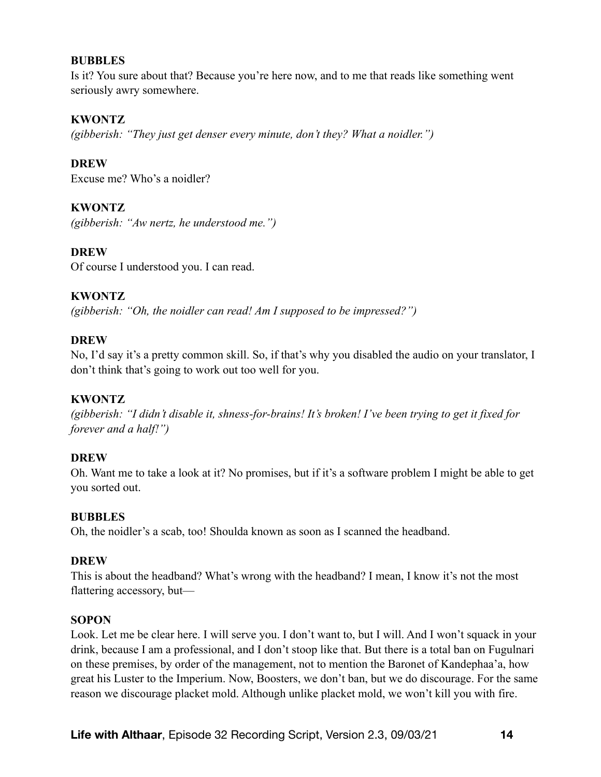Is it? You sure about that? Because you're here now, and to me that reads like something went seriously awry somewhere.

#### **KWONTZ**

*(gibberish: "They just get denser every minute, don't they? What a noidler.")* 

**DREW** 

Excuse me? Who's a noidler?

# **KWONTZ**

*(gibberish: "Aw nertz, he understood me.")*

# **DREW**

Of course I understood you. I can read.

# **KWONTZ**

*(gibberish: "Oh, the noidler can read! Am I supposed to be impressed?")* 

# **DREW**

No, I'd say it's a pretty common skill. So, if that's why you disabled the audio on your translator, I don't think that's going to work out too well for you.

# **KWONTZ**

*(gibberish: "I didn't disable it, shness-for-brains! It's broken! I've been trying to get it fixed for forever and a half!")*

# **DREW**

Oh. Want me to take a look at it? No promises, but if it's a software problem I might be able to get you sorted out.

#### **BUBBLES**

Oh, the noidler's a scab, too! Shoulda known as soon as I scanned the headband.

#### **DREW**

This is about the headband? What's wrong with the headband? I mean, I know it's not the most flattering accessory, but—

#### **SOPON**

Look. Let me be clear here. I will serve you. I don't want to, but I will. And I won't squack in your drink, because I am a professional, and I don't stoop like that. But there is a total ban on Fugulnari on these premises, by order of the management, not to mention the Baronet of Kandephaa'a, how great his Luster to the Imperium. Now, Boosters, we don't ban, but we do discourage. For the same reason we discourage placket mold. Although unlike placket mold, we won't kill you with fire.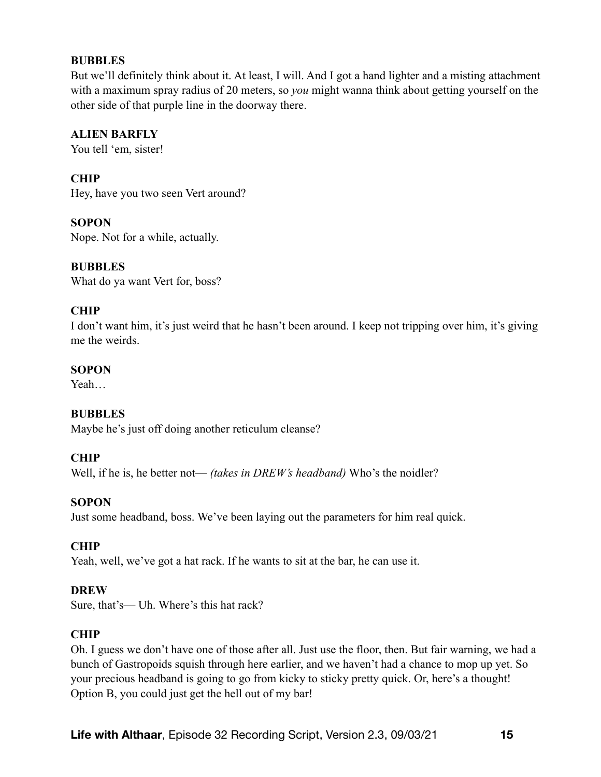But we'll definitely think about it. At least, I will. And I got a hand lighter and a misting attachment with a maximum spray radius of 20 meters, so *you* might wanna think about getting yourself on the other side of that purple line in the doorway there.

# **ALIEN BARFLY**

You tell 'em, sister!

# **CHIP**

Hey, have you two seen Vert around?

# **SOPON**

Nope. Not for a while, actually.

# **BUBBLES**

What do ya want Vert for, boss?

# **CHIP**

I don't want him, it's just weird that he hasn't been around. I keep not tripping over him, it's giving me the weirds.

# **SOPON**

Yeah…

# **BUBBLES**

Maybe he's just off doing another reticulum cleanse?

# **CHIP**

Well, if he is, he better not— *(takes in DREW's headband)* Who's the noidler?

# **SOPON**

Just some headband, boss. We've been laying out the parameters for him real quick.

# **CHIP**

Yeah, well, we've got a hat rack. If he wants to sit at the bar, he can use it.

#### **DREW**

Sure, that's— Uh. Where's this hat rack?

# **CHIP**

Oh. I guess we don't have one of those after all. Just use the floor, then. But fair warning, we had a bunch of Gastropoids squish through here earlier, and we haven't had a chance to mop up yet. So your precious headband is going to go from kicky to sticky pretty quick. Or, here's a thought! Option B, you could just get the hell out of my bar!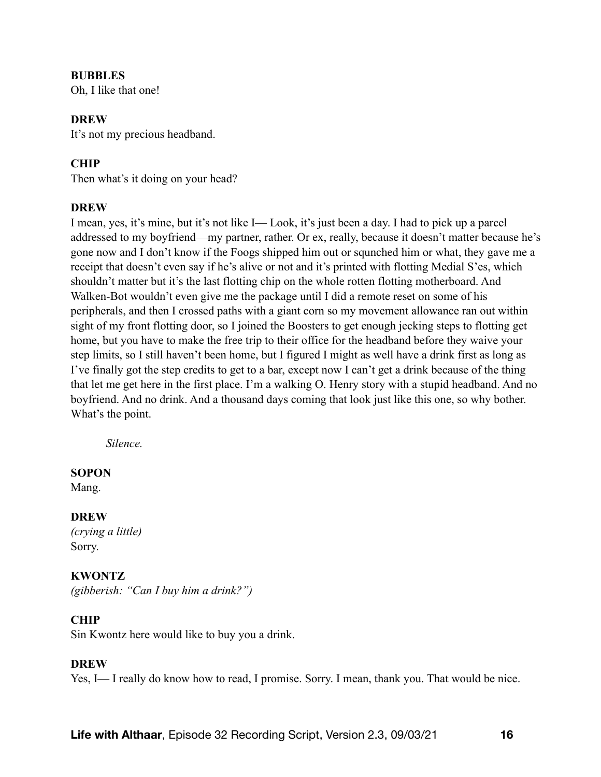Oh, I like that one!

#### **DREW**

It's not my precious headband.

## **CHIP**

Then what's it doing on your head?

#### **DREW**

I mean, yes, it's mine, but it's not like I— Look, it's just been a day. I had to pick up a parcel addressed to my boyfriend—my partner, rather. Or ex, really, because it doesn't matter because he's gone now and I don't know if the Foogs shipped him out or squnched him or what, they gave me a receipt that doesn't even say if he's alive or not and it's printed with flotting Medial S'es, which shouldn't matter but it's the last flotting chip on the whole rotten flotting motherboard. And Walken-Bot wouldn't even give me the package until I did a remote reset on some of his peripherals, and then I crossed paths with a giant corn so my movement allowance ran out within sight of my front flotting door, so I joined the Boosters to get enough jecking steps to flotting get home, but you have to make the free trip to their office for the headband before they waive your step limits, so I still haven't been home, but I figured I might as well have a drink first as long as I've finally got the step credits to get to a bar, except now I can't get a drink because of the thing that let me get here in the first place. I'm a walking O. Henry story with a stupid headband. And no boyfriend. And no drink. And a thousand days coming that look just like this one, so why bother. What's the point.

*Silence.* 

#### **SOPON**

Mang.

#### **DREW**

*(crying a little)*  Sorry.

# **KWONTZ**

*(gibberish: "Can I buy him a drink?")*

# **CHIP**

Sin Kwontz here would like to buy you a drink.

#### **DREW**

Yes, I— I really do know how to read, I promise. Sorry. I mean, thank you. That would be nice.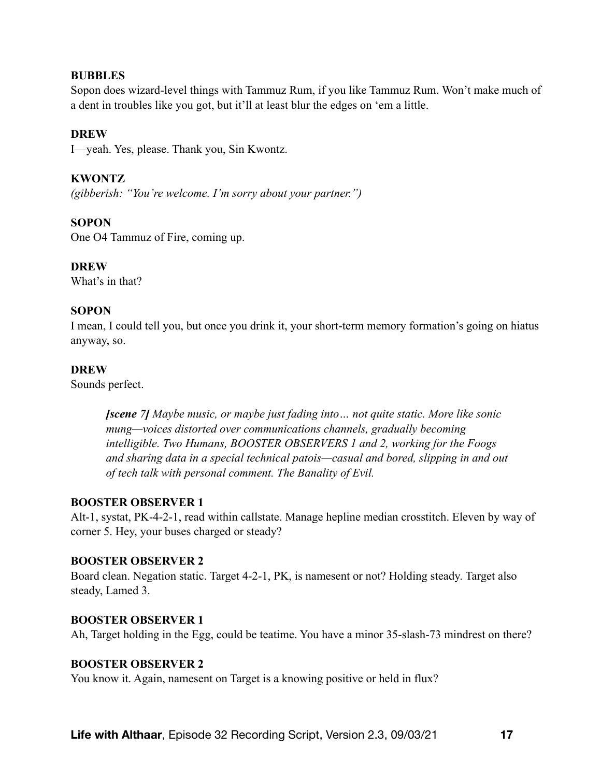Sopon does wizard-level things with Tammuz Rum, if you like Tammuz Rum. Won't make much of a dent in troubles like you got, but it'll at least blur the edges on 'em a little.

## **DREW**

I—yeah. Yes, please. Thank you, Sin Kwontz.

# **KWONTZ**

*(gibberish: "You're welcome. I'm sorry about your partner.")*

#### **SOPON**

One O4 Tammuz of Fire, coming up.

#### **DREW**

What's in that?

#### **SOPON**

I mean, I could tell you, but once you drink it, your short-term memory formation's going on hiatus anyway, so.

#### **DREW**

Sounds perfect.

*[scene 7] Maybe music, or maybe just fading into… not quite static. More like sonic mung—voices distorted over communications channels, gradually becoming intelligible. Two Humans, BOOSTER OBSERVERS 1 and 2, working for the Foogs and sharing data in a special technical patois—casual and bored, slipping in and out of tech talk with personal comment. The Banality of Evil.* 

#### **BOOSTER OBSERVER 1**

Alt-1, systat, PK-4-2-1, read within callstate. Manage hepline median crosstitch. Eleven by way of corner 5. Hey, your buses charged or steady?

#### **BOOSTER OBSERVER 2**

Board clean. Negation static. Target 4-2-1, PK, is namesent or not? Holding steady. Target also steady, Lamed 3.

#### **BOOSTER OBSERVER 1**

Ah, Target holding in the Egg, could be teatime. You have a minor 35-slash-73 mindrest on there?

#### **BOOSTER OBSERVER 2**

You know it. Again, namesent on Target is a knowing positive or held in flux?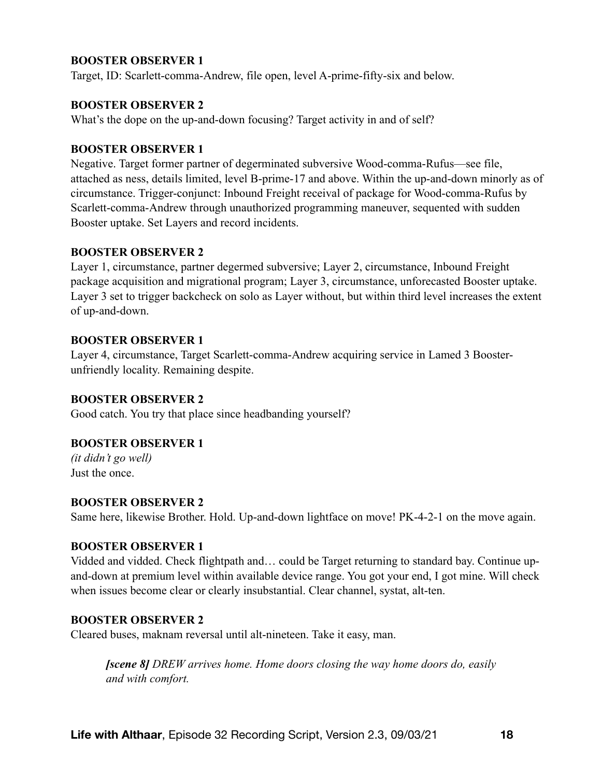#### **BOOSTER OBSERVER 1**

Target, ID: Scarlett-comma-Andrew, file open, level A-prime-fifty-six and below.

#### **BOOSTER OBSERVER 2**

What's the dope on the up-and-down focusing? Target activity in and of self?

#### **BOOSTER OBSERVER 1**

Negative. Target former partner of degerminated subversive Wood-comma-Rufus—see file, attached as ness, details limited, level B-prime-17 and above. Within the up-and-down minorly as of circumstance. Trigger-conjunct: Inbound Freight receival of package for Wood-comma-Rufus by Scarlett-comma-Andrew through unauthorized programming maneuver, sequented with sudden Booster uptake. Set Layers and record incidents.

#### **BOOSTER OBSERVER 2**

Layer 1, circumstance, partner degermed subversive; Layer 2, circumstance, Inbound Freight package acquisition and migrational program; Layer 3, circumstance, unforecasted Booster uptake. Layer 3 set to trigger backcheck on solo as Layer without, but within third level increases the extent of up-and-down.

#### **BOOSTER OBSERVER 1**

Layer 4, circumstance, Target Scarlett-comma-Andrew acquiring service in Lamed 3 Boosterunfriendly locality. Remaining despite.

#### **BOOSTER OBSERVER 2**

Good catch. You try that place since headbanding yourself?

#### **BOOSTER OBSERVER 1**

*(it didn't go well)*  Just the once.

#### **BOOSTER OBSERVER 2**

Same here, likewise Brother. Hold. Up-and-down lightface on move! PK-4-2-1 on the move again.

#### **BOOSTER OBSERVER 1**

Vidded and vidded. Check flightpath and… could be Target returning to standard bay. Continue upand-down at premium level within available device range. You got your end, I got mine. Will check when issues become clear or clearly insubstantial. Clear channel, systat, alt-ten.

#### **BOOSTER OBSERVER 2**

Cleared buses, maknam reversal until alt-nineteen. Take it easy, man.

*[scene 8] DREW arrives home. Home doors closing the way home doors do, easily and with comfort.*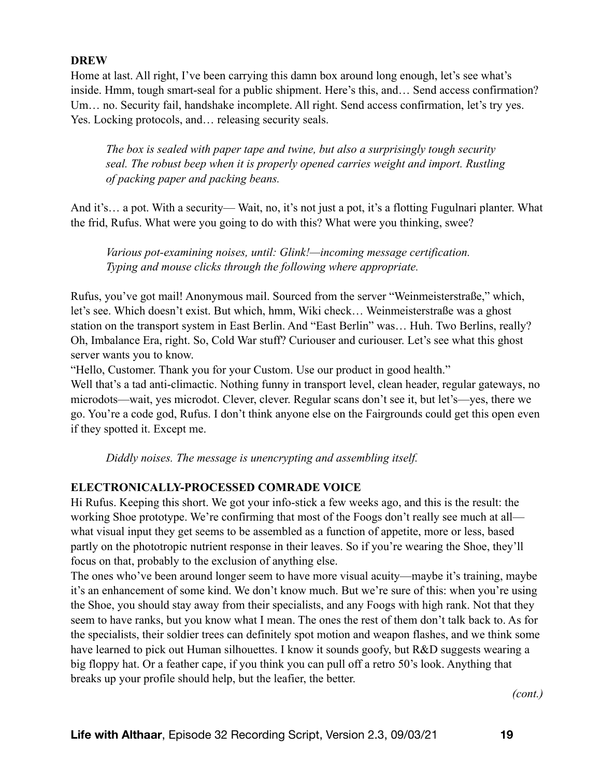# **DREW**

Home at last. All right, I've been carrying this damn box around long enough, let's see what's inside. Hmm, tough smart-seal for a public shipment. Here's this, and… Send access confirmation? Um… no. Security fail, handshake incomplete. All right. Send access confirmation, let's try yes. Yes. Locking protocols, and… releasing security seals.

*The box is sealed with paper tape and twine, but also a surprisingly tough security seal. The robust beep when it is properly opened carries weight and import. Rustling of packing paper and packing beans.* 

And it's… a pot. With a security— Wait, no, it's not just a pot, it's a flotting Fugulnari planter. What the frid, Rufus. What were you going to do with this? What were you thinking, swee?

*Various pot-examining noises, until: Glink!—incoming message certification. Typing and mouse clicks through the following where appropriate.* 

Rufus, you've got mail! Anonymous mail. Sourced from the server "Weinmeisterstraße," which, let's see. Which doesn't exist. But which, hmm, Wiki check… Weinmeisterstraße was a ghost station on the transport system in East Berlin. And "East Berlin" was… Huh. Two Berlins, really? Oh, Imbalance Era, right. So, Cold War stuff? Curiouser and curiouser. Let's see what this ghost server wants you to know.

"Hello, Customer. Thank you for your Custom. Use our product in good health."

Well that's a tad anti-climactic. Nothing funny in transport level, clean header, regular gateways, no microdots—wait, yes microdot. Clever, clever. Regular scans don't see it, but let's—yes, there we go. You're a code god, Rufus. I don't think anyone else on the Fairgrounds could get this open even if they spotted it. Except me.

*Diddly noises. The message is unencrypting and assembling itself.* 

# **ELECTRONICALLY-PROCESSED COMRADE VOICE**

Hi Rufus. Keeping this short. We got your info-stick a few weeks ago, and this is the result: the working Shoe prototype. We're confirming that most of the Foogs don't really see much at all what visual input they get seems to be assembled as a function of appetite, more or less, based partly on the phototropic nutrient response in their leaves. So if you're wearing the Shoe, they'll focus on that, probably to the exclusion of anything else.

The ones who've been around longer seem to have more visual acuity—maybe it's training, maybe it's an enhancement of some kind. We don't know much. But we're sure of this: when you're using the Shoe, you should stay away from their specialists, and any Foogs with high rank. Not that they seem to have ranks, but you know what I mean. The ones the rest of them don't talk back to. As for the specialists, their soldier trees can definitely spot motion and weapon flashes, and we think some have learned to pick out Human silhouettes. I know it sounds goofy, but R&D suggests wearing a big floppy hat. Or a feather cape, if you think you can pull off a retro 50's look. Anything that breaks up your profile should help, but the leafier, the better.

*(cont.)*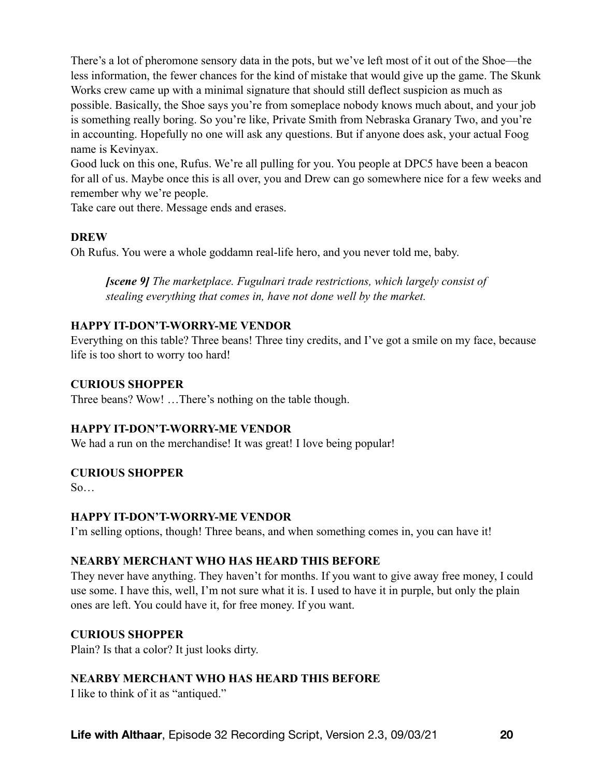There's a lot of pheromone sensory data in the pots, but we've left most of it out of the Shoe—the less information, the fewer chances for the kind of mistake that would give up the game. The Skunk Works crew came up with a minimal signature that should still deflect suspicion as much as possible. Basically, the Shoe says you're from someplace nobody knows much about, and your job is something really boring. So you're like, Private Smith from Nebraska Granary Two, and you're in accounting. Hopefully no one will ask any questions. But if anyone does ask, your actual Foog name is Kevinyax.

Good luck on this one, Rufus. We're all pulling for you. You people at DPC5 have been a beacon for all of us. Maybe once this is all over, you and Drew can go somewhere nice for a few weeks and remember why we're people.

Take care out there. Message ends and erases.

# **DREW**

Oh Rufus. You were a whole goddamn real-life hero, and you never told me, baby.

*[scene 9] The marketplace. Fugulnari trade restrictions, which largely consist of stealing everything that comes in, have not done well by the market.* 

#### **HAPPY IT-DON'T-WORRY-ME VENDOR**

Everything on this table? Three beans! Three tiny credits, and I've got a smile on my face, because life is too short to worry too hard!

## **CURIOUS SHOPPER**

Three beans? Wow! …There's nothing on the table though.

#### **HAPPY IT-DON'T-WORRY-ME VENDOR**

We had a run on the merchandise! It was great! I love being popular!

#### **CURIOUS SHOPPER**

So…

#### **HAPPY IT-DON'T-WORRY-ME VENDOR**

I'm selling options, though! Three beans, and when something comes in, you can have it!

# **NEARBY MERCHANT WHO HAS HEARD THIS BEFORE**

They never have anything. They haven't for months. If you want to give away free money, I could use some. I have this, well, I'm not sure what it is. I used to have it in purple, but only the plain ones are left. You could have it, for free money. If you want.

#### **CURIOUS SHOPPER**

Plain? Is that a color? It just looks dirty.

#### **NEARBY MERCHANT WHO HAS HEARD THIS BEFORE**

I like to think of it as "antiqued."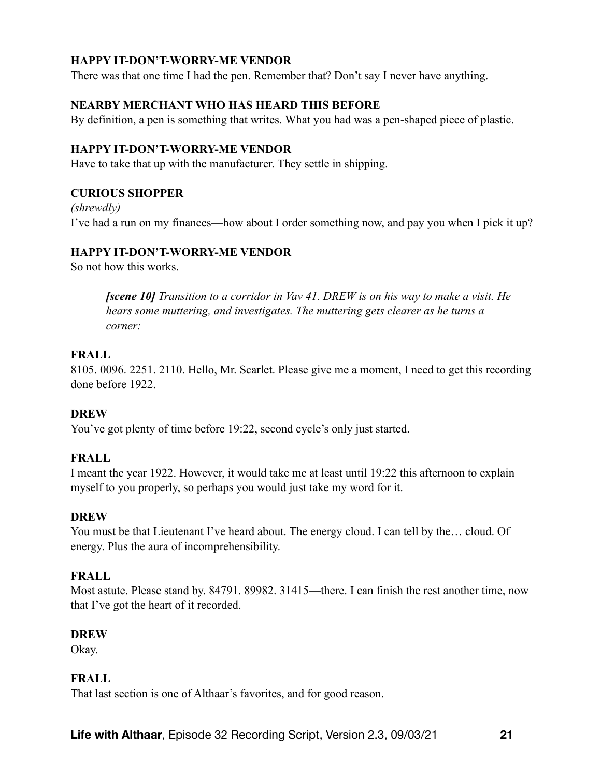# **HAPPY IT-DON'T-WORRY-ME VENDOR**

There was that one time I had the pen. Remember that? Don't say I never have anything.

# **NEARBY MERCHANT WHO HAS HEARD THIS BEFORE**

By definition, a pen is something that writes. What you had was a pen-shaped piece of plastic.

#### **HAPPY IT-DON'T-WORRY-ME VENDOR**

Have to take that up with the manufacturer. They settle in shipping.

#### **CURIOUS SHOPPER**

*(shrewdly)*  I've had a run on my finances—how about I order something now, and pay you when I pick it up?

#### **HAPPY IT-DON'T-WORRY-ME VENDOR**

So not how this works.

*[scene 10] Transition to a corridor in Vav 41. DREW is on his way to make a visit. He hears some muttering, and investigates. The muttering gets clearer as he turns a corner:* 

#### **FRALL**

8105. 0096. 2251. 2110. Hello, Mr. Scarlet. Please give me a moment, I need to get this recording done before 1922.

#### **DREW**

You've got plenty of time before 19:22, second cycle's only just started.

#### **FRALL**

I meant the year 1922. However, it would take me at least until 19:22 this afternoon to explain myself to you properly, so perhaps you would just take my word for it.

#### **DREW**

You must be that Lieutenant I've heard about. The energy cloud. I can tell by the… cloud. Of energy. Plus the aura of incomprehensibility.

#### **FRALL**

Most astute. Please stand by. 84791. 89982. 31415—there. I can finish the rest another time, now that I've got the heart of it recorded.

#### **DREW**

Okay.

#### **FRALL**

That last section is one of Althaar's favorites, and for good reason.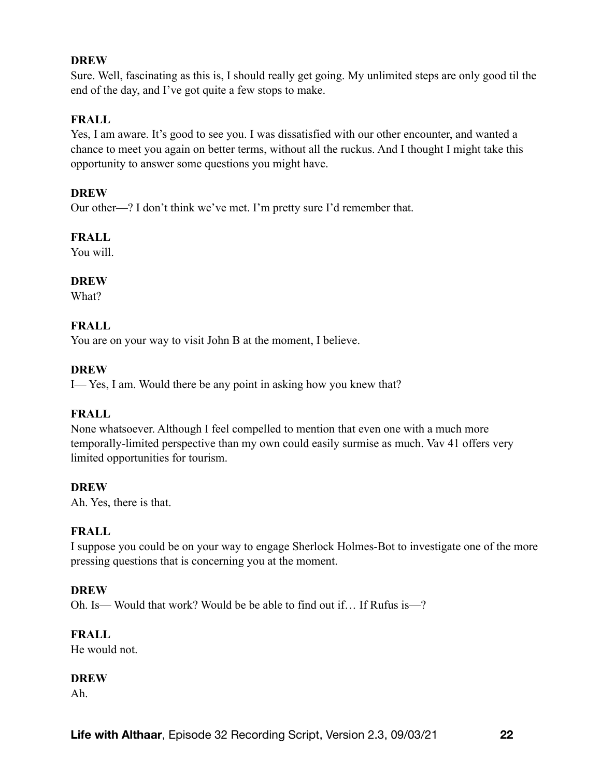#### **DREW**

Sure. Well, fascinating as this is, I should really get going. My unlimited steps are only good til the end of the day, and I've got quite a few stops to make.

# **FRALL**

Yes, I am aware. It's good to see you. I was dissatisfied with our other encounter, and wanted a chance to meet you again on better terms, without all the ruckus. And I thought I might take this opportunity to answer some questions you might have.

#### **DREW**

Our other—? I don't think we've met. I'm pretty sure I'd remember that.

# **FRALL**

You will.

# **DREW**

What?

# **FRALL**

You are on your way to visit John B at the moment, I believe.

# **DREW**

I— Yes, I am. Would there be any point in asking how you knew that?

# **FRALL**

None whatsoever. Although I feel compelled to mention that even one with a much more temporally-limited perspective than my own could easily surmise as much. Vav 41 offers very limited opportunities for tourism.

#### **DREW**

Ah. Yes, there is that.

# **FRALL**

I suppose you could be on your way to engage Sherlock Holmes-Bot to investigate one of the more pressing questions that is concerning you at the moment.

#### **DREW**

Oh. Is— Would that work? Would be be able to find out if… If Rufus is—?

#### **FRALL**

He would not.

#### **DREW**

Ah.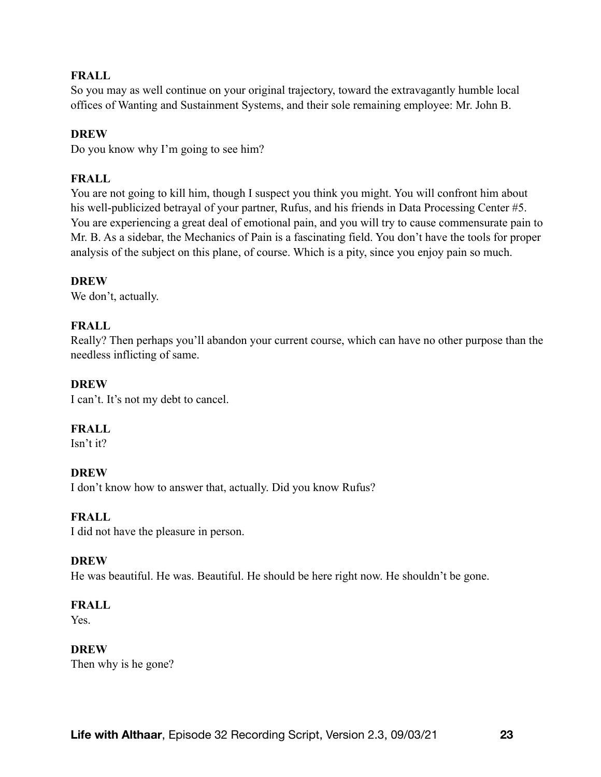# **FRALL**

So you may as well continue on your original trajectory, toward the extravagantly humble local offices of Wanting and Sustainment Systems, and their sole remaining employee: Mr. John B.

## **DREW**

Do you know why I'm going to see him?

# **FRALL**

You are not going to kill him, though I suspect you think you might. You will confront him about his well-publicized betrayal of your partner, Rufus, and his friends in Data Processing Center #5. You are experiencing a great deal of emotional pain, and you will try to cause commensurate pain to Mr. B. As a sidebar, the Mechanics of Pain is a fascinating field. You don't have the tools for proper analysis of the subject on this plane, of course. Which is a pity, since you enjoy pain so much.

# **DREW**

We don't, actually.

# **FRALL**

Really? Then perhaps you'll abandon your current course, which can have no other purpose than the needless inflicting of same.

# **DREW**

I can't. It's not my debt to cancel.

# **FRALL**

Isn't it?

# **DREW**

I don't know how to answer that, actually. Did you know Rufus?

#### **FRALL**

I did not have the pleasure in person.

#### **DREW**

He was beautiful. He was. Beautiful. He should be here right now. He shouldn't be gone.

#### **FRALL**

Yes.

#### **DREW**

Then why is he gone?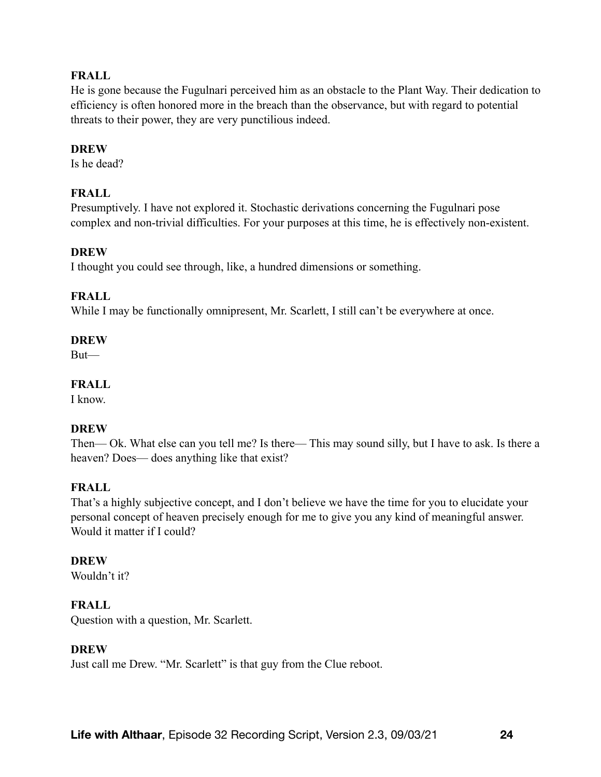# **FRALL**

He is gone because the Fugulnari perceived him as an obstacle to the Plant Way. Their dedication to efficiency is often honored more in the breach than the observance, but with regard to potential threats to their power, they are very punctilious indeed.

#### **DREW**

Is he dead?

# **FRALL**

Presumptively. I have not explored it. Stochastic derivations concerning the Fugulnari pose complex and non-trivial difficulties. For your purposes at this time, he is effectively non-existent.

#### **DREW**

I thought you could see through, like, a hundred dimensions or something.

#### **FRALL**

While I may be functionally omnipresent, Mr. Scarlett, I still can't be everywhere at once.

#### **DREW**

But—

#### **FRALL**

I know.

#### **DREW**

Then— Ok. What else can you tell me? Is there— This may sound silly, but I have to ask. Is there a heaven? Does— does anything like that exist?

#### **FRALL**

That's a highly subjective concept, and I don't believe we have the time for you to elucidate your personal concept of heaven precisely enough for me to give you any kind of meaningful answer. Would it matter if I could?

#### **DREW**

Wouldn't it?

#### **FRALL**

Question with a question, Mr. Scarlett.

#### **DREW**

Just call me Drew. "Mr. Scarlett" is that guy from the Clue reboot.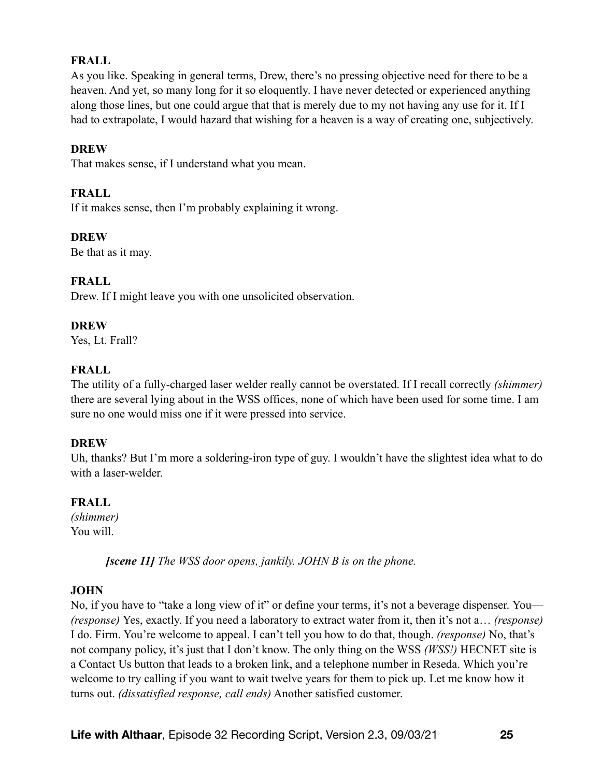# **FRALL**

As you like. Speaking in general terms, Drew, there's no pressing objective need for there to be a heaven. And yet, so many long for it so eloquently. I have never detected or experienced anything along those lines, but one could argue that that is merely due to my not having any use for it. If I had to extrapolate, I would hazard that wishing for a heaven is a way of creating one, subjectively.

## **DREW**

That makes sense, if I understand what you mean.

# **FRALL**

If it makes sense, then I'm probably explaining it wrong.

# **DREW**

Be that as it may.

# **FRALL**

Drew. If I might leave you with one unsolicited observation.

#### **DREW**

Yes, Lt. Frall?

# **FRALL**

The utility of a fully-charged laser welder really cannot be overstated. If I recall correctly *(shimmer)* there are several lying about in the WSS offices, none of which have been used for some time. I am sure no one would miss one if it were pressed into service.

#### **DREW**

Uh, thanks? But I'm more a soldering-iron type of guy. I wouldn't have the slightest idea what to do with a laser-welder.

# **FRALL**

*(shimmer)* You will.

*[scene 11] The WSS door opens, jankily. JOHN B is on the phone.* 

# **JOHN**

No, if you have to "take a long view of it" or define your terms, it's not a beverage dispenser. You— *(response)* Yes, exactly. If you need a laboratory to extract water from it, then it's not a… *(response)* I do. Firm. You're welcome to appeal. I can't tell you how to do that, though. *(response)* No, that's not company policy, it's just that I don't know. The only thing on the WSS *(WSS!)* HECNET site is a Contact Us button that leads to a broken link, and a telephone number in Reseda. Which you're welcome to try calling if you want to wait twelve years for them to pick up. Let me know how it turns out. *(dissatisfied response, call ends)* Another satisfied customer.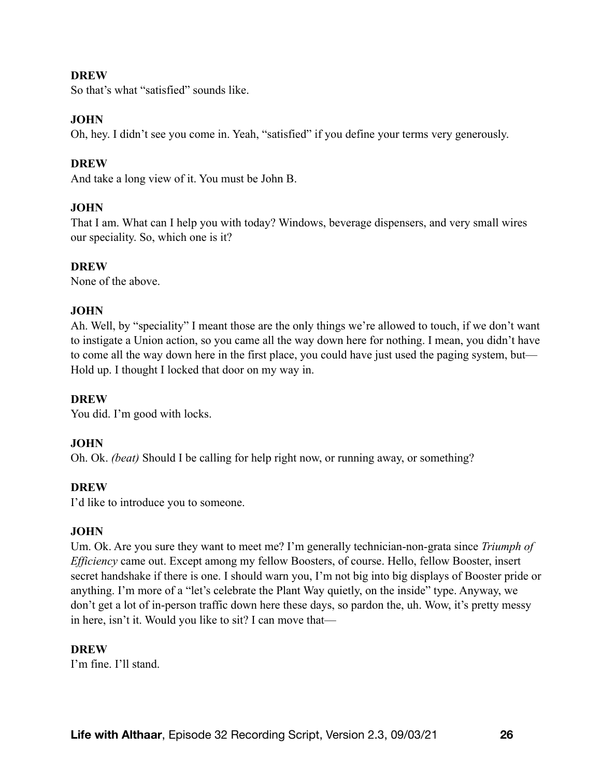#### **DREW**

So that's what "satisfied" sounds like.

## **JOHN**

Oh, hey. I didn't see you come in. Yeah, "satisfied" if you define your terms very generously.

# **DREW**

And take a long view of it. You must be John B.

# **JOHN**

That I am. What can I help you with today? Windows, beverage dispensers, and very small wires our speciality. So, which one is it?

#### **DREW**

None of the above.

# **JOHN**

Ah. Well, by "speciality" I meant those are the only things we're allowed to touch, if we don't want to instigate a Union action, so you came all the way down here for nothing. I mean, you didn't have to come all the way down here in the first place, you could have just used the paging system, but— Hold up. I thought I locked that door on my way in.

#### **DREW**

You did. I'm good with locks.

#### **JOHN**

Oh. Ok. *(beat)* Should I be calling for help right now, or running away, or something?

#### **DREW**

I'd like to introduce you to someone.

#### **JOHN**

Um. Ok. Are you sure they want to meet me? I'm generally technician-non-grata since *Triumph of Efficiency* came out. Except among my fellow Boosters, of course. Hello, fellow Booster, insert secret handshake if there is one. I should warn you, I'm not big into big displays of Booster pride or anything. I'm more of a "let's celebrate the Plant Way quietly, on the inside" type. Anyway, we don't get a lot of in-person traffic down here these days, so pardon the, uh. Wow, it's pretty messy in here, isn't it. Would you like to sit? I can move that—

#### **DREW**

I'm fine. I'll stand.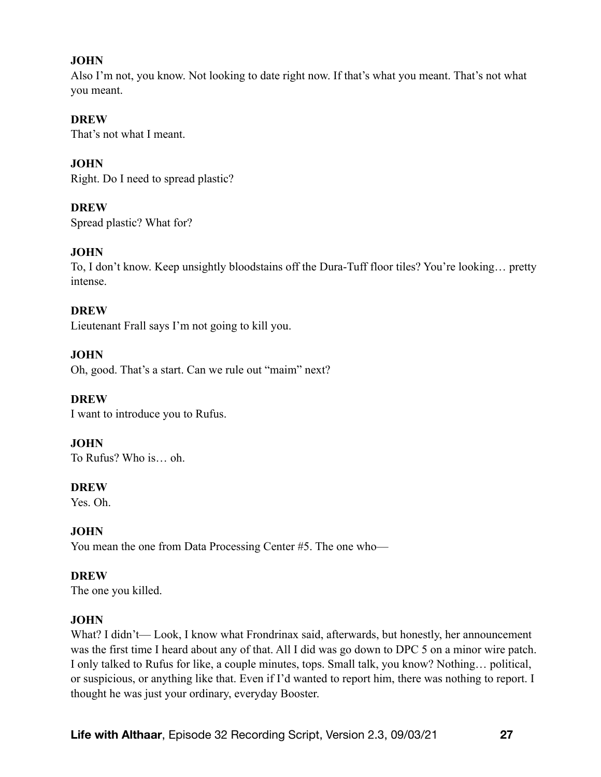# **JOHN**

Also I'm not, you know. Not looking to date right now. If that's what you meant. That's not what you meant.

#### **DREW**

That's not what I meant.

# **JOHN**

Right. Do I need to spread plastic?

# **DREW**

Spread plastic? What for?

# **JOHN**

To, I don't know. Keep unsightly bloodstains off the Dura-Tuff floor tiles? You're looking… pretty intense.

# **DREW**

Lieutenant Frall says I'm not going to kill you.

# **JOHN**

Oh, good. That's a start. Can we rule out "maim" next?

# **DREW**

I want to introduce you to Rufus.

# **JOHN**

To Rufus? Who is… oh.

#### **DREW**

Yes. Oh.

# **JOHN**

You mean the one from Data Processing Center #5. The one who—

# **DREW**

The one you killed.

# **JOHN**

What? I didn't— Look, I know what Frondrinax said, afterwards, but honestly, her announcement was the first time I heard about any of that. All I did was go down to DPC 5 on a minor wire patch. I only talked to Rufus for like, a couple minutes, tops. Small talk, you know? Nothing… political, or suspicious, or anything like that. Even if I'd wanted to report him, there was nothing to report. I thought he was just your ordinary, everyday Booster.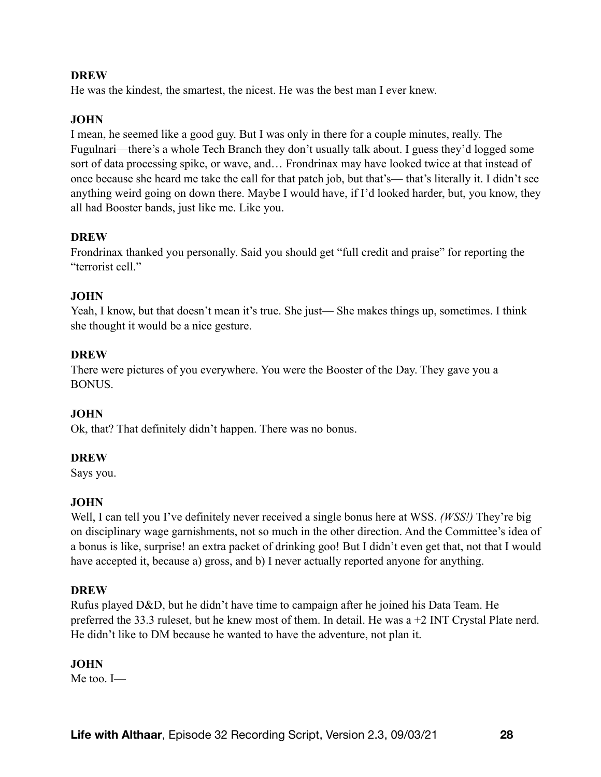#### **DREW**

He was the kindest, the smartest, the nicest. He was the best man I ever knew.

# **JOHN**

I mean, he seemed like a good guy. But I was only in there for a couple minutes, really. The Fugulnari—there's a whole Tech Branch they don't usually talk about. I guess they'd logged some sort of data processing spike, or wave, and… Frondrinax may have looked twice at that instead of once because she heard me take the call for that patch job, but that's— that's literally it. I didn't see anything weird going on down there. Maybe I would have, if I'd looked harder, but, you know, they all had Booster bands, just like me. Like you.

# **DREW**

Frondrinax thanked you personally. Said you should get "full credit and praise" for reporting the "terrorist cell."

# **JOHN**

Yeah, I know, but that doesn't mean it's true. She just— She makes things up, sometimes. I think she thought it would be a nice gesture.

# **DREW**

There were pictures of you everywhere. You were the Booster of the Day. They gave you a BONUS.

#### **JOHN**

Ok, that? That definitely didn't happen. There was no bonus.

#### **DREW**

Says you.

#### **JOHN**

Well, I can tell you I've definitely never received a single bonus here at WSS. *(WSS!)* They're big on disciplinary wage garnishments, not so much in the other direction. And the Committee's idea of a bonus is like, surprise! an extra packet of drinking goo! But I didn't even get that, not that I would have accepted it, because a) gross, and b) I never actually reported anyone for anything.

#### **DREW**

Rufus played D&D, but he didn't have time to campaign after he joined his Data Team. He preferred the 33.3 ruleset, but he knew most of them. In detail. He was a +2 INT Crystal Plate nerd. He didn't like to DM because he wanted to have the adventure, not plan it.

#### **JOHN**

Me too. I—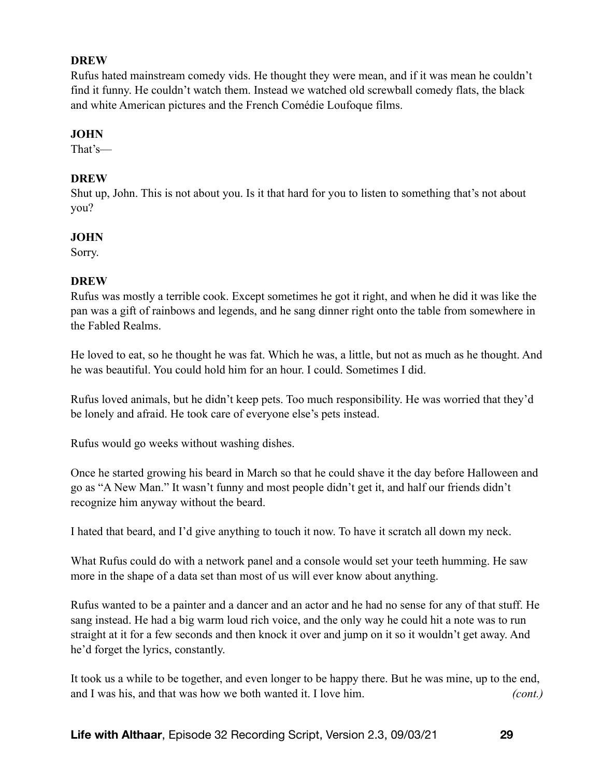#### **DREW**

Rufus hated mainstream comedy vids. He thought they were mean, and if it was mean he couldn't find it funny. He couldn't watch them. Instead we watched old screwball comedy flats, the black and white American pictures and the French Comédie Loufoque films.

# **JOHN**

That's—

# **DREW**

Shut up, John. This is not about you. Is it that hard for you to listen to something that's not about you?

# **JOHN**

Sorry.

# **DREW**

Rufus was mostly a terrible cook. Except sometimes he got it right, and when he did it was like the pan was a gift of rainbows and legends, and he sang dinner right onto the table from somewhere in the Fabled Realms.

He loved to eat, so he thought he was fat. Which he was, a little, but not as much as he thought. And he was beautiful. You could hold him for an hour. I could. Sometimes I did.

Rufus loved animals, but he didn't keep pets. Too much responsibility. He was worried that they'd be lonely and afraid. He took care of everyone else's pets instead.

Rufus would go weeks without washing dishes.

Once he started growing his beard in March so that he could shave it the day before Halloween and go as "A New Man." It wasn't funny and most people didn't get it, and half our friends didn't recognize him anyway without the beard.

I hated that beard, and I'd give anything to touch it now. To have it scratch all down my neck.

What Rufus could do with a network panel and a console would set your teeth humming. He saw more in the shape of a data set than most of us will ever know about anything.

Rufus wanted to be a painter and a dancer and an actor and he had no sense for any of that stuff. He sang instead. He had a big warm loud rich voice, and the only way he could hit a note was to run straight at it for a few seconds and then knock it over and jump on it so it wouldn't get away. And he'd forget the lyrics, constantly.

It took us a while to be together, and even longer to be happy there. But he was mine, up to the end, and I was his, and that was how we both wanted it. I love him. *(cont.)*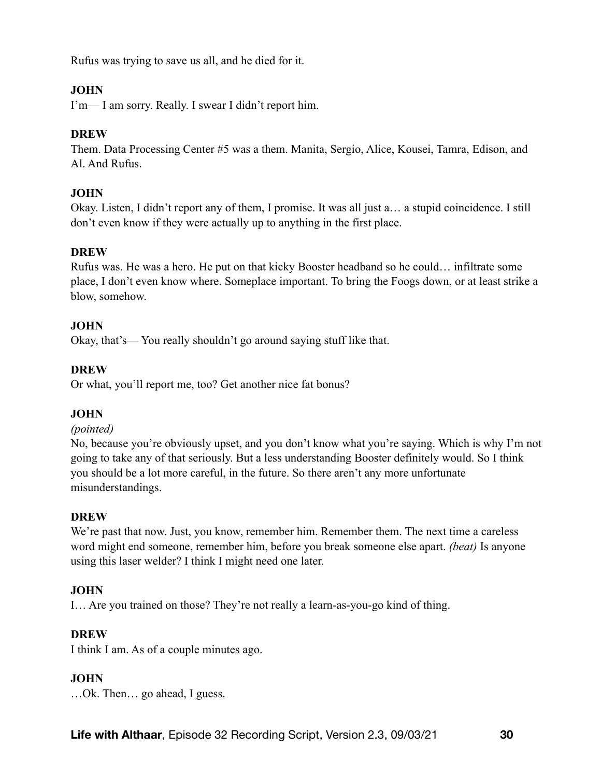Rufus was trying to save us all, and he died for it.

# **JOHN**

I'm— I am sorry. Really. I swear I didn't report him.

## **DREW**

Them. Data Processing Center #5 was a them. Manita, Sergio, Alice, Kousei, Tamra, Edison, and Al. And Rufus.

# **JOHN**

Okay. Listen, I didn't report any of them, I promise. It was all just a… a stupid coincidence. I still don't even know if they were actually up to anything in the first place.

#### **DREW**

Rufus was. He was a hero. He put on that kicky Booster headband so he could… infiltrate some place, I don't even know where. Someplace important. To bring the Foogs down, or at least strike a blow, somehow.

# **JOHN**

Okay, that's— You really shouldn't go around saying stuff like that.

# **DREW**

Or what, you'll report me, too? Get another nice fat bonus?

# **JOHN**

#### *(pointed)*

No, because you're obviously upset, and you don't know what you're saying. Which is why I'm not going to take any of that seriously. But a less understanding Booster definitely would. So I think you should be a lot more careful, in the future. So there aren't any more unfortunate misunderstandings.

#### **DREW**

We're past that now. Just, you know, remember him. Remember them. The next time a careless word might end someone, remember him, before you break someone else apart. *(beat)* Is anyone using this laser welder? I think I might need one later.

# **JOHN**

I… Are you trained on those? They're not really a learn-as-you-go kind of thing.

# **DREW**

I think I am. As of a couple minutes ago.

# **JOHN**

…Ok. Then… go ahead, I guess.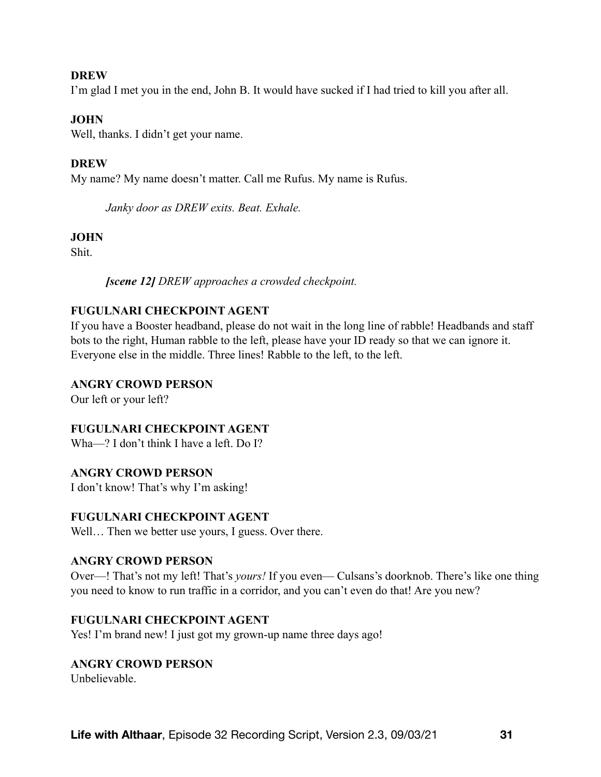#### **DREW**

I'm glad I met you in the end, John B. It would have sucked if I had tried to kill you after all.

#### **JOHN**

Well, thanks. I didn't get your name.

## **DREW**

My name? My name doesn't matter. Call me Rufus. My name is Rufus.

*Janky door as DREW exits. Beat. Exhale.* 

#### **JOHN**

Shit.

*[scene 12] DREW approaches a crowded checkpoint.* 

## **FUGULNARI CHECKPOINT AGENT**

If you have a Booster headband, please do not wait in the long line of rabble! Headbands and staff bots to the right, Human rabble to the left, please have your ID ready so that we can ignore it. Everyone else in the middle. Three lines! Rabble to the left, to the left.

## **ANGRY CROWD PERSON**

Our left or your left?

#### **FUGULNARI CHECKPOINT AGENT**

Wha—? I don't think I have a left. Do I?

#### **ANGRY CROWD PERSON**

I don't know! That's why I'm asking!

#### **FUGULNARI CHECKPOINT AGENT**

Well... Then we better use yours, I guess. Over there.

#### **ANGRY CROWD PERSON**

Over—! That's not my left! That's *yours!* If you even— Culsans's doorknob. There's like one thing you need to know to run traffic in a corridor, and you can't even do that! Are you new?

#### **FUGULNARI CHECKPOINT AGENT**

Yes! I'm brand new! I just got my grown-up name three days ago!

#### **ANGRY CROWD PERSON**

Unbelievable.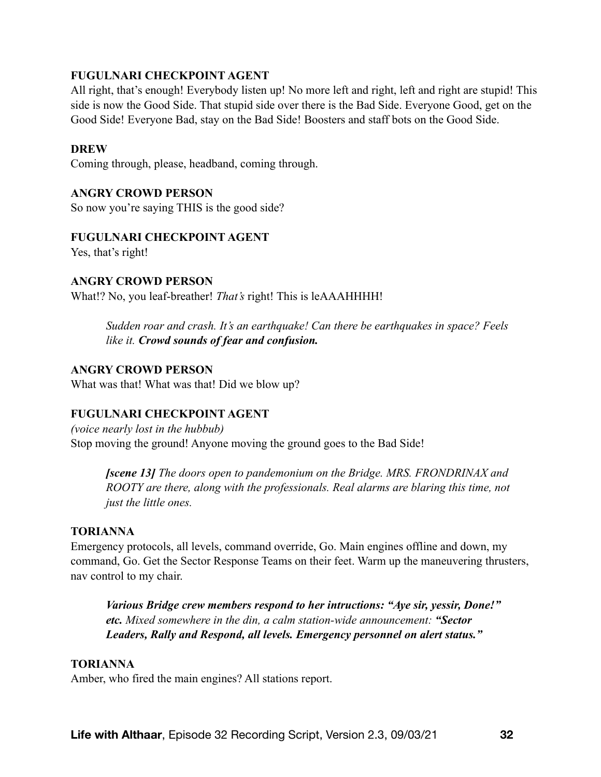## **FUGULNARI CHECKPOINT AGENT**

All right, that's enough! Everybody listen up! No more left and right, left and right are stupid! This side is now the Good Side. That stupid side over there is the Bad Side. Everyone Good, get on the Good Side! Everyone Bad, stay on the Bad Side! Boosters and staff bots on the Good Side.

#### **DREW**

Coming through, please, headband, coming through.

#### **ANGRY CROWD PERSON**

So now you're saying THIS is the good side?

#### **FUGULNARI CHECKPOINT AGENT**

Yes, that's right!

#### **ANGRY CROWD PERSON**

What!? No, you leaf-breather! *That's* right! This is leAAAHHHH!

*Sudden roar and crash. It's an earthquake! Can there be earthquakes in space? Feels like it. Crowd sounds of fear and confusion.*

#### **ANGRY CROWD PERSON**

What was that! What was that! Did we blow up?

#### **FUGULNARI CHECKPOINT AGENT**

*(voice nearly lost in the hubbub)*  Stop moving the ground! Anyone moving the ground goes to the Bad Side!

*[scene 13] The doors open to pandemonium on the Bridge. MRS. FRONDRINAX and ROOTY are there, along with the professionals. Real alarms are blaring this time, not just the little ones.* 

#### **TORIANNA**

Emergency protocols, all levels, command override, Go. Main engines offline and down, my command, Go. Get the Sector Response Teams on their feet. Warm up the maneuvering thrusters, nav control to my chair.

*Various Bridge crew members respond to her intructions: "Aye sir, yessir, Done!" etc. Mixed somewhere in the din, a calm station-wide announcement: "Sector Leaders, Rally and Respond, all levels. Emergency personnel on alert status."*

#### **TORIANNA**

Amber, who fired the main engines? All stations report.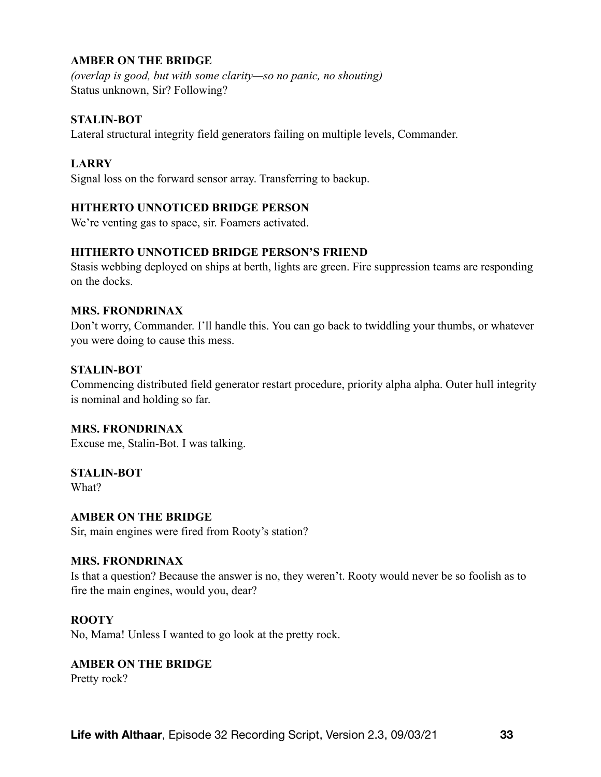# **AMBER ON THE BRIDGE**

*(overlap is good, but with some clarity—so no panic, no shouting)*  Status unknown, Sir? Following?

#### **STALIN-BOT**

Lateral structural integrity field generators failing on multiple levels, Commander.

#### **LARRY**

Signal loss on the forward sensor array. Transferring to backup.

#### **HITHERTO UNNOTICED BRIDGE PERSON**

We're venting gas to space, sir. Foamers activated.

#### **HITHERTO UNNOTICED BRIDGE PERSON'S FRIEND**

Stasis webbing deployed on ships at berth, lights are green. Fire suppression teams are responding on the docks.

#### **MRS. FRONDRINAX**

Don't worry, Commander. I'll handle this. You can go back to twiddling your thumbs, or whatever you were doing to cause this mess.

#### **STALIN-BOT**

Commencing distributed field generator restart procedure, priority alpha alpha. Outer hull integrity is nominal and holding so far.

#### **MRS. FRONDRINAX**

Excuse me, Stalin-Bot. I was talking.

# **STALIN-BOT**

What?

#### **AMBER ON THE BRIDGE**

Sir, main engines were fired from Rooty's station?

#### **MRS. FRONDRINAX**

Is that a question? Because the answer is no, they weren't. Rooty would never be so foolish as to fire the main engines, would you, dear?

#### **ROOTY**

No, Mama! Unless I wanted to go look at the pretty rock.

#### **AMBER ON THE BRIDGE**

Pretty rock?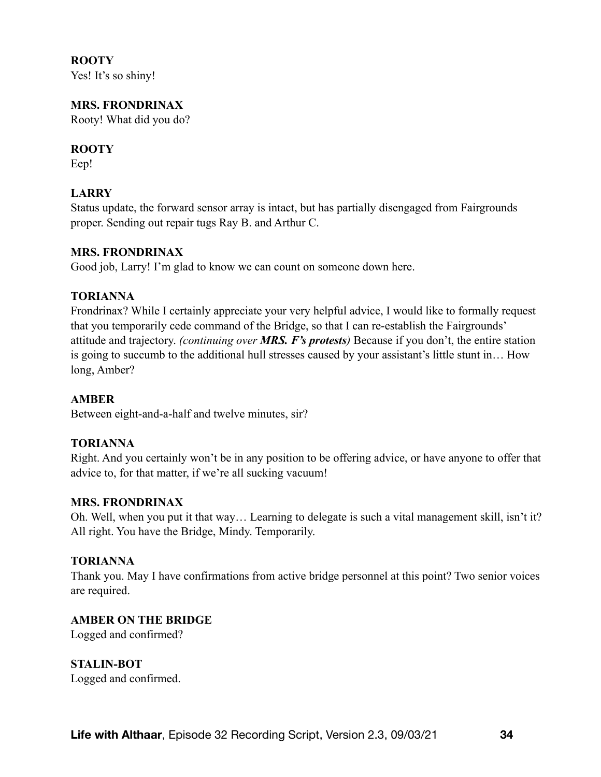**ROOTY** 

Yes! It's so shiny!

## **MRS. FRONDRINAX**

Rooty! What did you do?

## **ROOTY**

Eep!

# **LARRY**

Status update, the forward sensor array is intact, but has partially disengaged from Fairgrounds proper. Sending out repair tugs Ray B. and Arthur C.

#### **MRS. FRONDRINAX**

Good job, Larry! I'm glad to know we can count on someone down here.

#### **TORIANNA**

Frondrinax? While I certainly appreciate your very helpful advice, I would like to formally request that you temporarily cede command of the Bridge, so that I can re-establish the Fairgrounds' attitude and trajectory. *(continuing over MRS. F's protests)* Because if you don't, the entire station is going to succumb to the additional hull stresses caused by your assistant's little stunt in… How long, Amber?

#### **AMBER**

Between eight-and-a-half and twelve minutes, sir?

#### **TORIANNA**

Right. And you certainly won't be in any position to be offering advice, or have anyone to offer that advice to, for that matter, if we're all sucking vacuum!

#### **MRS. FRONDRINAX**

Oh. Well, when you put it that way… Learning to delegate is such a vital management skill, isn't it? All right. You have the Bridge, Mindy. Temporarily.

#### **TORIANNA**

Thank you. May I have confirmations from active bridge personnel at this point? Two senior voices are required.

#### **AMBER ON THE BRIDGE**

Logged and confirmed?

**STALIN-BOT**  Logged and confirmed.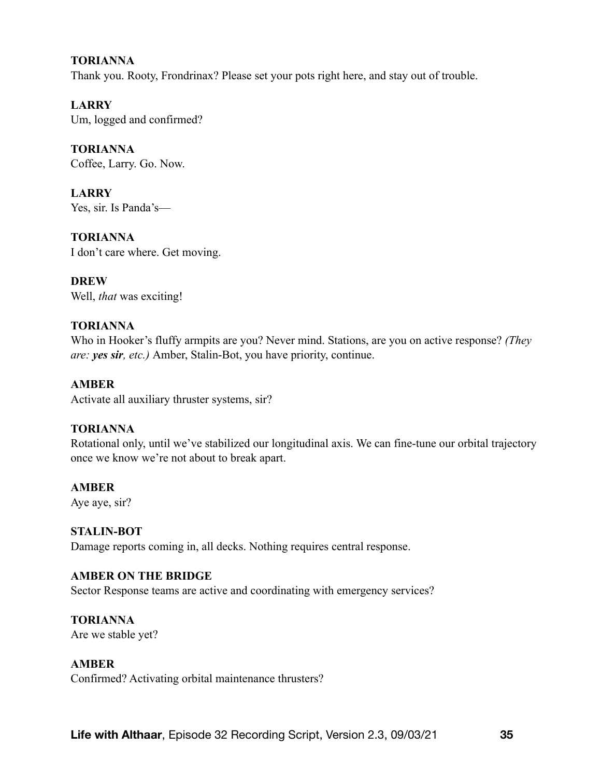#### **TORIANNA**

Thank you. Rooty, Frondrinax? Please set your pots right here, and stay out of trouble.

**LARRY**  Um, logged and confirmed?

**TORIANNA**  Coffee, Larry. Go. Now.

**LARRY** Yes, sir. Is Panda's—

**TORIANNA** I don't care where. Get moving.

**DREW**  Well, *that* was exciting!

#### **TORIANNA**

Who in Hooker's fluffy armpits are you? Never mind. Stations, are you on active response? *(They are: yes sir, etc.)* Amber, Stalin-Bot, you have priority, continue.

#### **AMBER**

Activate all auxiliary thruster systems, sir?

#### **TORIANNA**

Rotational only, until we've stabilized our longitudinal axis. We can fine-tune our orbital trajectory once we know we're not about to break apart.

#### **AMBER**

Aye aye, sir?

#### **STALIN-BOT**

Damage reports coming in, all decks. Nothing requires central response.

#### **AMBER ON THE BRIDGE**

Sector Response teams are active and coordinating with emergency services?

# **TORIANNA**

Are we stable yet?

#### **AMBER**

Confirmed? Activating orbital maintenance thrusters?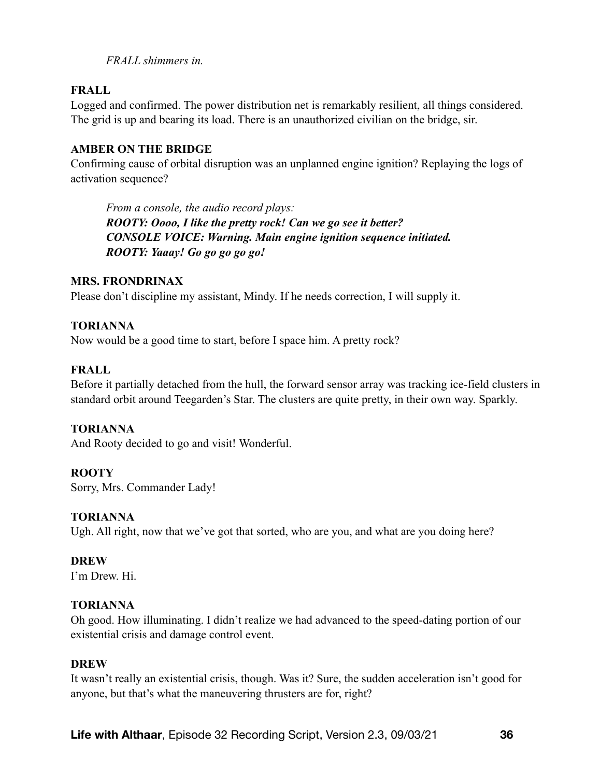*FRALL shimmers in.* 

#### **FRALL**

Logged and confirmed. The power distribution net is remarkably resilient, all things considered. The grid is up and bearing its load. There is an unauthorized civilian on the bridge, sir.

#### **AMBER ON THE BRIDGE**

Confirming cause of orbital disruption was an unplanned engine ignition? Replaying the logs of activation sequence?

*From a console, the audio record plays: ROOTY: Oooo, I like the pretty rock! Can we go see it better? CONSOLE VOICE: Warning. Main engine ignition sequence initiated. ROOTY: Yaaay! Go go go go go!*

# **MRS. FRONDRINAX**

Please don't discipline my assistant, Mindy. If he needs correction, I will supply it.

# **TORIANNA**

Now would be a good time to start, before I space him. A pretty rock?

# **FRALL**

Before it partially detached from the hull, the forward sensor array was tracking ice-field clusters in standard orbit around Teegarden's Star. The clusters are quite pretty, in their own way. Sparkly.

# **TORIANNA**

And Rooty decided to go and visit! Wonderful.

#### **ROOTY**

Sorry, Mrs. Commander Lady!

#### **TORIANNA**

Ugh. All right, now that we've got that sorted, who are you, and what are you doing here?

#### **DREW**

I'm Drew. Hi.

#### **TORIANNA**

Oh good. How illuminating. I didn't realize we had advanced to the speed-dating portion of our existential crisis and damage control event.

#### **DREW**

It wasn't really an existential crisis, though. Was it? Sure, the sudden acceleration isn't good for anyone, but that's what the maneuvering thrusters are for, right?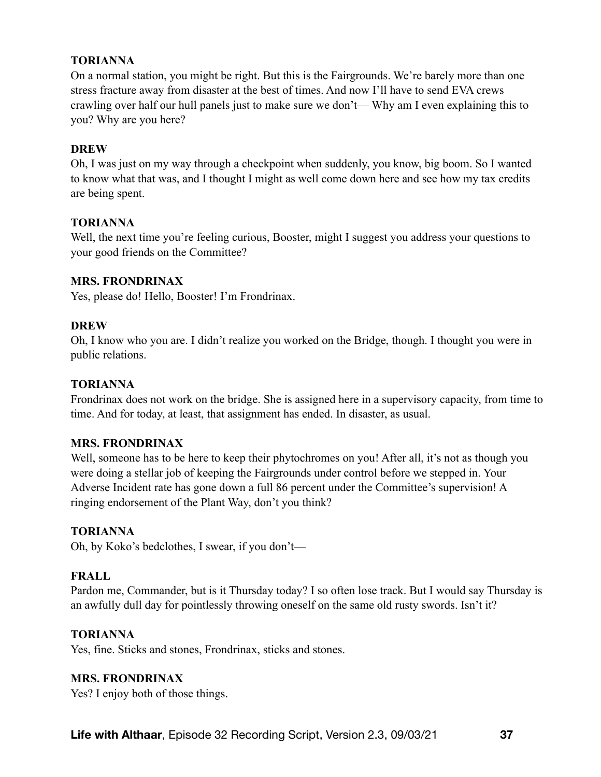### **TORIANNA**

On a normal station, you might be right. But this is the Fairgrounds. We're barely more than one stress fracture away from disaster at the best of times. And now I'll have to send EVA crews crawling over half our hull panels just to make sure we don't— Why am I even explaining this to you? Why are you here?

## **DREW**

Oh, I was just on my way through a checkpoint when suddenly, you know, big boom. So I wanted to know what that was, and I thought I might as well come down here and see how my tax credits are being spent.

## **TORIANNA**

Well, the next time you're feeling curious, Booster, might I suggest you address your questions to your good friends on the Committee?

#### **MRS. FRONDRINAX**

Yes, please do! Hello, Booster! I'm Frondrinax.

## **DREW**

Oh, I know who you are. I didn't realize you worked on the Bridge, though. I thought you were in public relations.

# **TORIANNA**

Frondrinax does not work on the bridge. She is assigned here in a supervisory capacity, from time to time. And for today, at least, that assignment has ended. In disaster, as usual.

#### **MRS. FRONDRINAX**

Well, someone has to be here to keep their phytochromes on you! After all, it's not as though you were doing a stellar job of keeping the Fairgrounds under control before we stepped in. Your Adverse Incident rate has gone down a full 86 percent under the Committee's supervision! A ringing endorsement of the Plant Way, don't you think?

#### **TORIANNA**

Oh, by Koko's bedclothes, I swear, if you don't—

# **FRALL**

Pardon me, Commander, but is it Thursday today? I so often lose track. But I would say Thursday is an awfully dull day for pointlessly throwing oneself on the same old rusty swords. Isn't it?

#### **TORIANNA**

Yes, fine. Sticks and stones, Frondrinax, sticks and stones.

#### **MRS. FRONDRINAX**

Yes? I enjoy both of those things.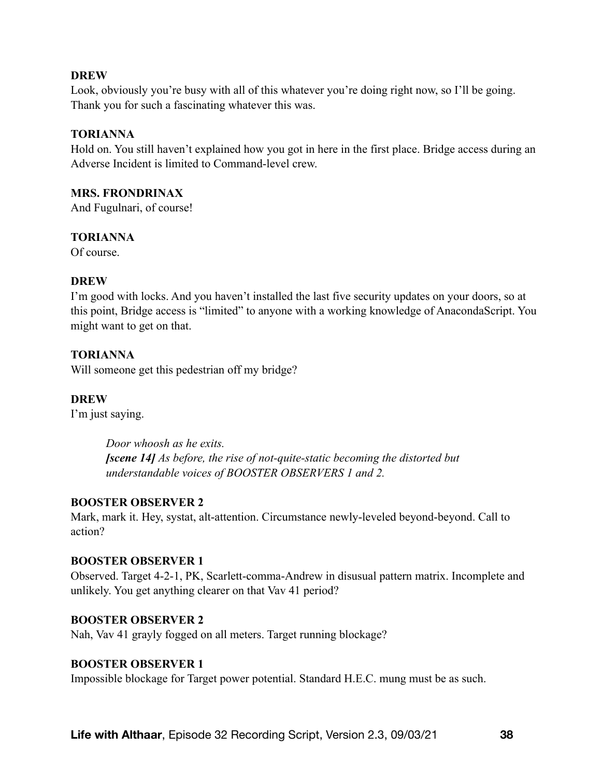Look, obviously you're busy with all of this whatever you're doing right now, so I'll be going. Thank you for such a fascinating whatever this was.

#### **TORIANNA**

Hold on. You still haven't explained how you got in here in the first place. Bridge access during an Adverse Incident is limited to Command-level crew.

#### **MRS. FRONDRINAX**

And Fugulnari, of course!

#### **TORIANNA**

Of course.

#### **DREW**

I'm good with locks. And you haven't installed the last five security updates on your doors, so at this point, Bridge access is "limited" to anyone with a working knowledge of AnacondaScript. You might want to get on that.

#### **TORIANNA**

Will someone get this pedestrian off my bridge?

#### **DREW**

I'm just saying.

*Door whoosh as he exits. [scene 14] As before, the rise of not-quite-static becoming the distorted but understandable voices of BOOSTER OBSERVERS 1 and 2.* 

#### **BOOSTER OBSERVER 2**

Mark, mark it. Hey, systat, alt-attention. Circumstance newly-leveled beyond-beyond. Call to action?

#### **BOOSTER OBSERVER 1**

Observed. Target 4-2-1, PK, Scarlett-comma-Andrew in disusual pattern matrix. Incomplete and unlikely. You get anything clearer on that Vav 41 period?

#### **BOOSTER OBSERVER 2**

Nah, Vav 41 grayly fogged on all meters. Target running blockage?

#### **BOOSTER OBSERVER 1**

Impossible blockage for Target power potential. Standard H.E.C. mung must be as such.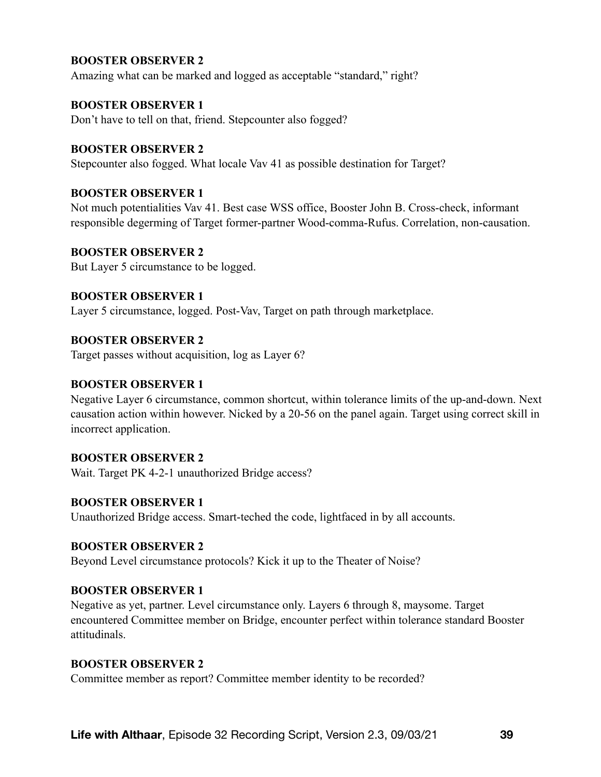### **BOOSTER OBSERVER 2**

Amazing what can be marked and logged as acceptable "standard," right?

#### **BOOSTER OBSERVER 1**

Don't have to tell on that, friend. Stepcounter also fogged?

#### **BOOSTER OBSERVER 2**

Stepcounter also fogged. What locale Vav 41 as possible destination for Target?

#### **BOOSTER OBSERVER 1**

Not much potentialities Vav 41. Best case WSS office, Booster John B. Cross-check, informant responsible degerming of Target former-partner Wood-comma-Rufus. Correlation, non-causation.

#### **BOOSTER OBSERVER 2**

But Layer 5 circumstance to be logged.

#### **BOOSTER OBSERVER 1**

Layer 5 circumstance, logged. Post-Vav, Target on path through marketplace.

#### **BOOSTER OBSERVER 2**

Target passes without acquisition, log as Layer 6?

#### **BOOSTER OBSERVER 1**

Negative Layer 6 circumstance, common shortcut, within tolerance limits of the up-and-down. Next causation action within however. Nicked by a 20-56 on the panel again. Target using correct skill in incorrect application.

#### **BOOSTER OBSERVER 2**

Wait. Target PK 4-2-1 unauthorized Bridge access?

#### **BOOSTER OBSERVER 1**

Unauthorized Bridge access. Smart-teched the code, lightfaced in by all accounts.

#### **BOOSTER OBSERVER 2**

Beyond Level circumstance protocols? Kick it up to the Theater of Noise?

#### **BOOSTER OBSERVER 1**

Negative as yet, partner. Level circumstance only. Layers 6 through 8, maysome. Target encountered Committee member on Bridge, encounter perfect within tolerance standard Booster attitudinals.

#### **BOOSTER OBSERVER 2**

Committee member as report? Committee member identity to be recorded?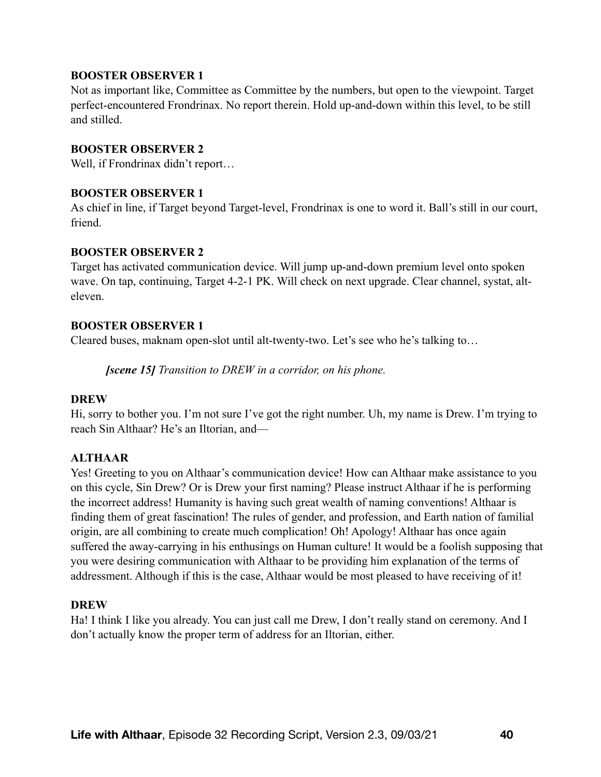#### **BOOSTER OBSERVER 1**

Not as important like, Committee as Committee by the numbers, but open to the viewpoint. Target perfect-encountered Frondrinax. No report therein. Hold up-and-down within this level, to be still and stilled.

#### **BOOSTER OBSERVER 2**

Well, if Frondrinax didn't report...

#### **BOOSTER OBSERVER 1**

As chief in line, if Target beyond Target-level, Frondrinax is one to word it. Ball's still in our court, friend.

#### **BOOSTER OBSERVER 2**

Target has activated communication device. Will jump up-and-down premium level onto spoken wave. On tap, continuing, Target 4-2-1 PK. Will check on next upgrade. Clear channel, systat, alteleven.

#### **BOOSTER OBSERVER 1**

Cleared buses, maknam open-slot until alt-twenty-two. Let's see who he's talking to…

*[scene 15] Transition to DREW in a corridor, on his phone.* 

#### **DREW**

Hi, sorry to bother you. I'm not sure I've got the right number. Uh, my name is Drew. I'm trying to reach Sin Althaar? He's an Iltorian, and—

#### **ALTHAAR**

Yes! Greeting to you on Althaar's communication device! How can Althaar make assistance to you on this cycle, Sin Drew? Or is Drew your first naming? Please instruct Althaar if he is performing the incorrect address! Humanity is having such great wealth of naming conventions! Althaar is finding them of great fascination! The rules of gender, and profession, and Earth nation of familial origin, are all combining to create much complication! Oh! Apology! Althaar has once again suffered the away-carrying in his enthusings on Human culture! It would be a foolish supposing that you were desiring communication with Althaar to be providing him explanation of the terms of addressment. Although if this is the case, Althaar would be most pleased to have receiving of it!

#### **DREW**

Ha! I think I like you already. You can just call me Drew, I don't really stand on ceremony. And I don't actually know the proper term of address for an Iltorian, either.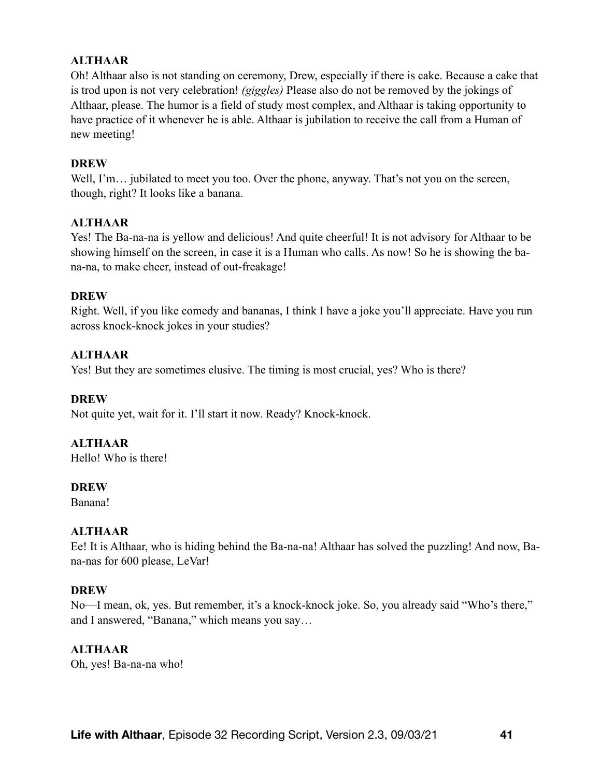# **ALTHAAR**

Oh! Althaar also is not standing on ceremony, Drew, especially if there is cake. Because a cake that is trod upon is not very celebration! *(giggles)* Please also do not be removed by the jokings of Althaar, please. The humor is a field of study most complex, and Althaar is taking opportunity to have practice of it whenever he is able. Althaar is jubilation to receive the call from a Human of new meeting!

#### **DREW**

Well, I'm... jubilated to meet you too. Over the phone, anyway. That's not you on the screen, though, right? It looks like a banana.

#### **ALTHAAR**

Yes! The Ba-na-na is yellow and delicious! And quite cheerful! It is not advisory for Althaar to be showing himself on the screen, in case it is a Human who calls. As now! So he is showing the bana-na, to make cheer, instead of out-freakage!

#### **DREW**

Right. Well, if you like comedy and bananas, I think I have a joke you'll appreciate. Have you run across knock-knock jokes in your studies?

#### **ALTHAAR**

Yes! But they are sometimes elusive. The timing is most crucial, yes? Who is there?

#### **DREW**

Not quite yet, wait for it. I'll start it now. Ready? Knock-knock.

#### **ALTHAAR**

Hello! Who is there!

#### **DREW**

Banana!

#### **ALTHAAR**

Ee! It is Althaar, who is hiding behind the Ba-na-na! Althaar has solved the puzzling! And now, Bana-nas for 600 please, LeVar!

#### **DREW**

No—I mean, ok, yes. But remember, it's a knock-knock joke. So, you already said "Who's there," and I answered, "Banana," which means you say…

#### **ALTHAAR**

Oh, yes! Ba-na-na who!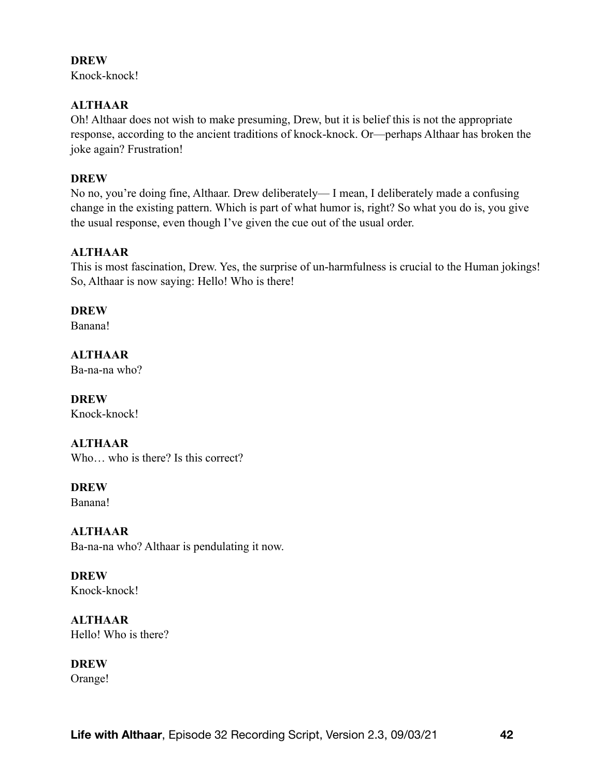Knock-knock!

### **ALTHAAR**

Oh! Althaar does not wish to make presuming, Drew, but it is belief this is not the appropriate response, according to the ancient traditions of knock-knock. Or—perhaps Althaar has broken the joke again? Frustration!

### **DREW**

No no, you're doing fine, Althaar. Drew deliberately— I mean, I deliberately made a confusing change in the existing pattern. Which is part of what humor is, right? So what you do is, you give the usual response, even though I've given the cue out of the usual order.

## **ALTHAAR**

This is most fascination, Drew. Yes, the surprise of un-harmfulness is crucial to the Human jokings! So, Althaar is now saying: Hello! Who is there!

## **DREW**

Banana!

**ALTHAAR** 

Ba-na-na who?

**DREW**  Knock-knock!

# **ALTHAAR**

Who... who is there? Is this correct?

**DREW** 

Banana!

# **ALTHAAR**

Ba-na-na who? Althaar is pendulating it now.

**DREW**  Knock-knock!

**ALTHAAR**  Hello! Who is there?

# **DREW**

Orange!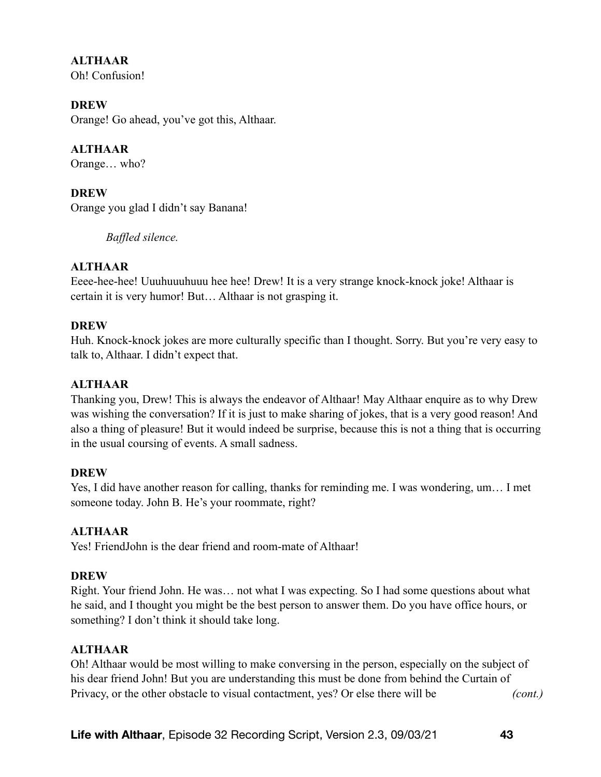**ALTHAAR**  Oh! Confusion!

**DREW** 

Orange! Go ahead, you've got this, Althaar.

**ALTHAAR**  Orange… who?

**DREW**  Orange you glad I didn't say Banana!

*Baffled silence.* 

#### **ALTHAAR**

Eeee-hee-hee! Uuuhuuuhuuu hee hee! Drew! It is a very strange knock-knock joke! Althaar is certain it is very humor! But… Althaar is not grasping it.

#### **DREW**

Huh. Knock-knock jokes are more culturally specific than I thought. Sorry. But you're very easy to talk to, Althaar. I didn't expect that.

### **ALTHAAR**

Thanking you, Drew! This is always the endeavor of Althaar! May Althaar enquire as to why Drew was wishing the conversation? If it is just to make sharing of jokes, that is a very good reason! And also a thing of pleasure! But it would indeed be surprise, because this is not a thing that is occurring in the usual coursing of events. A small sadness.

#### **DREW**

Yes, I did have another reason for calling, thanks for reminding me. I was wondering, um… I met someone today. John B. He's your roommate, right?

#### **ALTHAAR**

Yes! FriendJohn is the dear friend and room-mate of Althaar!

#### **DREW**

Right. Your friend John. He was… not what I was expecting. So I had some questions about what he said, and I thought you might be the best person to answer them. Do you have office hours, or something? I don't think it should take long.

#### **ALTHAAR**

Oh! Althaar would be most willing to make conversing in the person, especially on the subject of his dear friend John! But you are understanding this must be done from behind the Curtain of Privacy, or the other obstacle to visual contactment, yes? Or else there will be *(cont.)*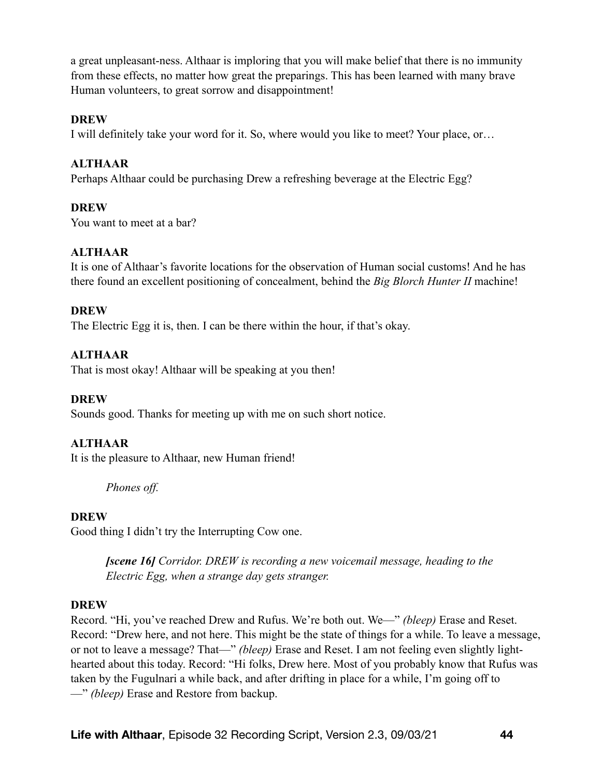a great unpleasant-ness. Althaar is imploring that you will make belief that there is no immunity from these effects, no matter how great the preparings. This has been learned with many brave Human volunteers, to great sorrow and disappointment!

#### **DREW**

I will definitely take your word for it. So, where would you like to meet? Your place, or…

#### **ALTHAAR**

Perhaps Althaar could be purchasing Drew a refreshing beverage at the Electric Egg?

#### **DREW**

You want to meet at a bar?

#### **ALTHAAR**

It is one of Althaar's favorite locations for the observation of Human social customs! And he has there found an excellent positioning of concealment, behind the *Big Blorch Hunter II* machine!

#### **DREW**

The Electric Egg it is, then. I can be there within the hour, if that's okay.

#### **ALTHAAR**

That is most okay! Althaar will be speaking at you then!

#### **DREW**

Sounds good. Thanks for meeting up with me on such short notice.

#### **ALTHAAR**

It is the pleasure to Althaar, new Human friend!

*Phones off.* 

#### **DREW**

Good thing I didn't try the Interrupting Cow one.

*[scene 16] Corridor. DREW is recording a new voicemail message, heading to the Electric Egg, when a strange day gets stranger.* 

#### **DREW**

Record. "Hi, you've reached Drew and Rufus. We're both out. We—" *(bleep)* Erase and Reset. Record: "Drew here, and not here. This might be the state of things for a while. To leave a message, or not to leave a message? That—" *(bleep)* Erase and Reset. I am not feeling even slightly lighthearted about this today. Record: "Hi folks, Drew here. Most of you probably know that Rufus was taken by the Fugulnari a while back, and after drifting in place for a while, I'm going off to —" *(bleep)* Erase and Restore from backup.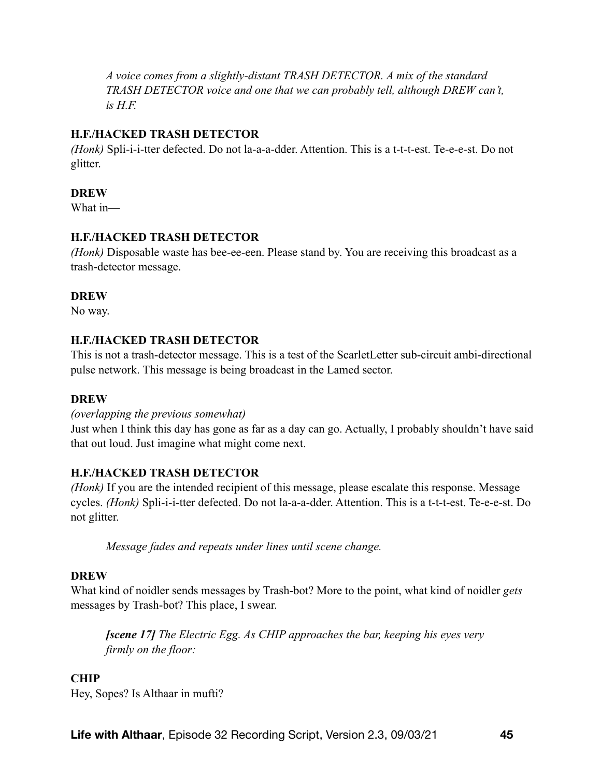*A voice comes from a slightly-distant TRASH DETECTOR. A mix of the standard TRASH DETECTOR voice and one that we can probably tell, although DREW can't, is H.F.* 

# **H.F./HACKED TRASH DETECTOR**

*(Honk)* Spli-i-i-tter defected. Do not la-a-a-dder. Attention. This is a t-t-t-est. Te-e-e-st. Do not glitter.

## **DREW**

What in—

## **H.F./HACKED TRASH DETECTOR**

*(Honk)* Disposable waste has bee-ee-een. Please stand by. You are receiving this broadcast as a trash-detector message.

## **DREW**

No way.

# **H.F./HACKED TRASH DETECTOR**

This is not a trash-detector message. This is a test of the ScarletLetter sub-circuit ambi-directional pulse network. This message is being broadcast in the Lamed sector.

#### **DREW**

#### *(overlapping the previous somewhat)*

Just when I think this day has gone as far as a day can go. Actually, I probably shouldn't have said that out loud. Just imagine what might come next.

#### **H.F./HACKED TRASH DETECTOR**

*(Honk)* If you are the intended recipient of this message, please escalate this response. Message cycles. *(Honk)* Spli-i-i-tter defected. Do not la-a-a-dder. Attention. This is a t-t-t-est. Te-e-e-st. Do not glitter.

*Message fades and repeats under lines until scene change.* 

#### **DREW**

What kind of noidler sends messages by Trash-bot? More to the point, what kind of noidler *gets* messages by Trash-bot? This place, I swear.

*[scene 17] The Electric Egg. As CHIP approaches the bar, keeping his eyes very firmly on the floor:* 

#### **CHIP**

Hey, Sopes? Is Althaar in mufti?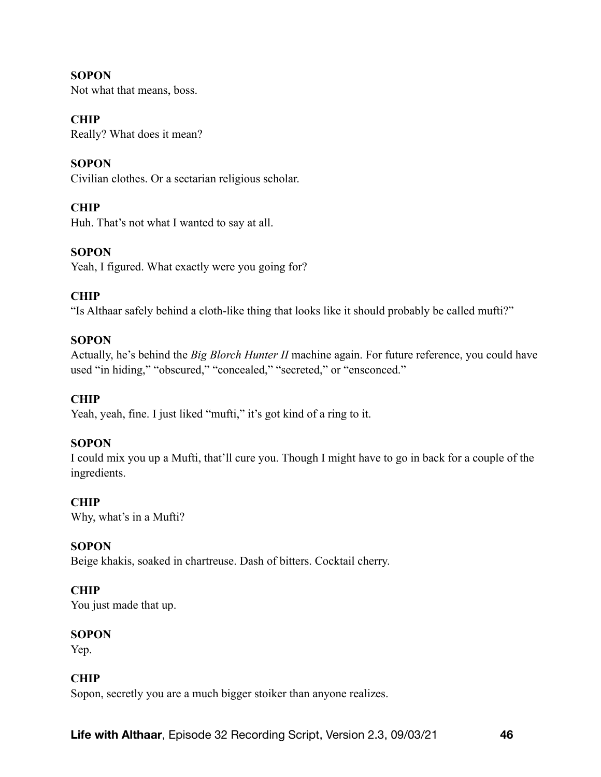**SOPON** Not what that means, boss.

**CHIP** 

Really? What does it mean?

**SOPON** Civilian clothes. Or a sectarian religious scholar.

# **CHIP**

Huh. That's not what I wanted to say at all.

## **SOPON**

Yeah, I figured. What exactly were you going for?

## **CHIP**

"Is Althaar safely behind a cloth-like thing that looks like it should probably be called mufti?"

### **SOPON**

Actually, he's behind the *Big Blorch Hunter II* machine again. For future reference, you could have used "in hiding," "obscured," "concealed," "secreted," or "ensconced."

#### **CHIP**

Yeah, yeah, fine. I just liked "mufti," it's got kind of a ring to it.

#### **SOPON**

I could mix you up a Mufti, that'll cure you. Though I might have to go in back for a couple of the ingredients.

#### **CHIP**

Why, what's in a Mufti?

### **SOPON**

Beige khakis, soaked in chartreuse. Dash of bitters. Cocktail cherry.

#### **CHIP**

You just made that up.

#### **SOPON**

Yep.

# **CHIP**

Sopon, secretly you are a much bigger stoiker than anyone realizes.

**Life with Althaar**, Episode 32 Recording Script, Version 2.3, 09/03/21 **46**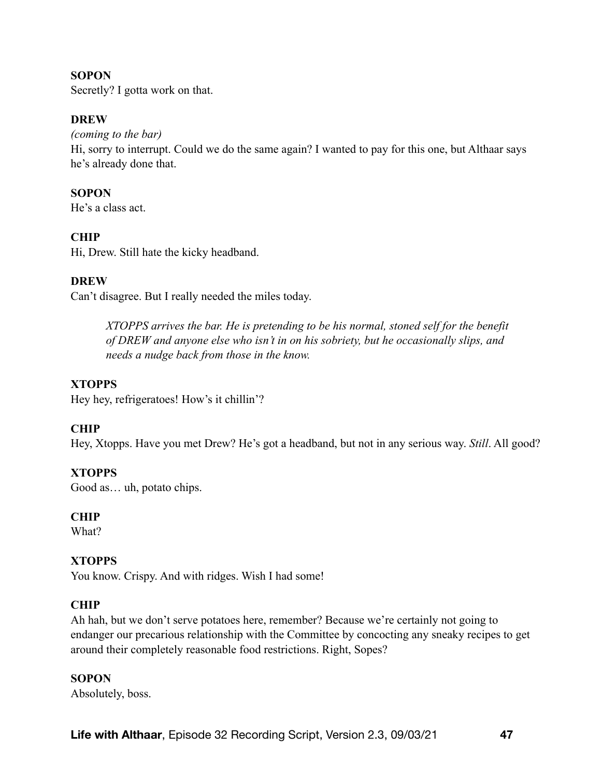#### **SOPON**

Secretly? I gotta work on that.

#### **DREW**

#### *(coming to the bar)*

Hi, sorry to interrupt. Could we do the same again? I wanted to pay for this one, but Althaar says he's already done that.

### **SOPON**

He's a class act.

# **CHIP**

Hi, Drew. Still hate the kicky headband.

## **DREW**

Can't disagree. But I really needed the miles today.

*XTOPPS arrives the bar. He is pretending to be his normal, stoned self for the benefit of DREW and anyone else who isn't in on his sobriety, but he occasionally slips, and needs a nudge back from those in the know.* 

# **XTOPPS**

Hey hey, refrigeratoes! How's it chillin'?

# **CHIP**

Hey, Xtopps. Have you met Drew? He's got a headband, but not in any serious way. *Still*. All good?

#### **XTOPPS**

Good as… uh, potato chips.

#### **CHIP**

What?

#### **XTOPPS**

You know. Crispy. And with ridges. Wish I had some!

#### **CHIP**

Ah hah, but we don't serve potatoes here, remember? Because we're certainly not going to endanger our precarious relationship with the Committee by concocting any sneaky recipes to get around their completely reasonable food restrictions. Right, Sopes?

#### **SOPON**

Absolutely, boss.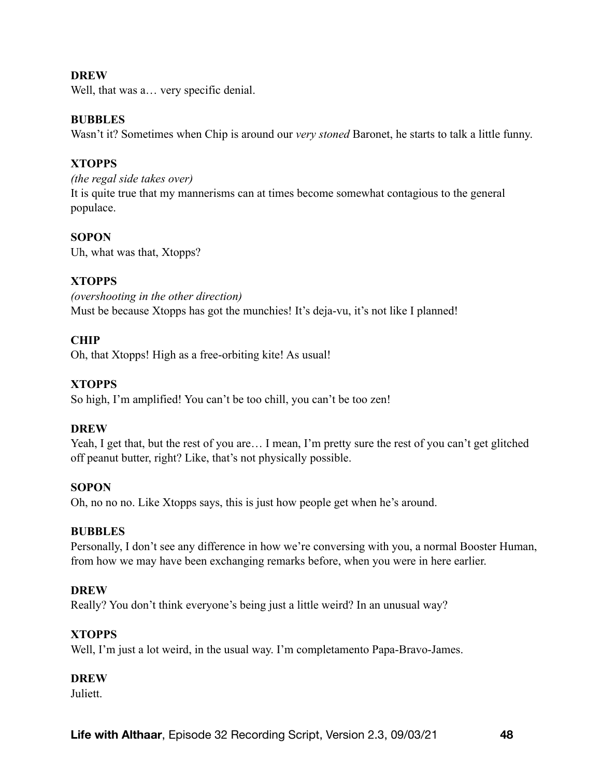Well, that was a... very specific denial.

#### **BUBBLES**

Wasn't it? Sometimes when Chip is around our *very stoned* Baronet, he starts to talk a little funny.

### **XTOPPS**

*(the regal side takes over)*  It is quite true that my mannerisms can at times become somewhat contagious to the general populace.

## **SOPON**

Uh, what was that, Xtopps?

## **XTOPPS**

*(overshooting in the other direction)*  Must be because Xtopps has got the munchies! It's deja-vu, it's not like I planned!

## **CHIP**

Oh, that Xtopps! High as a free-orbiting kite! As usual!

## **XTOPPS**

So high, I'm amplified! You can't be too chill, you can't be too zen!

#### **DREW**

Yeah, I get that, but the rest of you are… I mean, I'm pretty sure the rest of you can't get glitched off peanut butter, right? Like, that's not physically possible.

# **SOPON**

Oh, no no no. Like Xtopps says, this is just how people get when he's around.

#### **BUBBLES**

Personally, I don't see any difference in how we're conversing with you, a normal Booster Human, from how we may have been exchanging remarks before, when you were in here earlier.

#### **DREW**

Really? You don't think everyone's being just a little weird? In an unusual way?

#### **XTOPPS**

Well, I'm just a lot weird, in the usual way. I'm completamento Papa-Bravo-James.

#### **DREW**

**Juliett**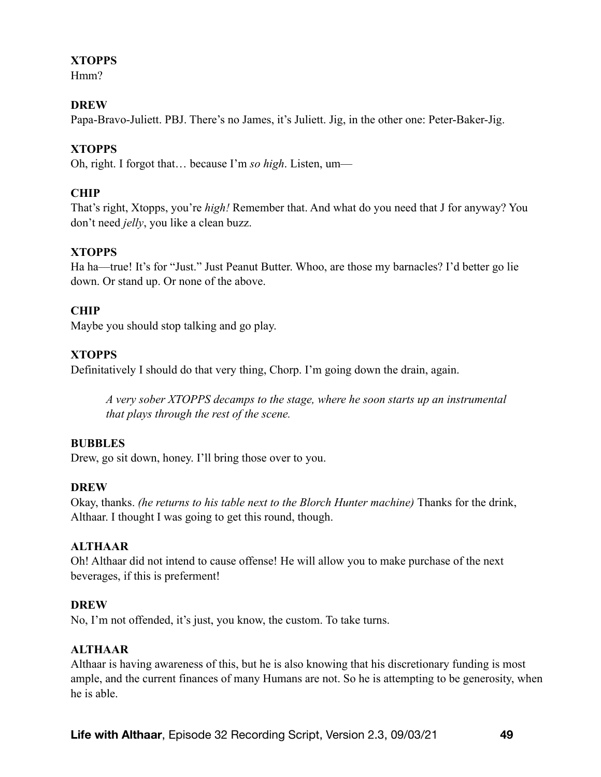# **XTOPPS**

Hmm?

# **DREW**

Papa-Bravo-Juliett. PBJ. There's no James, it's Juliett. Jig, in the other one: Peter-Baker-Jig.

# **XTOPPS**

Oh, right. I forgot that… because I'm *so high*. Listen, um—

# **CHIP**

That's right, Xtopps, you're *high!* Remember that. And what do you need that J for anyway? You don't need *jelly*, you like a clean buzz.

# **XTOPPS**

Ha ha—true! It's for "Just." Just Peanut Butter. Whoo, are those my barnacles? I'd better go lie down. Or stand up. Or none of the above.

# **CHIP**

Maybe you should stop talking and go play.

# **XTOPPS**

Definitatively I should do that very thing, Chorp. I'm going down the drain, again.

*A very sober XTOPPS decamps to the stage, where he soon starts up an instrumental that plays through the rest of the scene.* 

# **BUBBLES**

Drew, go sit down, honey. I'll bring those over to you.

# **DREW**

Okay, thanks. *(he returns to his table next to the Blorch Hunter machine)* Thanks for the drink, Althaar. I thought I was going to get this round, though.

# **ALTHAAR**

Oh! Althaar did not intend to cause offense! He will allow you to make purchase of the next beverages, if this is preferment!

# **DREW**

No, I'm not offended, it's just, you know, the custom. To take turns.

# **ALTHAAR**

Althaar is having awareness of this, but he is also knowing that his discretionary funding is most ample, and the current finances of many Humans are not. So he is attempting to be generosity, when he is able.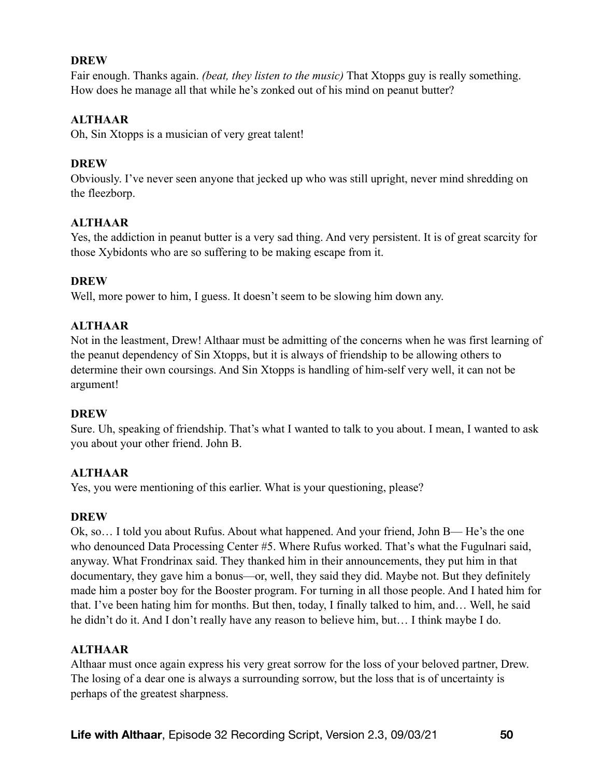Fair enough. Thanks again. *(beat, they listen to the music)* That Xtopps guy is really something. How does he manage all that while he's zonked out of his mind on peanut butter?

# **ALTHAAR**

Oh, Sin Xtopps is a musician of very great talent!

# **DREW**

Obviously. I've never seen anyone that jecked up who was still upright, never mind shredding on the fleezborp.

# **ALTHAAR**

Yes, the addiction in peanut butter is a very sad thing. And very persistent. It is of great scarcity for those Xybidonts who are so suffering to be making escape from it.

## **DREW**

Well, more power to him, I guess. It doesn't seem to be slowing him down any.

## **ALTHAAR**

Not in the leastment, Drew! Althaar must be admitting of the concerns when he was first learning of the peanut dependency of Sin Xtopps, but it is always of friendship to be allowing others to determine their own coursings. And Sin Xtopps is handling of him-self very well, it can not be argument!

#### **DREW**

Sure. Uh, speaking of friendship. That's what I wanted to talk to you about. I mean, I wanted to ask you about your other friend. John B.

# **ALTHAAR**

Yes, you were mentioning of this earlier. What is your questioning, please?

# **DREW**

Ok, so… I told you about Rufus. About what happened. And your friend, John B— He's the one who denounced Data Processing Center #5. Where Rufus worked. That's what the Fugulnari said, anyway. What Frondrinax said. They thanked him in their announcements, they put him in that documentary, they gave him a bonus—or, well, they said they did. Maybe not. But they definitely made him a poster boy for the Booster program. For turning in all those people. And I hated him for that. I've been hating him for months. But then, today, I finally talked to him, and… Well, he said he didn't do it. And I don't really have any reason to believe him, but… I think maybe I do.

# **ALTHAAR**

Althaar must once again express his very great sorrow for the loss of your beloved partner, Drew. The losing of a dear one is always a surrounding sorrow, but the loss that is of uncertainty is perhaps of the greatest sharpness.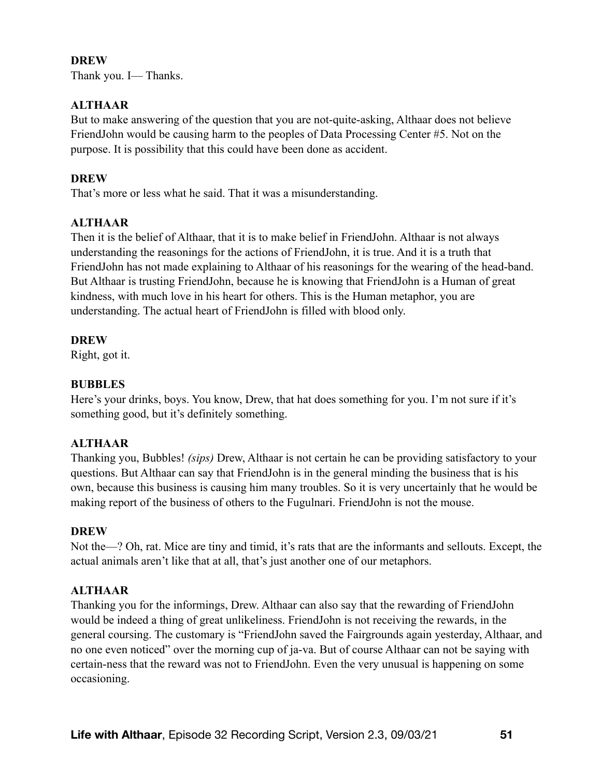Thank you. I— Thanks.

# **ALTHAAR**

But to make answering of the question that you are not-quite-asking, Althaar does not believe FriendJohn would be causing harm to the peoples of Data Processing Center #5. Not on the purpose. It is possibility that this could have been done as accident.

# **DREW**

That's more or less what he said. That it was a misunderstanding.

# **ALTHAAR**

Then it is the belief of Althaar, that it is to make belief in FriendJohn. Althaar is not always understanding the reasonings for the actions of FriendJohn, it is true. And it is a truth that FriendJohn has not made explaining to Althaar of his reasonings for the wearing of the head-band. But Althaar is trusting FriendJohn, because he is knowing that FriendJohn is a Human of great kindness, with much love in his heart for others. This is the Human metaphor, you are understanding. The actual heart of FriendJohn is filled with blood only.

## **DREW**

Right, got it.

# **BUBBLES**

Here's your drinks, boys. You know, Drew, that hat does something for you. I'm not sure if it's something good, but it's definitely something.

# **ALTHAAR**

Thanking you, Bubbles! *(sips)* Drew, Althaar is not certain he can be providing satisfactory to your questions. But Althaar can say that FriendJohn is in the general minding the business that is his own, because this business is causing him many troubles. So it is very uncertainly that he would be making report of the business of others to the Fugulnari. FriendJohn is not the mouse.

#### **DREW**

Not the—? Oh, rat. Mice are tiny and timid, it's rats that are the informants and sellouts. Except, the actual animals aren't like that at all, that's just another one of our metaphors.

# **ALTHAAR**

Thanking you for the informings, Drew. Althaar can also say that the rewarding of FriendJohn would be indeed a thing of great unlikeliness. FriendJohn is not receiving the rewards, in the general coursing. The customary is "FriendJohn saved the Fairgrounds again yesterday, Althaar, and no one even noticed" over the morning cup of ja-va. But of course Althaar can not be saying with certain-ness that the reward was not to FriendJohn. Even the very unusual is happening on some occasioning.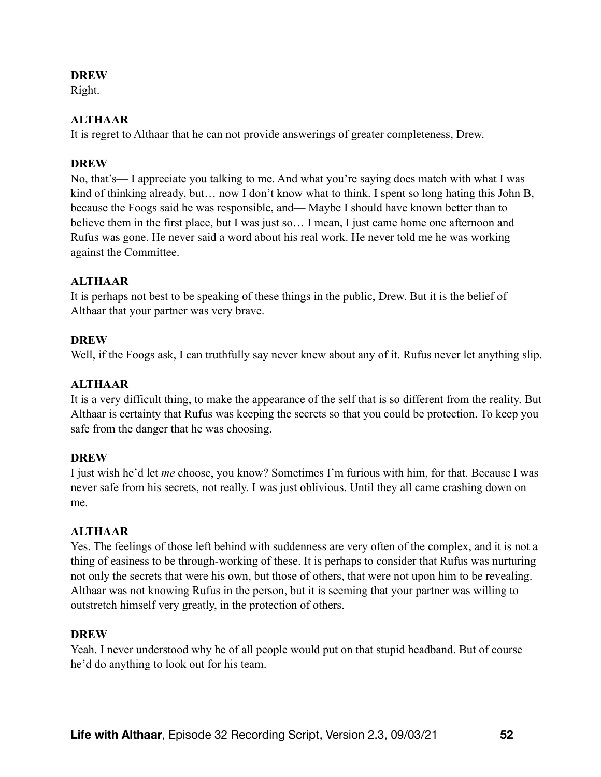Right.

# **ALTHAAR**

It is regret to Althaar that he can not provide answerings of greater completeness, Drew.

# **DREW**

No, that's— I appreciate you talking to me. And what you're saying does match with what I was kind of thinking already, but... now I don't know what to think. I spent so long hating this John B, because the Foogs said he was responsible, and— Maybe I should have known better than to believe them in the first place, but I was just so… I mean, I just came home one afternoon and Rufus was gone. He never said a word about his real work. He never told me he was working against the Committee.

# **ALTHAAR**

It is perhaps not best to be speaking of these things in the public, Drew. But it is the belief of Althaar that your partner was very brave.

# **DREW**

Well, if the Foogs ask, I can truthfully say never knew about any of it. Rufus never let anything slip.

# **ALTHAAR**

It is a very difficult thing, to make the appearance of the self that is so different from the reality. But Althaar is certainty that Rufus was keeping the secrets so that you could be protection. To keep you safe from the danger that he was choosing.

# **DREW**

I just wish he'd let *me* choose, you know? Sometimes I'm furious with him, for that. Because I was never safe from his secrets, not really. I was just oblivious. Until they all came crashing down on me.

# **ALTHAAR**

Yes. The feelings of those left behind with suddenness are very often of the complex, and it is not a thing of easiness to be through-working of these. It is perhaps to consider that Rufus was nurturing not only the secrets that were his own, but those of others, that were not upon him to be revealing. Althaar was not knowing Rufus in the person, but it is seeming that your partner was willing to outstretch himself very greatly, in the protection of others.

# **DREW**

Yeah. I never understood why he of all people would put on that stupid headband. But of course he'd do anything to look out for his team.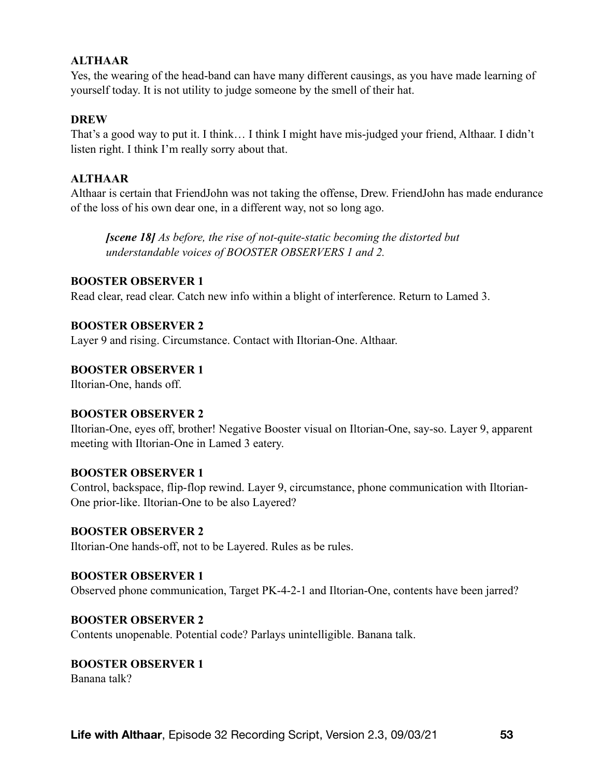### **ALTHAAR**

Yes, the wearing of the head-band can have many different causings, as you have made learning of yourself today. It is not utility to judge someone by the smell of their hat.

#### **DREW**

That's a good way to put it. I think… I think I might have mis-judged your friend, Althaar. I didn't listen right. I think I'm really sorry about that.

# **ALTHAAR**

Althaar is certain that FriendJohn was not taking the offense, Drew. FriendJohn has made endurance of the loss of his own dear one, in a different way, not so long ago.

*[scene 18] As before, the rise of not-quite-static becoming the distorted but understandable voices of BOOSTER OBSERVERS 1 and 2.* 

#### **BOOSTER OBSERVER 1**

Read clear, read clear. Catch new info within a blight of interference. Return to Lamed 3.

#### **BOOSTER OBSERVER 2**

Layer 9 and rising. Circumstance. Contact with Iltorian-One. Althaar.

#### **BOOSTER OBSERVER 1**

Iltorian-One, hands off.

#### **BOOSTER OBSERVER 2**

Iltorian-One, eyes off, brother! Negative Booster visual on Iltorian-One, say-so. Layer 9, apparent meeting with Iltorian-One in Lamed 3 eatery.

#### **BOOSTER OBSERVER 1**

Control, backspace, flip-flop rewind. Layer 9, circumstance, phone communication with Iltorian-One prior-like. Iltorian-One to be also Layered?

#### **BOOSTER OBSERVER 2**

Iltorian-One hands-off, not to be Layered. Rules as be rules.

#### **BOOSTER OBSERVER 1**

Observed phone communication, Target PK-4-2-1 and Iltorian-One, contents have been jarred?

#### **BOOSTER OBSERVER 2**

Contents unopenable. Potential code? Parlays unintelligible. Banana talk.

#### **BOOSTER OBSERVER 1**

Banana talk?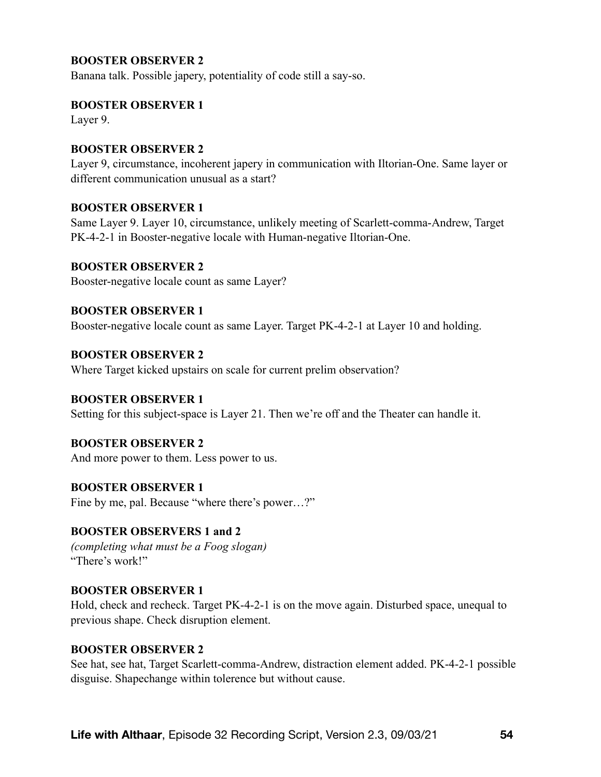### **BOOSTER OBSERVER 2**

Banana talk. Possible japery, potentiality of code still a say-so.

#### **BOOSTER OBSERVER 1**

Layer 9.

#### **BOOSTER OBSERVER 2**

Layer 9, circumstance, incoherent japery in communication with Iltorian-One. Same layer or different communication unusual as a start?

#### **BOOSTER OBSERVER 1**

Same Layer 9. Layer 10, circumstance, unlikely meeting of Scarlett-comma-Andrew, Target PK-4-2-1 in Booster-negative locale with Human-negative Iltorian-One.

#### **BOOSTER OBSERVER 2**

Booster-negative locale count as same Layer?

#### **BOOSTER OBSERVER 1**

Booster-negative locale count as same Layer. Target PK-4-2-1 at Layer 10 and holding.

#### **BOOSTER OBSERVER 2**

Where Target kicked upstairs on scale for current prelim observation?

#### **BOOSTER OBSERVER 1**

Setting for this subject-space is Layer 21. Then we're off and the Theater can handle it.

#### **BOOSTER OBSERVER 2**

And more power to them. Less power to us.

#### **BOOSTER OBSERVER 1**

Fine by me, pal. Because "where there's power…?"

#### **BOOSTER OBSERVERS 1 and 2**

*(completing what must be a Foog slogan)*  "There's work!"

#### **BOOSTER OBSERVER 1**

Hold, check and recheck. Target PK-4-2-1 is on the move again. Disturbed space, unequal to previous shape. Check disruption element.

#### **BOOSTER OBSERVER 2**

See hat, see hat, Target Scarlett-comma-Andrew, distraction element added. PK-4-2-1 possible disguise. Shapechange within tolerence but without cause.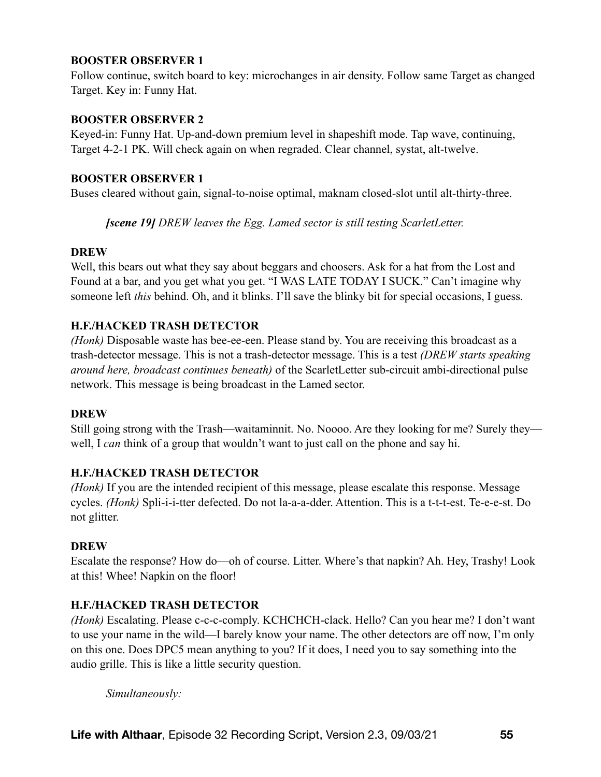### **BOOSTER OBSERVER 1**

Follow continue, switch board to key: microchanges in air density. Follow same Target as changed Target. Key in: Funny Hat.

#### **BOOSTER OBSERVER 2**

Keyed-in: Funny Hat. Up-and-down premium level in shapeshift mode. Tap wave, continuing, Target 4-2-1 PK. Will check again on when regraded. Clear channel, systat, alt-twelve.

#### **BOOSTER OBSERVER 1**

Buses cleared without gain, signal-to-noise optimal, maknam closed-slot until alt-thirty-three.

*[scene 19] DREW leaves the Egg. Lamed sector is still testing ScarletLetter.* 

#### **DREW**

Well, this bears out what they say about beggars and choosers. Ask for a hat from the Lost and Found at a bar, and you get what you get. "I WAS LATE TODAY I SUCK." Can't imagine why someone left *this* behind. Oh, and it blinks. I'll save the blinky bit for special occasions, I guess.

#### **H.F./HACKED TRASH DETECTOR**

*(Honk)* Disposable waste has bee-ee-een. Please stand by. You are receiving this broadcast as a trash-detector message. This is not a trash-detector message. This is a test *(DREW starts speaking around here, broadcast continues beneath)* of the ScarletLetter sub-circuit ambi-directional pulse network. This message is being broadcast in the Lamed sector.

#### **DREW**

Still going strong with the Trash—waitaminnit. No. Noooo. Are they looking for me? Surely they well, I *can* think of a group that wouldn't want to just call on the phone and say hi.

#### **H.F./HACKED TRASH DETECTOR**

*(Honk)* If you are the intended recipient of this message, please escalate this response. Message cycles. *(Honk)* Spli-i-i-tter defected. Do not la-a-a-dder. Attention. This is a t-t-t-est. Te-e-e-st. Do not glitter.

#### **DREW**

Escalate the response? How do—oh of course. Litter. Where's that napkin? Ah. Hey, Trashy! Look at this! Whee! Napkin on the floor!

#### **H.F./HACKED TRASH DETECTOR**

*(Honk)* Escalating. Please c-c-c-comply. KCHCHCH-clack. Hello? Can you hear me? I don't want to use your name in the wild—I barely know your name. The other detectors are off now, I'm only on this one. Does DPC5 mean anything to you? If it does, I need you to say something into the audio grille. This is like a little security question.

*Simultaneously:*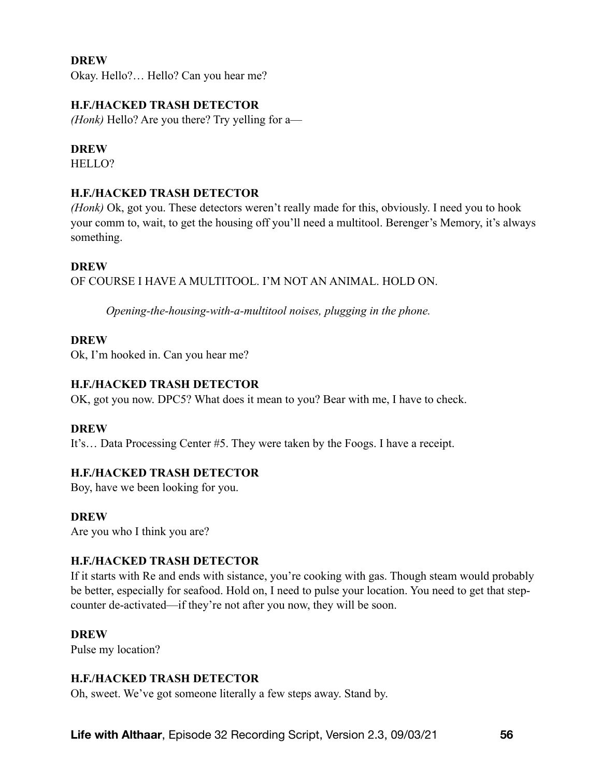Okay. Hello?… Hello? Can you hear me?

### **H.F./HACKED TRASH DETECTOR**

*(Honk)* Hello? Are you there? Try yelling for a—

#### **DREW**

HELLO?

## **H.F./HACKED TRASH DETECTOR**

*(Honk)* Ok, got you. These detectors weren't really made for this, obviously. I need you to hook your comm to, wait, to get the housing off you'll need a multitool. Berenger's Memory, it's always something.

#### **DREW**

OF COURSE I HAVE A MULTITOOL. I'M NOT AN ANIMAL. HOLD ON.

*Opening-the-housing-with-a-multitool noises, plugging in the phone.* 

#### **DREW**

Ok, I'm hooked in. Can you hear me?

### **H.F./HACKED TRASH DETECTOR**

OK, got you now. DPC5? What does it mean to you? Bear with me, I have to check.

#### **DREW**

It's… Data Processing Center #5. They were taken by the Foogs. I have a receipt.

#### **H.F./HACKED TRASH DETECTOR**

Boy, have we been looking for you.

#### **DREW**

Are you who I think you are?

#### **H.F./HACKED TRASH DETECTOR**

If it starts with Re and ends with sistance, you're cooking with gas. Though steam would probably be better, especially for seafood. Hold on, I need to pulse your location. You need to get that stepcounter de-activated—if they're not after you now, they will be soon.

#### **DREW**

Pulse my location?

#### **H.F./HACKED TRASH DETECTOR**

Oh, sweet. We've got someone literally a few steps away. Stand by.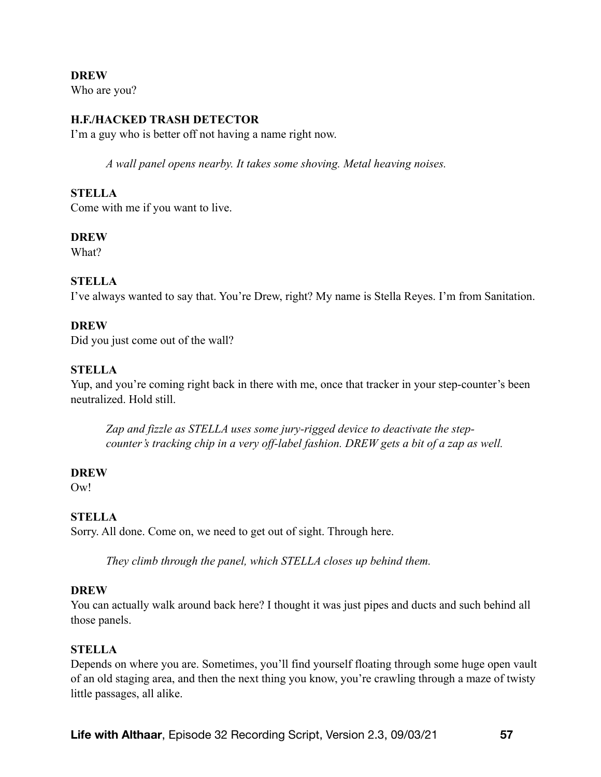**DREW**  Who are you?

## **H.F./HACKED TRASH DETECTOR**

I'm a guy who is better off not having a name right now.

*A wall panel opens nearby. It takes some shoving. Metal heaving noises.* 

#### **STELLA**

Come with me if you want to live.

#### **DREW**

What?

#### **STELLA**

I've always wanted to say that. You're Drew, right? My name is Stella Reyes. I'm from Sanitation.

#### **DREW**

Did you just come out of the wall?

#### **STELLA**

Yup, and you're coming right back in there with me, once that tracker in your step-counter's been neutralized. Hold still.

*Zap and fizzle as STELLA uses some jury-rigged device to deactivate the stepcounter's tracking chip in a very off-label fashion. DREW gets a bit of a zap as well.* 

#### **DREW**

Ow<sup>!</sup>

#### **STELLA**

Sorry. All done. Come on, we need to get out of sight. Through here.

*They climb through the panel, which STELLA closes up behind them.* 

#### **DREW**

You can actually walk around back here? I thought it was just pipes and ducts and such behind all those panels.

#### **STELLA**

Depends on where you are. Sometimes, you'll find yourself floating through some huge open vault of an old staging area, and then the next thing you know, you're crawling through a maze of twisty little passages, all alike.

**Life with Althaar**, Episode 32 Recording Script, Version 2.3, 09/03/21 **57**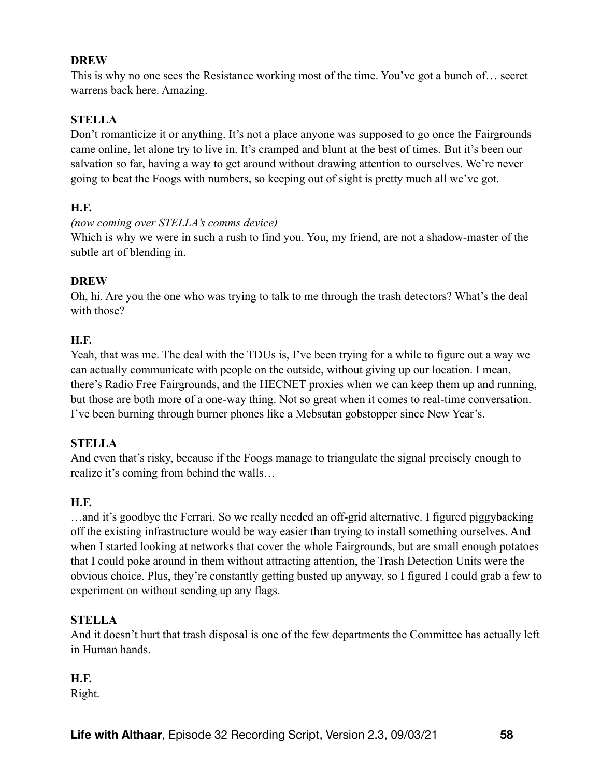This is why no one sees the Resistance working most of the time. You've got a bunch of… secret warrens back here. Amazing.

# **STELLA**

Don't romanticize it or anything. It's not a place anyone was supposed to go once the Fairgrounds came online, let alone try to live in. It's cramped and blunt at the best of times. But it's been our salvation so far, having a way to get around without drawing attention to ourselves. We're never going to beat the Foogs with numbers, so keeping out of sight is pretty much all we've got.

## **H.F.**

## *(now coming over STELLA's comms device)*

Which is why we were in such a rush to find you. You, my friend, are not a shadow-master of the subtle art of blending in.

## **DREW**

Oh, hi. Are you the one who was trying to talk to me through the trash detectors? What's the deal with those?

## **H.F.**

Yeah, that was me. The deal with the TDUs is, I've been trying for a while to figure out a way we can actually communicate with people on the outside, without giving up our location. I mean, there's Radio Free Fairgrounds, and the HECNET proxies when we can keep them up and running, but those are both more of a one-way thing. Not so great when it comes to real-time conversation. I've been burning through burner phones like a Mebsutan gobstopper since New Year's.

# **STELLA**

And even that's risky, because if the Foogs manage to triangulate the signal precisely enough to realize it's coming from behind the walls…

# **H.F.**

…and it's goodbye the Ferrari. So we really needed an off-grid alternative. I figured piggybacking off the existing infrastructure would be way easier than trying to install something ourselves. And when I started looking at networks that cover the whole Fairgrounds, but are small enough potatoes that I could poke around in them without attracting attention, the Trash Detection Units were the obvious choice. Plus, they're constantly getting busted up anyway, so I figured I could grab a few to experiment on without sending up any flags.

# **STELLA**

And it doesn't hurt that trash disposal is one of the few departments the Committee has actually left in Human hands.

#### **H.F.**

Right.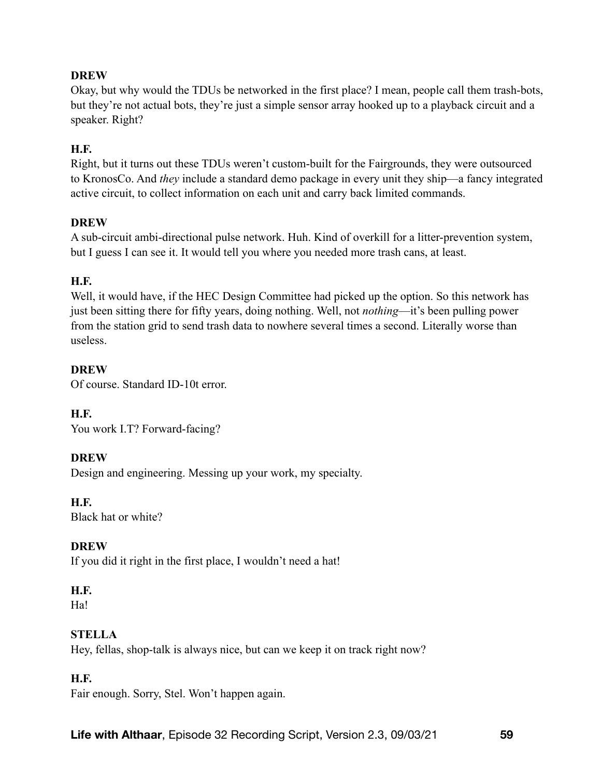Okay, but why would the TDUs be networked in the first place? I mean, people call them trash-bots, but they're not actual bots, they're just a simple sensor array hooked up to a playback circuit and a speaker. Right?

# **H.F.**

Right, but it turns out these TDUs weren't custom-built for the Fairgrounds, they were outsourced to KronosCo. And *they* include a standard demo package in every unit they ship—a fancy integrated active circuit, to collect information on each unit and carry back limited commands.

## **DREW**

A sub-circuit ambi-directional pulse network. Huh. Kind of overkill for a litter-prevention system, but I guess I can see it. It would tell you where you needed more trash cans, at least.

## **H.F.**

Well, it would have, if the HEC Design Committee had picked up the option. So this network has just been sitting there for fifty years, doing nothing. Well, not *nothing*—it's been pulling power from the station grid to send trash data to nowhere several times a second. Literally worse than useless.

## **DREW**

Of course. Standard ID-10t error.

**H.F.** 

You work I.T? Forward-facing?

# **DREW**

Design and engineering. Messing up your work, my specialty.

## **H.F.**

Black hat or white?

#### **DREW**

If you did it right in the first place, I wouldn't need a hat!

# **H.F.**

Ha!

# **STELLA**

Hey, fellas, shop-talk is always nice, but can we keep it on track right now?

# **H.F.**

Fair enough. Sorry, Stel. Won't happen again.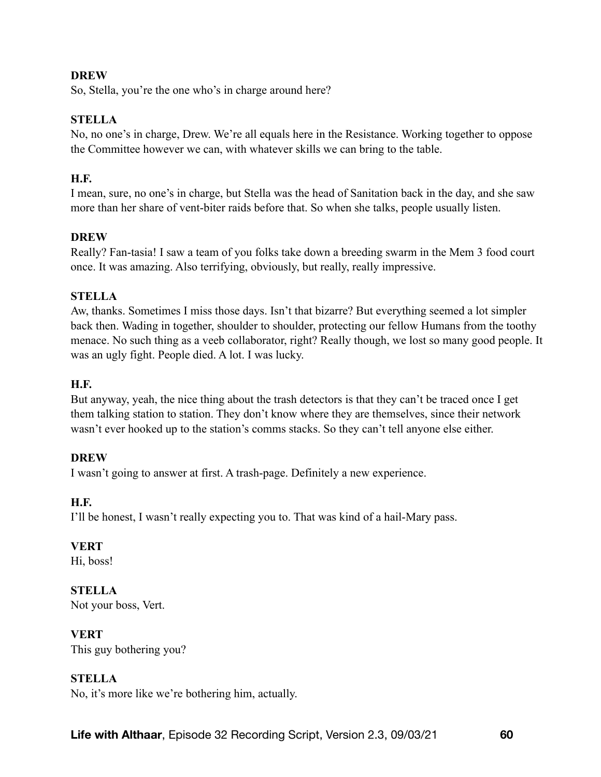So, Stella, you're the one who's in charge around here?

# **STELLA**

No, no one's in charge, Drew. We're all equals here in the Resistance. Working together to oppose the Committee however we can, with whatever skills we can bring to the table.

# **H.F.**

I mean, sure, no one's in charge, but Stella was the head of Sanitation back in the day, and she saw more than her share of vent-biter raids before that. So when she talks, people usually listen.

# **DREW**

Really? Fan-tasia! I saw a team of you folks take down a breeding swarm in the Mem 3 food court once. It was amazing. Also terrifying, obviously, but really, really impressive.

## **STELLA**

Aw, thanks. Sometimes I miss those days. Isn't that bizarre? But everything seemed a lot simpler back then. Wading in together, shoulder to shoulder, protecting our fellow Humans from the toothy menace. No such thing as a veeb collaborator, right? Really though, we lost so many good people. It was an ugly fight. People died. A lot. I was lucky.

# **H.F.**

But anyway, yeah, the nice thing about the trash detectors is that they can't be traced once I get them talking station to station. They don't know where they are themselves, since their network wasn't ever hooked up to the station's comms stacks. So they can't tell anyone else either.

# **DREW**

I wasn't going to answer at first. A trash-page. Definitely a new experience.

# **H.F.**

I'll be honest, I wasn't really expecting you to. That was kind of a hail-Mary pass.

# **VERT**

Hi, boss!

**STELLA**  Not your boss, Vert.

#### **VERT**

This guy bothering you?

# **STELLA**

No, it's more like we're bothering him, actually.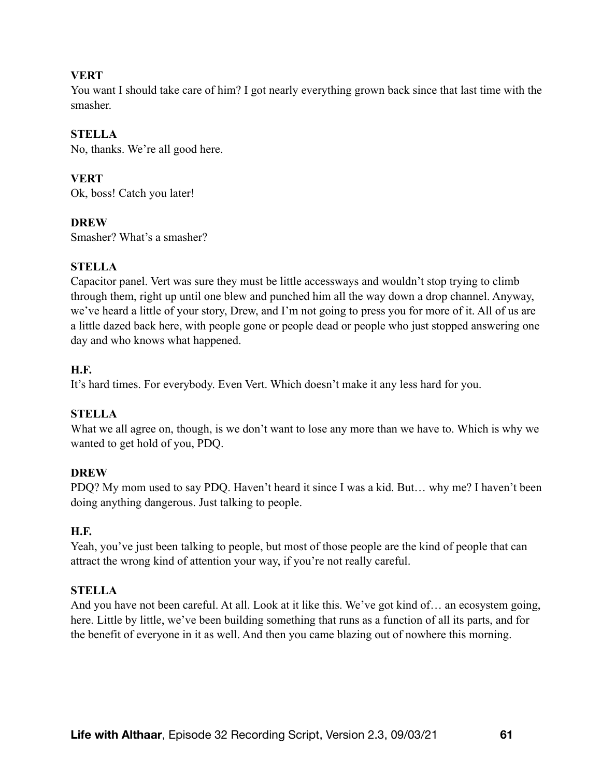### **VERT**

You want I should take care of him? I got nearly everything grown back since that last time with the smasher.

# **STELLA**

No, thanks. We're all good here.

# **VERT**

Ok, boss! Catch you later!

#### **DREW**

Smasher? What's a smasher?

## **STELLA**

Capacitor panel. Vert was sure they must be little accessways and wouldn't stop trying to climb through them, right up until one blew and punched him all the way down a drop channel. Anyway, we've heard a little of your story, Drew, and I'm not going to press you for more of it. All of us are a little dazed back here, with people gone or people dead or people who just stopped answering one day and who knows what happened.

## **H.F.**

It's hard times. For everybody. Even Vert. Which doesn't make it any less hard for you.

#### **STELLA**

What we all agree on, though, is we don't want to lose any more than we have to. Which is why we wanted to get hold of you, PDQ.

#### **DREW**

PDQ? My mom used to say PDQ. Haven't heard it since I was a kid. But… why me? I haven't been doing anything dangerous. Just talking to people.

#### **H.F.**

Yeah, you've just been talking to people, but most of those people are the kind of people that can attract the wrong kind of attention your way, if you're not really careful.

# **STELLA**

And you have not been careful. At all. Look at it like this. We've got kind of… an ecosystem going, here. Little by little, we've been building something that runs as a function of all its parts, and for the benefit of everyone in it as well. And then you came blazing out of nowhere this morning.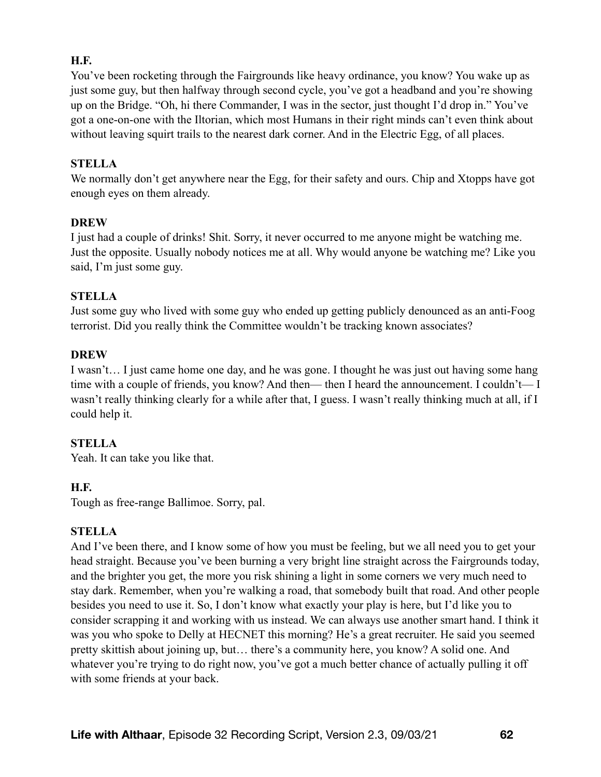# **H.F.**

You've been rocketing through the Fairgrounds like heavy ordinance, you know? You wake up as just some guy, but then halfway through second cycle, you've got a headband and you're showing up on the Bridge. "Oh, hi there Commander, I was in the sector, just thought I'd drop in." You've got a one-on-one with the Iltorian, which most Humans in their right minds can't even think about without leaving squirt trails to the nearest dark corner. And in the Electric Egg, of all places.

#### **STELLA**

We normally don't get anywhere near the Egg, for their safety and ours. Chip and Xtopps have got enough eyes on them already.

#### **DREW**

I just had a couple of drinks! Shit. Sorry, it never occurred to me anyone might be watching me. Just the opposite. Usually nobody notices me at all. Why would anyone be watching me? Like you said, I'm just some guy.

#### **STELLA**

Just some guy who lived with some guy who ended up getting publicly denounced as an anti-Foog terrorist. Did you really think the Committee wouldn't be tracking known associates?

#### **DREW**

I wasn't… I just came home one day, and he was gone. I thought he was just out having some hang time with a couple of friends, you know? And then— then I heard the announcement. I couldn't— I wasn't really thinking clearly for a while after that, I guess. I wasn't really thinking much at all, if I could help it.

#### **STELLA**

Yeah. It can take you like that.

#### **H.F.**

Tough as free-range Ballimoe. Sorry, pal.

#### **STELLA**

And I've been there, and I know some of how you must be feeling, but we all need you to get your head straight. Because you've been burning a very bright line straight across the Fairgrounds today, and the brighter you get, the more you risk shining a light in some corners we very much need to stay dark. Remember, when you're walking a road, that somebody built that road. And other people besides you need to use it. So, I don't know what exactly your play is here, but I'd like you to consider scrapping it and working with us instead. We can always use another smart hand. I think it was you who spoke to Delly at HECNET this morning? He's a great recruiter. He said you seemed pretty skittish about joining up, but… there's a community here, you know? A solid one. And whatever you're trying to do right now, you've got a much better chance of actually pulling it off with some friends at your back.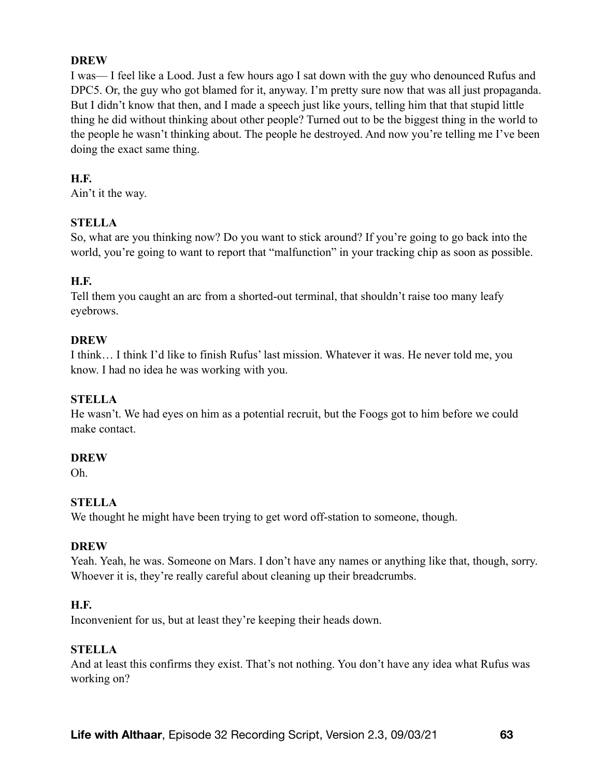I was— I feel like a Lood. Just a few hours ago I sat down with the guy who denounced Rufus and DPC5. Or, the guy who got blamed for it, anyway. I'm pretty sure now that was all just propaganda. But I didn't know that then, and I made a speech just like yours, telling him that that stupid little thing he did without thinking about other people? Turned out to be the biggest thing in the world to the people he wasn't thinking about. The people he destroyed. And now you're telling me I've been doing the exact same thing.

### **H.F.**

Ain't it the way.

## **STELLA**

So, what are you thinking now? Do you want to stick around? If you're going to go back into the world, you're going to want to report that "malfunction" in your tracking chip as soon as possible.

## **H.F.**

Tell them you caught an arc from a shorted-out terminal, that shouldn't raise too many leafy eyebrows.

## **DREW**

I think… I think I'd like to finish Rufus' last mission. Whatever it was. He never told me, you know. I had no idea he was working with you.

# **STELLA**

He wasn't. We had eyes on him as a potential recruit, but the Foogs got to him before we could make contact.

#### **DREW**

Oh.

# **STELLA**

We thought he might have been trying to get word off-station to someone, though.

# **DREW**

Yeah. Yeah, he was. Someone on Mars. I don't have any names or anything like that, though, sorry. Whoever it is, they're really careful about cleaning up their breadcrumbs.

# **H.F.**

Inconvenient for us, but at least they're keeping their heads down.

#### **STELLA**

And at least this confirms they exist. That's not nothing. You don't have any idea what Rufus was working on?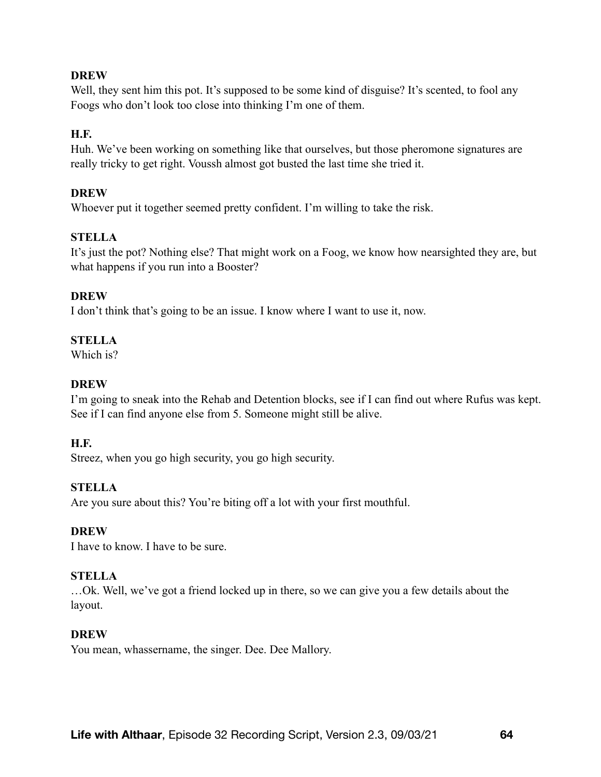Well, they sent him this pot. It's supposed to be some kind of disguise? It's scented, to fool any Foogs who don't look too close into thinking I'm one of them.

# **H.F.**

Huh. We've been working on something like that ourselves, but those pheromone signatures are really tricky to get right. Voussh almost got busted the last time she tried it.

## **DREW**

Whoever put it together seemed pretty confident. I'm willing to take the risk.

# **STELLA**

It's just the pot? Nothing else? That might work on a Foog, we know how nearsighted they are, but what happens if you run into a Booster?

## **DREW**

I don't think that's going to be an issue. I know where I want to use it, now.

## **STELLA**

Which is?

## **DREW**

I'm going to sneak into the Rehab and Detention blocks, see if I can find out where Rufus was kept. See if I can find anyone else from 5. Someone might still be alive.

#### **H.F.**

Streez, when you go high security, you go high security.

# **STELLA**

Are you sure about this? You're biting off a lot with your first mouthful.

#### **DREW**

I have to know. I have to be sure.

#### **STELLA**

…Ok. Well, we've got a friend locked up in there, so we can give you a few details about the layout.

#### **DREW**

You mean, whassername, the singer. Dee. Dee Mallory.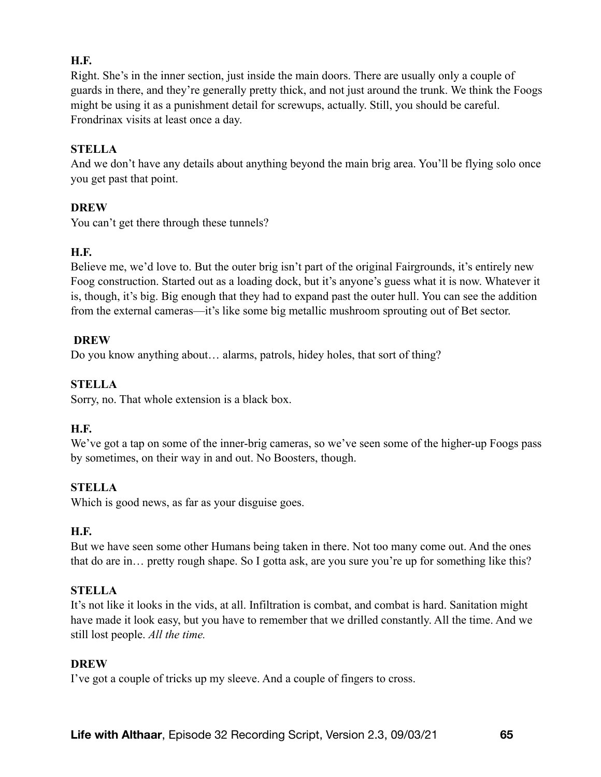# **H.F.**

Right. She's in the inner section, just inside the main doors. There are usually only a couple of guards in there, and they're generally pretty thick, and not just around the trunk. We think the Foogs might be using it as a punishment detail for screwups, actually. Still, you should be careful. Frondrinax visits at least once a day.

### **STELLA**

And we don't have any details about anything beyond the main brig area. You'll be flying solo once you get past that point.

## **DREW**

You can't get there through these tunnels?

## **H.F.**

Believe me, we'd love to. But the outer brig isn't part of the original Fairgrounds, it's entirely new Foog construction. Started out as a loading dock, but it's anyone's guess what it is now. Whatever it is, though, it's big. Big enough that they had to expand past the outer hull. You can see the addition from the external cameras—it's like some big metallic mushroom sprouting out of Bet sector.

#### **DREW**

Do you know anything about… alarms, patrols, hidey holes, that sort of thing?

# **STELLA**

Sorry, no. That whole extension is a black box.

#### **H.F.**

We've got a tap on some of the inner-brig cameras, so we've seen some of the higher-up Foogs pass by sometimes, on their way in and out. No Boosters, though.

# **STELLA**

Which is good news, as far as your disguise goes.

#### **H.F.**

But we have seen some other Humans being taken in there. Not too many come out. And the ones that do are in… pretty rough shape. So I gotta ask, are you sure you're up for something like this?

#### **STELLA**

It's not like it looks in the vids, at all. Infiltration is combat, and combat is hard. Sanitation might have made it look easy, but you have to remember that we drilled constantly. All the time. And we still lost people. *All the time.*

#### **DREW**

I've got a couple of tricks up my sleeve. And a couple of fingers to cross.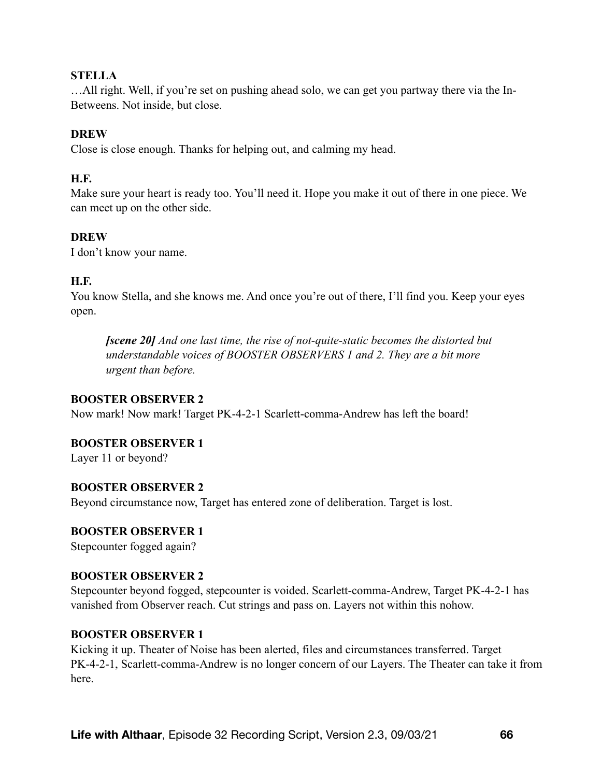#### **STELLA**

…All right. Well, if you're set on pushing ahead solo, we can get you partway there via the In-Betweens. Not inside, but close.

## **DREW**

Close is close enough. Thanks for helping out, and calming my head.

### **H.F.**

Make sure your heart is ready too. You'll need it. Hope you make it out of there in one piece. We can meet up on the other side.

## **DREW**

I don't know your name.

## **H.F.**

You know Stella, and she knows me. And once you're out of there, I'll find you. Keep your eyes open.

*[scene 20] And one last time, the rise of not-quite-static becomes the distorted but understandable voices of BOOSTER OBSERVERS 1 and 2. They are a bit more urgent than before.* 

#### **BOOSTER OBSERVER 2**

Now mark! Now mark! Target PK-4-2-1 Scarlett-comma-Andrew has left the board!

#### **BOOSTER OBSERVER 1**

Layer 11 or beyond?

#### **BOOSTER OBSERVER 2**

Beyond circumstance now, Target has entered zone of deliberation. Target is lost.

#### **BOOSTER OBSERVER 1**

Stepcounter fogged again?

#### **BOOSTER OBSERVER 2**

Stepcounter beyond fogged, stepcounter is voided. Scarlett-comma-Andrew, Target PK-4-2-1 has vanished from Observer reach. Cut strings and pass on. Layers not within this nohow.

#### **BOOSTER OBSERVER 1**

Kicking it up. Theater of Noise has been alerted, files and circumstances transferred. Target PK-4-2-1, Scarlett-comma-Andrew is no longer concern of our Layers. The Theater can take it from here.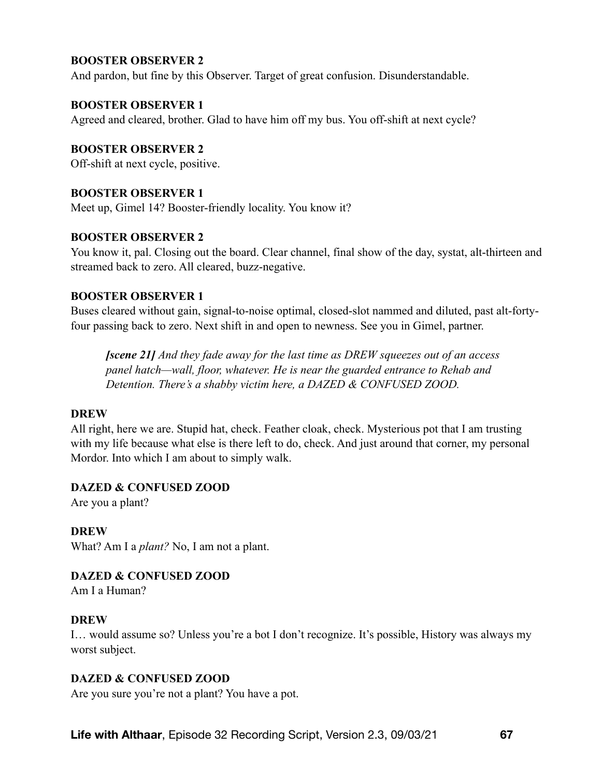## **BOOSTER OBSERVER 2**

And pardon, but fine by this Observer. Target of great confusion. Disunderstandable.

#### **BOOSTER OBSERVER 1**

Agreed and cleared, brother. Glad to have him off my bus. You off-shift at next cycle?

**BOOSTER OBSERVER 2** 

Off-shift at next cycle, positive.

#### **BOOSTER OBSERVER 1**

Meet up, Gimel 14? Booster-friendly locality. You know it?

#### **BOOSTER OBSERVER 2**

You know it, pal. Closing out the board. Clear channel, final show of the day, systat, alt-thirteen and streamed back to zero. All cleared, buzz-negative.

#### **BOOSTER OBSERVER 1**

Buses cleared without gain, signal-to-noise optimal, closed-slot nammed and diluted, past alt-fortyfour passing back to zero. Next shift in and open to newness. See you in Gimel, partner.

*[scene 21] And they fade away for the last time as DREW squeezes out of an access panel hatch—wall, floor, whatever. He is near the guarded entrance to Rehab and Detention. There's a shabby victim here, a DAZED & CONFUSED ZOOD.* 

#### **DREW**

All right, here we are. Stupid hat, check. Feather cloak, check. Mysterious pot that I am trusting with my life because what else is there left to do, check. And just around that corner, my personal Mordor. Into which I am about to simply walk.

### **DAZED & CONFUSED ZOOD**

Are you a plant?

#### **DREW**

What? Am I a *plant?* No, I am not a plant.

#### **DAZED & CONFUSED ZOOD**

Am I a Human?

#### **DREW**

I… would assume so? Unless you're a bot I don't recognize. It's possible, History was always my worst subject.

#### **DAZED & CONFUSED ZOOD**

Are you sure you're not a plant? You have a pot.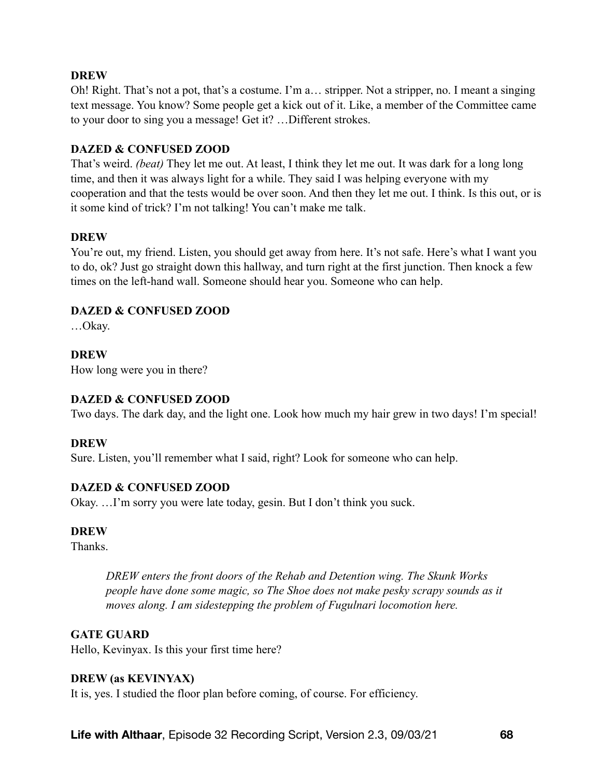Oh! Right. That's not a pot, that's a costume. I'm a… stripper. Not a stripper, no. I meant a singing text message. You know? Some people get a kick out of it. Like, a member of the Committee came to your door to sing you a message! Get it? …Different strokes.

### **DAZED & CONFUSED ZOOD**

That's weird. *(beat)* They let me out. At least, I think they let me out. It was dark for a long long time, and then it was always light for a while. They said I was helping everyone with my cooperation and that the tests would be over soon. And then they let me out. I think. Is this out, or is it some kind of trick? I'm not talking! You can't make me talk.

## **DREW**

You're out, my friend. Listen, you should get away from here. It's not safe. Here's what I want you to do, ok? Just go straight down this hallway, and turn right at the first junction. Then knock a few times on the left-hand wall. Someone should hear you. Someone who can help.

# **DAZED & CONFUSED ZOOD**

…Okay.

## **DREW**

How long were you in there?

# **DAZED & CONFUSED ZOOD**

Two days. The dark day, and the light one. Look how much my hair grew in two days! I'm special!

#### **DREW**

Sure. Listen, you'll remember what I said, right? Look for someone who can help.

# **DAZED & CONFUSED ZOOD**

Okay. …I'm sorry you were late today, gesin. But I don't think you suck.

#### **DREW**

**Thanks** 

*DREW enters the front doors of the Rehab and Detention wing. The Skunk Works people have done some magic, so The Shoe does not make pesky scrapy sounds as it moves along. I am sidestepping the problem of Fugulnari locomotion here.* 

#### **GATE GUARD**

Hello, Kevinyax. Is this your first time here?

#### **DREW (as KEVINYAX)**

It is, yes. I studied the floor plan before coming, of course. For efficiency.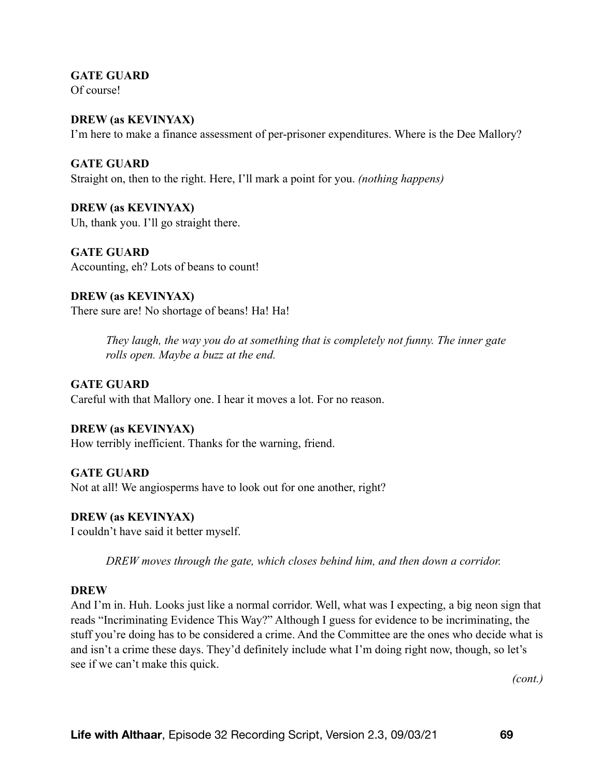**GATE GUARD**  Of course!

**DREW (as KEVINYAX)**  I'm here to make a finance assessment of per-prisoner expenditures. Where is the Dee Mallory?

**GATE GUARD**  Straight on, then to the right. Here, I'll mark a point for you. *(nothing happens)* 

**DREW (as KEVINYAX)**  Uh, thank you. I'll go straight there.

**GATE GUARD**  Accounting, eh? Lots of beans to count!

#### **DREW (as KEVINYAX)**  There sure are! No shortage of beans! Ha! Ha!

*They laugh, the way you do at something that is completely not funny. The inner gate rolls open. Maybe a buzz at the end.* 

**GATE GUARD**  Careful with that Mallory one. I hear it moves a lot. For no reason.

# **DREW (as KEVINYAX)**

How terribly inefficient. Thanks for the warning, friend.

**GATE GUARD** 

Not at all! We angiosperms have to look out for one another, right?

# **DREW (as KEVINYAX)**

I couldn't have said it better myself.

*DREW moves through the gate, which closes behind him, and then down a corridor.* 

# **DREW**

And I'm in. Huh. Looks just like a normal corridor. Well, what was I expecting, a big neon sign that reads "Incriminating Evidence This Way?" Although I guess for evidence to be incriminating, the stuff you're doing has to be considered a crime. And the Committee are the ones who decide what is and isn't a crime these days. They'd definitely include what I'm doing right now, though, so let's see if we can't make this quick.

*(cont.)*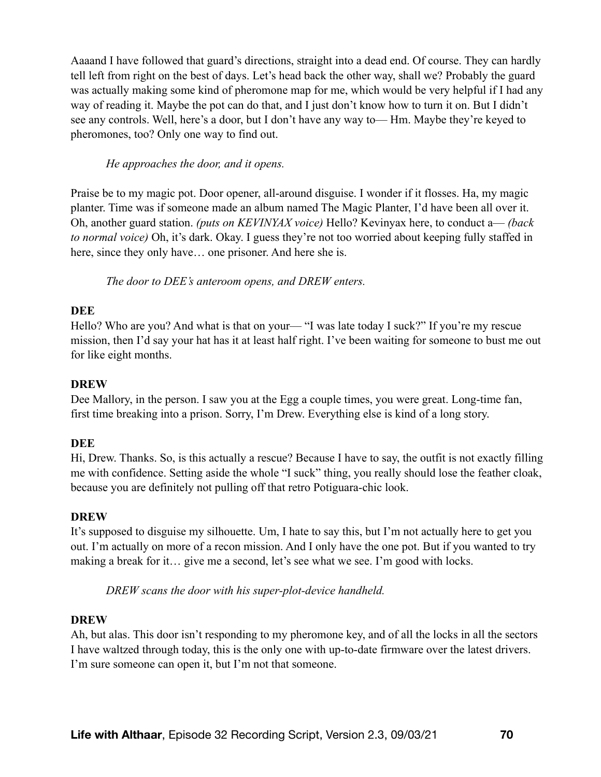Aaaand I have followed that guard's directions, straight into a dead end. Of course. They can hardly tell left from right on the best of days. Let's head back the other way, shall we? Probably the guard was actually making some kind of pheromone map for me, which would be very helpful if I had any way of reading it. Maybe the pot can do that, and I just don't know how to turn it on. But I didn't see any controls. Well, here's a door, but I don't have any way to— Hm. Maybe they're keyed to pheromones, too? Only one way to find out.

#### *He approaches the door, and it opens.*

Praise be to my magic pot. Door opener, all-around disguise. I wonder if it flosses. Ha, my magic planter. Time was if someone made an album named The Magic Planter, I'd have been all over it. Oh, another guard station. *(puts on KEVINYAX voice)* Hello? Kevinyax here, to conduct a— *(back to normal voice)* Oh, it's dark. Okay. I guess they're not too worried about keeping fully staffed in here, since they only have... one prisoner. And here she is.

*The door to DEE's anteroom opens, and DREW enters.* 

# **DEE**

Hello? Who are you? And what is that on your— "I was late today I suck?" If you're my rescue mission, then I'd say your hat has it at least half right. I've been waiting for someone to bust me out for like eight months.

# **DREW**

Dee Mallory, in the person. I saw you at the Egg a couple times, you were great. Long-time fan, first time breaking into a prison. Sorry, I'm Drew. Everything else is kind of a long story.

# **DEE**

Hi, Drew. Thanks. So, is this actually a rescue? Because I have to say, the outfit is not exactly filling me with confidence. Setting aside the whole "I suck" thing, you really should lose the feather cloak, because you are definitely not pulling off that retro Potiguara-chic look.

#### **DREW**

It's supposed to disguise my silhouette. Um, I hate to say this, but I'm not actually here to get you out. I'm actually on more of a recon mission. And I only have the one pot. But if you wanted to try making a break for it… give me a second, let's see what we see. I'm good with locks.

*DREW scans the door with his super-plot-device handheld.* 

#### **DREW**

Ah, but alas. This door isn't responding to my pheromone key, and of all the locks in all the sectors I have waltzed through today, this is the only one with up-to-date firmware over the latest drivers. I'm sure someone can open it, but I'm not that someone.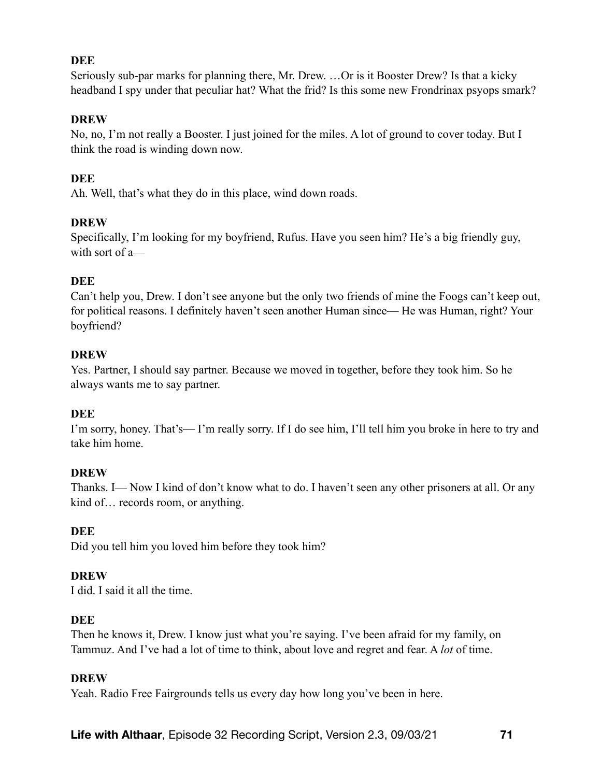## **DEE**

Seriously sub-par marks for planning there, Mr. Drew. …Or is it Booster Drew? Is that a kicky headband I spy under that peculiar hat? What the frid? Is this some new Frondrinax psyops smark?

#### **DREW**

No, no, I'm not really a Booster. I just joined for the miles. A lot of ground to cover today. But I think the road is winding down now.

# **DEE**

Ah. Well, that's what they do in this place, wind down roads.

## **DREW**

Specifically, I'm looking for my boyfriend, Rufus. Have you seen him? He's a big friendly guy, with sort of a-

## **DEE**

Can't help you, Drew. I don't see anyone but the only two friends of mine the Foogs can't keep out, for political reasons. I definitely haven't seen another Human since— He was Human, right? Your boyfriend?

## **DREW**

Yes. Partner, I should say partner. Because we moved in together, before they took him. So he always wants me to say partner.

#### **DEE**

I'm sorry, honey. That's— I'm really sorry. If I do see him, I'll tell him you broke in here to try and take him home.

#### **DREW**

Thanks. I— Now I kind of don't know what to do. I haven't seen any other prisoners at all. Or any kind of... records room, or anything.

# **DEE**

Did you tell him you loved him before they took him?

# **DREW**

I did. I said it all the time.

#### **DEE**

Then he knows it, Drew. I know just what you're saying. I've been afraid for my family, on Tammuz. And I've had a lot of time to think, about love and regret and fear. A *lot* of time.

#### **DREW**

Yeah. Radio Free Fairgrounds tells us every day how long you've been in here.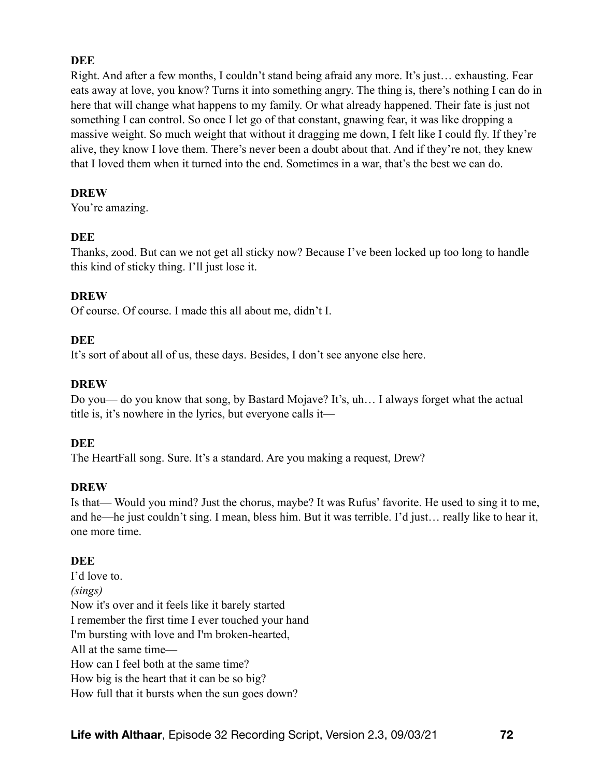# **DEE**

Right. And after a few months, I couldn't stand being afraid any more. It's just… exhausting. Fear eats away at love, you know? Turns it into something angry. The thing is, there's nothing I can do in here that will change what happens to my family. Or what already happened. Their fate is just not something I can control. So once I let go of that constant, gnawing fear, it was like dropping a massive weight. So much weight that without it dragging me down, I felt like I could fly. If they're alive, they know I love them. There's never been a doubt about that. And if they're not, they knew that I loved them when it turned into the end. Sometimes in a war, that's the best we can do.

#### **DREW**

You're amazing.

#### **DEE**

Thanks, zood. But can we not get all sticky now? Because I've been locked up too long to handle this kind of sticky thing. I'll just lose it.

#### **DREW**

Of course. Of course. I made this all about me, didn't I.

#### **DEE**

It's sort of about all of us, these days. Besides, I don't see anyone else here.

## **DREW**

Do you— do you know that song, by Bastard Mojave? It's, uh… I always forget what the actual title is, it's nowhere in the lyrics, but everyone calls it—

#### **DEE**

The HeartFall song. Sure. It's a standard. Are you making a request, Drew?

#### **DREW**

Is that— Would you mind? Just the chorus, maybe? It was Rufus' favorite. He used to sing it to me, and he—he just couldn't sing. I mean, bless him. But it was terrible. I'd just… really like to hear it, one more time.

#### **DEE**

I'd love to. *(sings)*  Now it's over and it feels like it barely started I remember the first time I ever touched your hand I'm bursting with love and I'm broken-hearted, All at the same time— How can I feel both at the same time? How big is the heart that it can be so big? How full that it bursts when the sun goes down?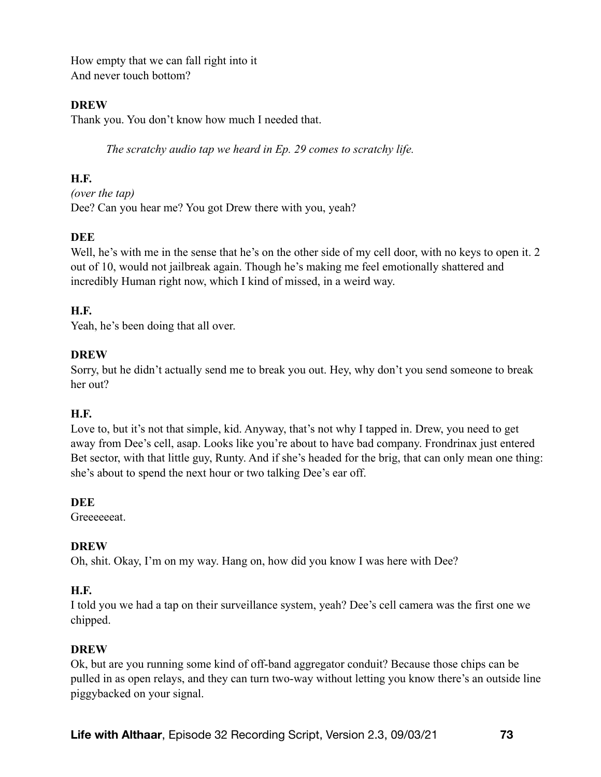How empty that we can fall right into it And never touch bottom?

# **DREW**

Thank you. You don't know how much I needed that.

*The scratchy audio tap we heard in Ep. 29 comes to scratchy life.* 

# **H.F.**

*(over the tap)*  Dee? Can you hear me? You got Drew there with you, yeah?

# **DEE**

Well, he's with me in the sense that he's on the other side of my cell door, with no keys to open it. 2 out of 10, would not jailbreak again. Though he's making me feel emotionally shattered and incredibly Human right now, which I kind of missed, in a weird way.

# **H.F.**

Yeah, he's been doing that all over.

# **DREW**

Sorry, but he didn't actually send me to break you out. Hey, why don't you send someone to break her out?

## **H.F.**

Love to, but it's not that simple, kid. Anyway, that's not why I tapped in. Drew, you need to get away from Dee's cell, asap. Looks like you're about to have bad company. Frondrinax just entered Bet sector, with that little guy, Runty. And if she's headed for the brig, that can only mean one thing: she's about to spend the next hour or two talking Dee's ear off.

## **DEE**

**Greeceeat** 

## **DREW**

Oh, shit. Okay, I'm on my way. Hang on, how did you know I was here with Dee?

## **H.F.**

I told you we had a tap on their surveillance system, yeah? Dee's cell camera was the first one we chipped.

## **DREW**

Ok, but are you running some kind of off-band aggregator conduit? Because those chips can be pulled in as open relays, and they can turn two-way without letting you know there's an outside line piggybacked on your signal.

**Life with Althaar**, Episode 32 Recording Script, Version 2.3, 09/03/21 **73**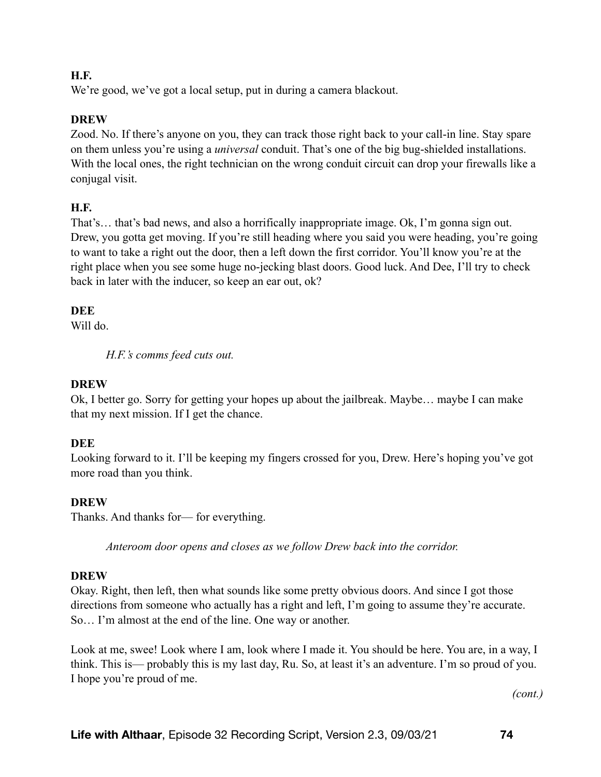# **H.F.**

We're good, we've got a local setup, put in during a camera blackout.

# **DREW**

Zood. No. If there's anyone on you, they can track those right back to your call-in line. Stay spare on them unless you're using a *universal* conduit. That's one of the big bug-shielded installations. With the local ones, the right technician on the wrong conduit circuit can drop your firewalls like a conjugal visit.

# **H.F.**

That's… that's bad news, and also a horrifically inappropriate image. Ok, I'm gonna sign out. Drew, you gotta get moving. If you're still heading where you said you were heading, you're going to want to take a right out the door, then a left down the first corridor. You'll know you're at the right place when you see some huge no-jecking blast doors. Good luck. And Dee, I'll try to check back in later with the inducer, so keep an ear out, ok?

# **DEE**

Will do.

*H.F.'s comms feed cuts out.* 

# **DREW**

Ok, I better go. Sorry for getting your hopes up about the jailbreak. Maybe… maybe I can make that my next mission. If I get the chance.

# **DEE**

Looking forward to it. I'll be keeping my fingers crossed for you, Drew. Here's hoping you've got more road than you think.

## **DREW**

Thanks. And thanks for— for everything.

*Anteroom door opens and closes as we follow Drew back into the corridor.* 

## **DREW**

Okay. Right, then left, then what sounds like some pretty obvious doors. And since I got those directions from someone who actually has a right and left, I'm going to assume they're accurate. So… I'm almost at the end of the line. One way or another.

Look at me, swee! Look where I am, look where I made it. You should be here. You are, in a way, I think. This is— probably this is my last day, Ru. So, at least it's an adventure. I'm so proud of you. I hope you're proud of me.

*(cont.)*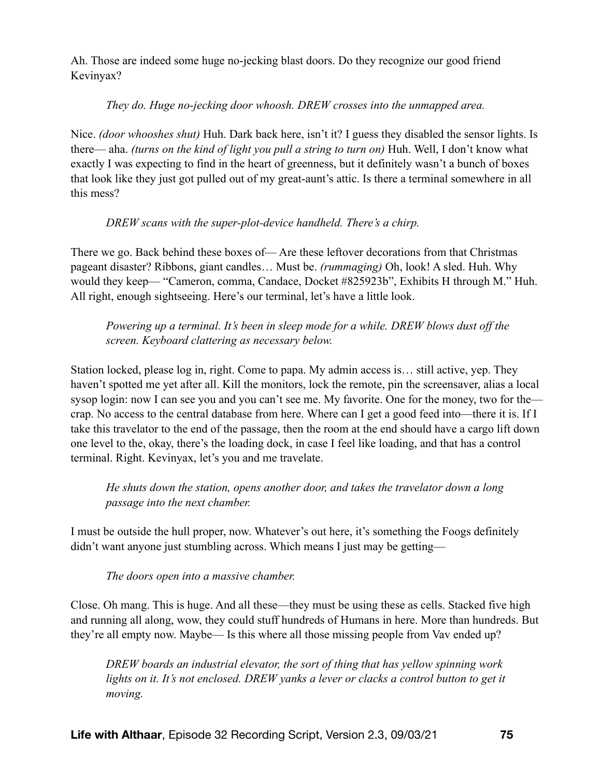Ah. Those are indeed some huge no-jecking blast doors. Do they recognize our good friend Kevinyax?

# *They do. Huge no-jecking door whoosh. DREW crosses into the unmapped area.*

Nice. *(door whooshes shut)* Huh. Dark back here, isn't it? I guess they disabled the sensor lights. Is there— aha. *(turns on the kind of light you pull a string to turn on)* Huh. Well, I don't know what exactly I was expecting to find in the heart of greenness, but it definitely wasn't a bunch of boxes that look like they just got pulled out of my great-aunt's attic. Is there a terminal somewhere in all this mess?

# *DREW scans with the super-plot-device handheld. There's a chirp.*

There we go. Back behind these boxes of— Are these leftover decorations from that Christmas pageant disaster? Ribbons, giant candles… Must be. *(rummaging)* Oh, look! A sled. Huh. Why would they keep— "Cameron, comma, Candace, Docket #825923b", Exhibits H through M." Huh. All right, enough sightseeing. Here's our terminal, let's have a little look.

*Powering up a terminal. It's been in sleep mode for a while. DREW blows dust off the screen. Keyboard clattering as necessary below.* 

Station locked, please log in, right. Come to papa. My admin access is… still active, yep. They haven't spotted me yet after all. Kill the monitors, lock the remote, pin the screensaver, alias a local sysop login: now I can see you and you can't see me. My favorite. One for the money, two for the crap. No access to the central database from here. Where can I get a good feed into—there it is. If I take this travelator to the end of the passage, then the room at the end should have a cargo lift down one level to the, okay, there's the loading dock, in case I feel like loading, and that has a control terminal. Right. Kevinyax, let's you and me travelate.

*He shuts down the station, opens another door, and takes the travelator down a long passage into the next chamber.* 

I must be outside the hull proper, now. Whatever's out here, it's something the Foogs definitely didn't want anyone just stumbling across. Which means I just may be getting—

*The doors open into a massive chamber.* 

Close. Oh mang. This is huge. And all these—they must be using these as cells. Stacked five high and running all along, wow, they could stuff hundreds of Humans in here. More than hundreds. But they're all empty now. Maybe— Is this where all those missing people from Vav ended up?

*DREW boards an industrial elevator, the sort of thing that has yellow spinning work*  lights on it. It's not enclosed. DREW yanks a lever or clacks a control button to get it *moving.*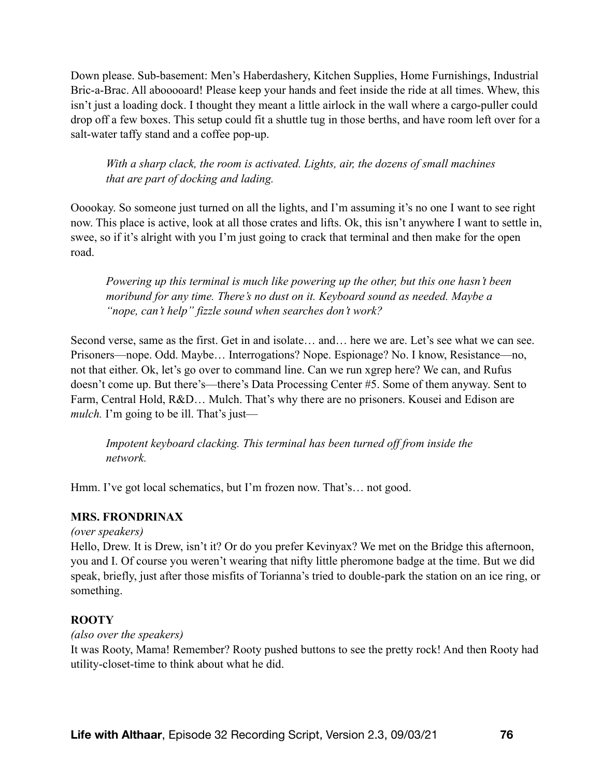Down please. Sub-basement: Men's Haberdashery, Kitchen Supplies, Home Furnishings, Industrial Bric-a-Brac. All abooooard! Please keep your hands and feet inside the ride at all times. Whew, this isn't just a loading dock. I thought they meant a little airlock in the wall where a cargo-puller could drop off a few boxes. This setup could fit a shuttle tug in those berths, and have room left over for a salt-water taffy stand and a coffee pop-up.

*With a sharp clack, the room is activated. Lights, air, the dozens of small machines that are part of docking and lading.* 

Ooookay. So someone just turned on all the lights, and I'm assuming it's no one I want to see right now. This place is active, look at all those crates and lifts. Ok, this isn't anywhere I want to settle in, swee, so if it's alright with you I'm just going to crack that terminal and then make for the open road.

*Powering up this terminal is much like powering up the other, but this one hasn't been moribund for any time. There's no dust on it. Keyboard sound as needed. Maybe a "nope, can't help" fizzle sound when searches don't work?* 

Second verse, same as the first. Get in and isolate… and… here we are. Let's see what we can see. Prisoners—nope. Odd. Maybe… Interrogations? Nope. Espionage? No. I know, Resistance—no, not that either. Ok, let's go over to command line. Can we run xgrep here? We can, and Rufus doesn't come up. But there's—there's Data Processing Center #5. Some of them anyway. Sent to Farm, Central Hold, R&D… Mulch. That's why there are no prisoners. Kousei and Edison are *mulch*. I'm going to be ill. That's just—

*Impotent keyboard clacking. This terminal has been turned off from inside the network.* 

Hmm. I've got local schematics, but I'm frozen now. That's... not good.

## **MRS. FRONDRINAX**

*(over speakers)* 

Hello, Drew. It is Drew, isn't it? Or do you prefer Kevinyax? We met on the Bridge this afternoon, you and I. Of course you weren't wearing that nifty little pheromone badge at the time. But we did speak, briefly, just after those misfits of Torianna's tried to double-park the station on an ice ring, or something.

## **ROOTY**

*(also over the speakers)* 

It was Rooty, Mama! Remember? Rooty pushed buttons to see the pretty rock! And then Rooty had utility-closet-time to think about what he did.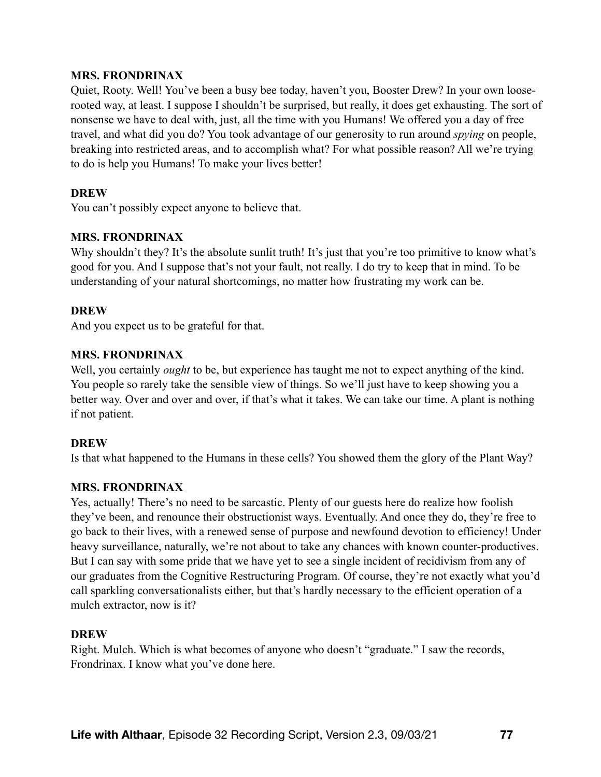## **MRS. FRONDRINAX**

Quiet, Rooty. Well! You've been a busy bee today, haven't you, Booster Drew? In your own looserooted way, at least. I suppose I shouldn't be surprised, but really, it does get exhausting. The sort of nonsense we have to deal with, just, all the time with you Humans! We offered you a day of free travel, and what did you do? You took advantage of our generosity to run around *spying* on people, breaking into restricted areas, and to accomplish what? For what possible reason? All we're trying to do is help you Humans! To make your lives better!

### **DREW**

You can't possibly expect anyone to believe that.

## **MRS. FRONDRINAX**

Why shouldn't they? It's the absolute sunlit truth! It's just that you're too primitive to know what's good for you. And I suppose that's not your fault, not really. I do try to keep that in mind. To be understanding of your natural shortcomings, no matter how frustrating my work can be.

### **DREW**

And you expect us to be grateful for that.

### **MRS. FRONDRINAX**

Well, you certainly *ought* to be, but experience has taught me not to expect anything of the kind. You people so rarely take the sensible view of things. So we'll just have to keep showing you a better way. Over and over and over, if that's what it takes. We can take our time. A plant is nothing if not patient.

#### **DREW**

Is that what happened to the Humans in these cells? You showed them the glory of the Plant Way?

## **MRS. FRONDRINAX**

Yes, actually! There's no need to be sarcastic. Plenty of our guests here do realize how foolish they've been, and renounce their obstructionist ways. Eventually. And once they do, they're free to go back to their lives, with a renewed sense of purpose and newfound devotion to efficiency! Under heavy surveillance, naturally, we're not about to take any chances with known counter-productives. But I can say with some pride that we have yet to see a single incident of recidivism from any of our graduates from the Cognitive Restructuring Program. Of course, they're not exactly what you'd call sparkling conversationalists either, but that's hardly necessary to the efficient operation of a mulch extractor, now is it?

## **DREW**

Right. Mulch. Which is what becomes of anyone who doesn't "graduate." I saw the records, Frondrinax. I know what you've done here.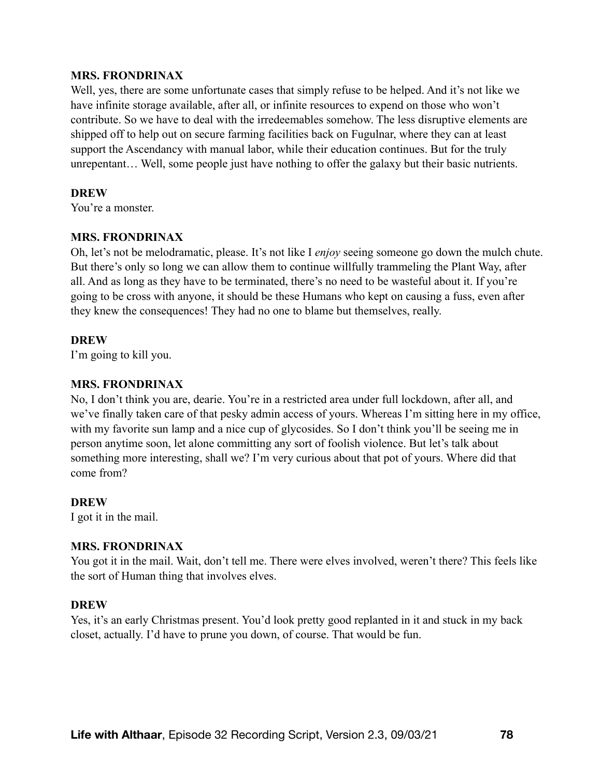#### **MRS. FRONDRINAX**

Well, yes, there are some unfortunate cases that simply refuse to be helped. And it's not like we have infinite storage available, after all, or infinite resources to expend on those who won't contribute. So we have to deal with the irredeemables somehow. The less disruptive elements are shipped off to help out on secure farming facilities back on Fugulnar, where they can at least support the Ascendancy with manual labor, while their education continues. But for the truly unrepentant… Well, some people just have nothing to offer the galaxy but their basic nutrients.

#### **DREW**

You're a monster.

### **MRS. FRONDRINAX**

Oh, let's not be melodramatic, please. It's not like I *enjoy* seeing someone go down the mulch chute. But there's only so long we can allow them to continue willfully trammeling the Plant Way, after all. And as long as they have to be terminated, there's no need to be wasteful about it. If you're going to be cross with anyone, it should be these Humans who kept on causing a fuss, even after they knew the consequences! They had no one to blame but themselves, really.

### **DREW**

I'm going to kill you.

## **MRS. FRONDRINAX**

No, I don't think you are, dearie. You're in a restricted area under full lockdown, after all, and we've finally taken care of that pesky admin access of yours. Whereas I'm sitting here in my office, with my favorite sun lamp and a nice cup of glycosides. So I don't think you'll be seeing me in person anytime soon, let alone committing any sort of foolish violence. But let's talk about something more interesting, shall we? I'm very curious about that pot of yours. Where did that come from?

#### **DREW**

I got it in the mail.

#### **MRS. FRONDRINAX**

You got it in the mail. Wait, don't tell me. There were elves involved, weren't there? This feels like the sort of Human thing that involves elves.

#### **DREW**

Yes, it's an early Christmas present. You'd look pretty good replanted in it and stuck in my back closet, actually. I'd have to prune you down, of course. That would be fun.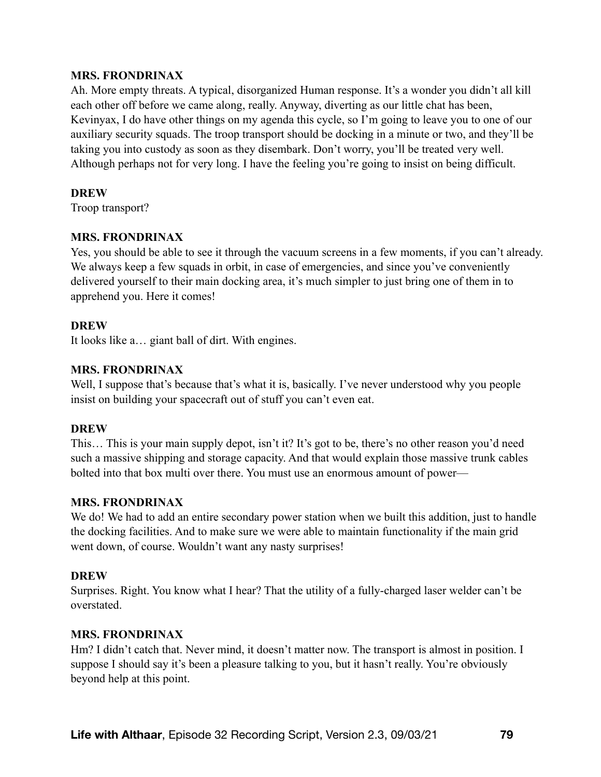### **MRS. FRONDRINAX**

Ah. More empty threats. A typical, disorganized Human response. It's a wonder you didn't all kill each other off before we came along, really. Anyway, diverting as our little chat has been, Kevinyax, I do have other things on my agenda this cycle, so I'm going to leave you to one of our auxiliary security squads. The troop transport should be docking in a minute or two, and they'll be taking you into custody as soon as they disembark. Don't worry, you'll be treated very well. Although perhaps not for very long. I have the feeling you're going to insist on being difficult.

### **DREW**

Troop transport?

## **MRS. FRONDRINAX**

Yes, you should be able to see it through the vacuum screens in a few moments, if you can't already. We always keep a few squads in orbit, in case of emergencies, and since you've conveniently delivered yourself to their main docking area, it's much simpler to just bring one of them in to apprehend you. Here it comes!

## **DREW**

It looks like a… giant ball of dirt. With engines.

## **MRS. FRONDRINAX**

Well, I suppose that's because that's what it is, basically. I've never understood why you people insist on building your spacecraft out of stuff you can't even eat.

## **DREW**

This… This is your main supply depot, isn't it? It's got to be, there's no other reason you'd need such a massive shipping and storage capacity. And that would explain those massive trunk cables bolted into that box multi over there. You must use an enormous amount of power—

## **MRS. FRONDRINAX**

We do! We had to add an entire secondary power station when we built this addition, just to handle the docking facilities. And to make sure we were able to maintain functionality if the main grid went down, of course. Wouldn't want any nasty surprises!

## **DREW**

Surprises. Right. You know what I hear? That the utility of a fully-charged laser welder can't be overstated.

## **MRS. FRONDRINAX**

Hm? I didn't catch that. Never mind, it doesn't matter now. The transport is almost in position. I suppose I should say it's been a pleasure talking to you, but it hasn't really. You're obviously beyond help at this point.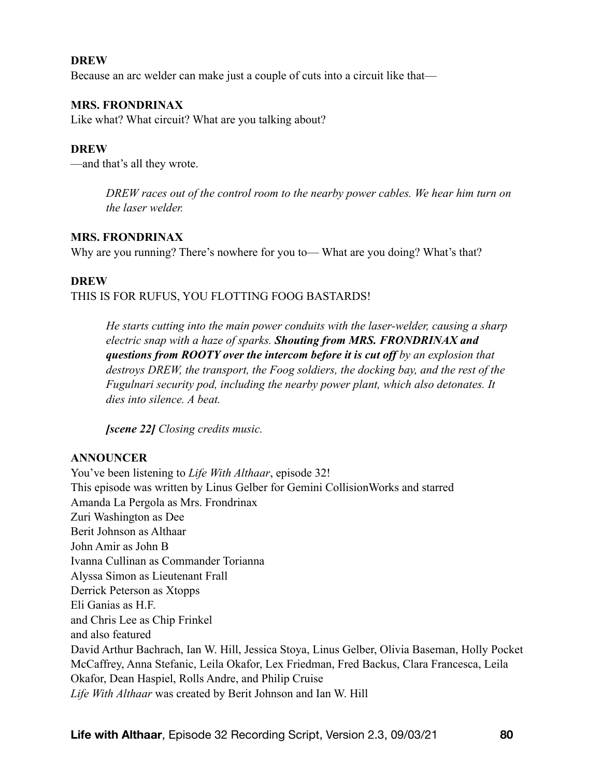### **DREW**

Because an arc welder can make just a couple of cuts into a circuit like that—

## **MRS. FRONDRINAX**

Like what? What circuit? What are you talking about?

### **DREW**

—and that's all they wrote.

*DREW races out of the control room to the nearby power cables. We hear him turn on the laser welder.* 

### **MRS. FRONDRINAX**

Why are you running? There's nowhere for you to—What are you doing? What's that?

#### **DREW**

### THIS IS FOR RUFUS, YOU FLOTTING FOOG BASTARDS!

*He starts cutting into the main power conduits with the laser-welder, causing a sharp electric snap with a haze of sparks. Shouting from MRS. FRONDRINAX and questions from ROOTY over the intercom before it is cut off by an explosion that destroys DREW, the transport, the Foog soldiers, the docking bay, and the rest of the Fugulnari security pod, including the nearby power plant, which also detonates. It dies into silence. A beat.* 

*[scene 22] Closing credits music.* 

#### **ANNOUNCER**

You've been listening to *Life With Althaar*, episode 32! This episode was written by Linus Gelber for Gemini CollisionWorks and starred Amanda La Pergola as Mrs. Frondrinax Zuri Washington as Dee Berit Johnson as Althaar John Amir as John B Ivanna Cullinan as Commander Torianna Alyssa Simon as Lieutenant Frall Derrick Peterson as Xtopps Eli Ganias as H.F. and Chris Lee as Chip Frinkel and also featured David Arthur Bachrach, Ian W. Hill, Jessica Stoya, Linus Gelber, Olivia Baseman, Holly Pocket McCaffrey, Anna Stefanic, Leila Okafor, Lex Friedman, Fred Backus, Clara Francesca, Leila Okafor, Dean Haspiel, Rolls Andre, and Philip Cruise *Life With Althaar* was created by Berit Johnson and Ian W. Hill